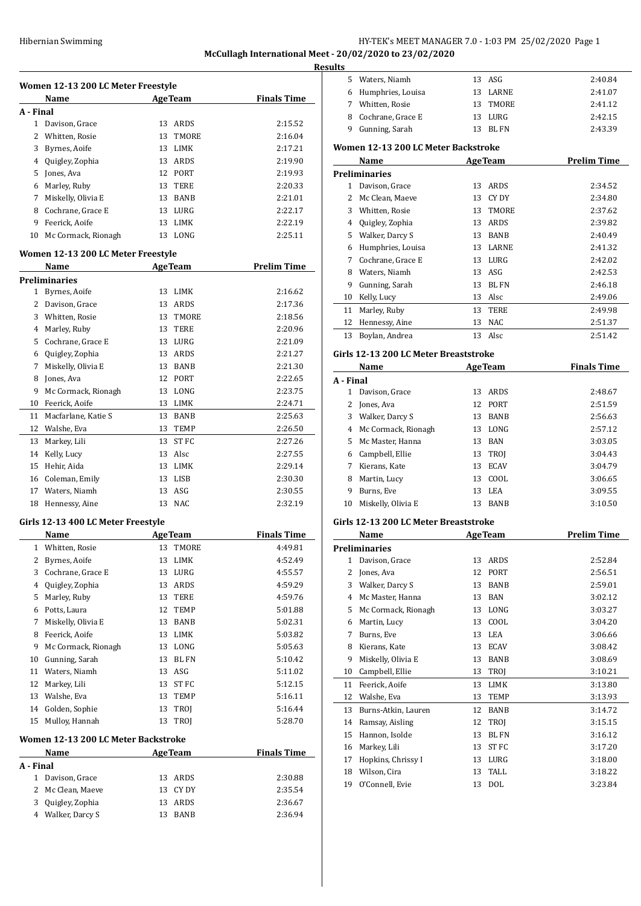# Hibernian Swimming HY-TEK's MEET MANAGER 7.0 - 1:03 PM 25/02/2020 Page 1 **McCullagh International Meet - 20/02/2020 to 23/02/2020**

**Results**

|              | Women 12-13 200 LC Meter Freestyle<br><b>Name</b> | <b>AgeTeam</b> | <b>Finals Time</b> |
|--------------|---------------------------------------------------|----------------|--------------------|
|              | A - Final                                         |                |                    |
| 1            | Davison, Grace                                    | ARDS<br>13     | 2:15.52            |
| 2            | Whitten, Rosie                                    | 13<br>TMORE    | 2:16.04            |
| 3            | Byrnes, Aoife                                     | 13<br>LIMK     | 2:17.21            |
|              | 4 Quigley, Zophia                                 | 13 ARDS        | 2:19.90            |
|              | 5 Jones, Ava                                      | 12 PORT        | 2:19.93            |
|              | 6 Marley, Ruby                                    | 13 TERE        | 2:20.33            |
|              | 7 Miskelly, Olivia E                              | 13 BANB        | 2:21.01            |
|              | 8 Cochrane, Grace E                               | 13 LURG        | 2:22.17            |
| 9            | Feerick, Aoife                                    | 13<br>LIMK     | 2:22.19            |
|              | 10 Mc Cormack, Rionagh                            | 13 LONG        | 2:25.11            |
|              | Women 12-13 200 LC Meter Freestyle                |                |                    |
|              | Name                                              | <b>AgeTeam</b> | <b>Prelim Time</b> |
|              | <b>Preliminaries</b>                              |                |                    |
|              | 1 Byrnes, Aoife                                   | 13<br>LIMK     | 2:16.62            |
|              | 2 Davison, Grace                                  | 13<br>ARDS     | 2:17.36            |
|              | 3 Whitten, Rosie                                  | 13 TMORE       | 2:18.56            |
|              | 4 Marley, Ruby                                    | 13 TERE        | 2:20.96            |
|              | 5 Cochrane, Grace E                               | 13 LURG        | 2:21.09            |
|              | 6 Quigley, Zophia                                 | 13 ARDS        | 2:21.27            |
|              | 7 Miskelly, Olivia E                              | 13 BANB        | 2:21.30            |
| 8            | Jones, Ava                                        | 12 PORT        | 2:22.65            |
| 9            | Mc Cormack, Rionagh                               | 13<br>LONG     | 2:23.75            |
| 10           | Feerick, Aoife                                    | 13 LIMK        | 2:24.71            |
|              |                                                   |                |                    |
| 11           | Macfarlane, Katie S                               | 13<br>BANB     | 2:25.63            |
|              | 12 Walshe, Eva                                    | 13 TEMP        | 2:26.50            |
| 13           | Markey, Lili                                      | 13 ST FC       | 2:27.26            |
| 14           | Kelly, Lucy                                       | Alsc<br>13     | 2:27.55            |
| 15           | Hehir, Aida                                       | 13<br>LIMK     | 2:29.14            |
|              | 16 Coleman, Emily                                 | 13<br>LISB     | 2:30.30            |
|              | 17 Waters, Niamh                                  | $13$ ASG       | 2:30.55            |
| 18           | Hennessy, Aine                                    | 13 NAC         | 2:32.19            |
|              | Girls 12-13 400 LC Meter Freestyle                |                |                    |
|              | <b>Name</b>                                       | <b>AgeTeam</b> | <b>Finals Time</b> |
| 1            | Whitten, Rosie                                    | TMORE<br>13    | 4:49.81            |
| 2            | Byrnes, Aoife                                     | LIMK<br>13     | 4:52.49            |
| 3            | Cochrane, Grace E                                 | 13<br>LURG     | 4:55.57            |
| 4            | Quigley, Zophia                                   | 13<br>ARDS     | 4:59.29            |
| 5            | Marley, Ruby                                      | 13<br>TERE     | 4:59.76            |
| 6            | Potts, Laura                                      | 12<br>TEMP     | 5:01.88            |
| 7            | Miskelly, Olivia E                                | 13<br>BANB     | 5:02.31            |
| 8            | Feerick. Aoife                                    | 13<br>LIMK     | 5:03.82            |
| 9            | Mc Cormack, Rionagh                               | LONG<br>13     | 5:05.63            |
| 10           | Gunning, Sarah                                    | 13<br>BL FN    | 5:10.42            |
| 11           | Waters, Niamh                                     | 13<br>ASG      | 5:11.02            |
| 12           | Markey, Lili                                      | 13 ST FC       | 5:12.15            |
| 13           | Walshe, Eva                                       | 13<br>TEMP     | 5:16.11            |
|              | 14 Golden, Sophie                                 | 13<br>TROJ     | 5:16.44            |
| 15           | Mulloy, Hannah                                    | 13 TROJ        | 5:28.70            |
|              | Women 12-13 200 LC Meter Backstroke               |                |                    |
|              | Name                                              | <b>AgeTeam</b> | <b>Finals Time</b> |
|              | A - Final                                         |                |                    |
| $\mathbf{1}$ | Davison, Grace                                    | ARDS<br>13     | 2:30.88            |
| 2            | Mc Clean, Maeve                                   | CY DY<br>13    | 2:35.54            |
| 3            | Quigley, Zophia                                   | ARDS<br>13     | 2:36.67            |
|              | 4 Walker, Darcy S                                 | 13<br>BANB     | 2:36.94            |

|           | 6 Humphries, Louisa                   | 13 | LARNE          | 2:41.07            |
|-----------|---------------------------------------|----|----------------|--------------------|
| 7         | Whitten, Rosie                        | 13 | TMORE          | 2:41.12            |
| 8         | Cochrane, Grace E                     |    | 13 LURG        | 2:42.15            |
| 9         | Gunning, Sarah                        |    | 13 BL FN       | 2:43.39            |
|           | Women 12-13 200 LC Meter Backstroke   |    |                |                    |
|           | Name                                  |    | <b>AgeTeam</b> | <b>Prelim Time</b> |
|           | <b>Preliminaries</b>                  |    |                |                    |
| 1         | Davison, Grace                        |    | 13 ARDS        | 2:34.52            |
| 2         | Mc Clean, Maeve                       |    | 13 CYDY        | 2:34.80            |
|           | 3 Whitten, Rosie                      |    | 13 TMORE       | 2:37.62            |
|           | 4 Quigley, Zophia                     |    | 13 ARDS        | 2:39.82            |
|           | 5 Walker, Darcy S                     |    | 13 BANB        | 2:40.49            |
|           | 6 Humphries, Louisa                   |    | 13 LARNE       | 2:41.32            |
|           | 7 Cochrane, Grace E                   |    |                |                    |
|           |                                       |    | 13 LURG        | 2:42.02            |
|           | 8 Waters, Niamh                       |    | 13 ASG         | 2:42.53            |
| 9         | Gunning, Sarah                        |    | 13 BL FN       | 2:46.18            |
| 10        | Kelly, Lucy                           |    | 13 Alsc        | 2:49.06            |
| 11        | Marley, Ruby                          |    | 13 TERE        | 2:49.98            |
| 12        | Hennessy, Aine                        |    | 13 NAC         | 2:51.37            |
| 13        | Boylan, Andrea                        |    | 13 Alsc        | 2:51.42            |
|           | Girls 12-13 200 LC Meter Breaststroke |    |                |                    |
|           | Name                                  |    | <b>AgeTeam</b> | <b>Finals Time</b> |
| A - Final |                                       |    |                |                    |
| 1         | Davison, Grace                        |    | 13 ARDS        | 2:48.67            |
| 2         | Jones, Ava                            |    | 12 PORT        | 2:51.59            |
|           | 3 Walker, Darcy S                     |    | 13 BANB        | 2:56.63            |
|           | 4 Mc Cormack, Rionagh                 |    | 13 LONG        | 2:57.12            |
|           | 5 Mc Master, Hanna                    |    | 13 BAN         | 3:03.05            |
|           | 6 Campbell, Ellie                     |    | 13 TROJ        | 3:04.43            |
|           | 7 Kierans, Kate                       |    | 13 ECAV        | 3:04.79            |
| 8         | Martin, Lucy                          |    | 13 COOL        | 3:06.65            |
| 9         | Burns, Eve                            |    | 13 LEA         | 3:09.55            |
| 10        | Miskelly, Olivia E                    |    | 13 BANB        | 3:10.50            |
|           |                                       |    |                |                    |
|           | Girls 12-13 200 LC Meter Breaststroke |    |                |                    |
|           | Name                                  |    | <b>AgeTeam</b> | Prelim Time        |
|           | <b>Preliminaries</b>                  |    |                |                    |
| 1         | Davison, Grace                        |    | 13 ARDS        | 2:52.84            |
| 2         | Jones, Ava                            |    | 12 PORT        | 2:56.51            |
| 3         | Walker, Darcy S                       | 13 | BANB           | 2:59.01            |
| 4         | Mc Master, Hanna                      | 13 | <b>BAN</b>     | 3:02.12            |
| 5         | Mc Cormack, Rionagh                   | 13 | LONG           | 3:03.27            |
| 6         | Martin, Lucy                          | 13 | COOL           | 3:04.20            |
| 7         | Burns, Eve                            | 13 | LEA            | 3:06.66            |
| 8         | Kierans, Kate                         | 13 | <b>ECAV</b>    | 3:08.42            |
| 9         | Miskelly, Olivia E                    | 13 | BANB           | 3:08.69            |
| 10        | Campbell, Ellie                       | 13 | TROJ           | 3:10.21            |
| 11        | Feerick, Aoife                        | 13 | LIMK           | 3:13.80            |
| 12        | Walshe, Eva                           | 13 | TEMP           | 3:13.93            |
| 13        | Burns-Atkin, Lauren                   | 12 | BANB           | 3:14.72            |
| 14        | Ramsay, Aisling                       | 12 | TROJ           | 3:15.15            |
| 15        | Hannon, Isolde                        | 13 | BL FN          | 3:16.12            |
| 16        | Markey, Lili                          | 13 | ST FC          | 3:17.20            |
| 17        | Hopkins, Chrissy I                    | 13 | LURG           | 3:18.00            |
| 18        | Wilson, Cira                          | 13 | TALL           | 3:18.22            |
| 19        | O'Connell, Evie                       | 13 | $\rm DOL$      | 3:23.84            |
|           |                                       |    |                |                    |

Waters, Niamh 13 ASG 2:40.84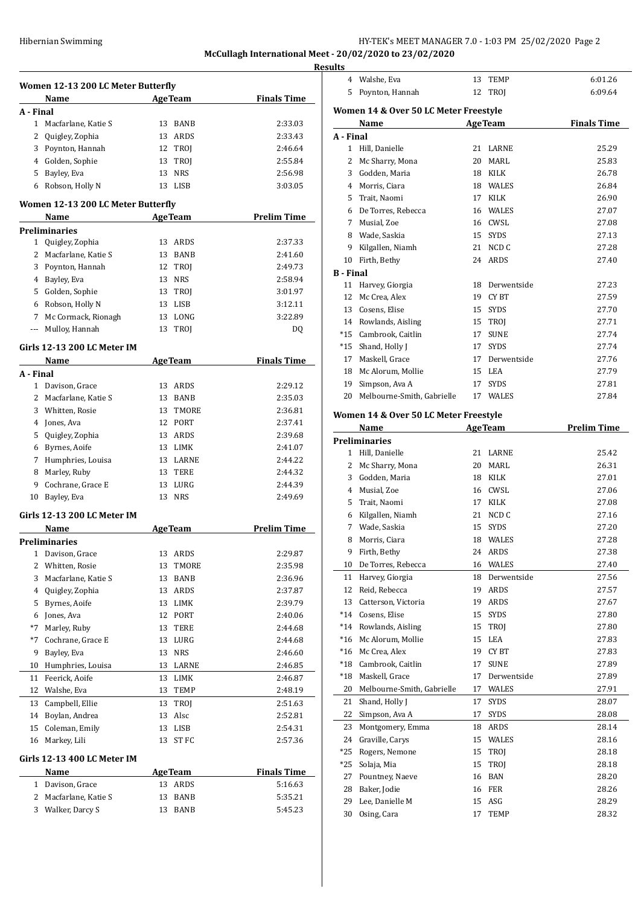| Hibernian Swimming | HY-TEK's MEET MANAGER 7.0 - 1:03 PM 25/02/2020 Page 2   |
|--------------------|---------------------------------------------------------|
|                    | McCullagh International Meet - 20/02/2020 to 23/02/2020 |

**Results**

|           | Women 12-13 200 LC Meter Butterfly         |                           |                    |
|-----------|--------------------------------------------|---------------------------|--------------------|
|           | Name                                       | <b>AgeTeam</b>            | <b>Finals Time</b> |
| A - Final |                                            |                           |                    |
|           | 1 Macfarlane, Katie S                      | 13 BANB                   | 2:33.03            |
|           | 2 Quigley, Zophia                          | 13 ARDS                   | 2:33.43            |
|           | 3 Poynton, Hannah                          | 12 TROJ                   | 2:46.64            |
|           | 4 Golden, Sophie                           | 13 TROJ                   | 2:55.84            |
|           | 5 Bayley, Eva                              | 13 NRS                    | 2:56.98            |
|           | 6 Robson, Holly N                          | 13 LISB                   | 3:03.05            |
|           | Women 12-13 200 LC Meter Butterfly         |                           |                    |
|           | Name                                       | <b>Example 2</b> Age Team | <b>Prelim Time</b> |
|           | <b>Preliminaries</b>                       |                           |                    |
|           | 1 Quigley, Zophia                          | 13 ARDS                   | 2:37.33            |
|           | 2 Macfarlane, Katie S                      | 13 BANB                   | 2:41.60            |
|           | 3 Poynton, Hannah                          | 12 TROJ                   | 2:49.73            |
|           | 4 Bayley, Eva                              | 13 NRS                    | 2:58.94            |
|           | 5 Golden, Sophie                           | 13 TROJ                   | 3:01.97            |
|           | 6 Robson, Holly N                          | 13 LISB                   | 3:12.11            |
|           |                                            |                           |                    |
|           | 7 Mc Cormack, Rionagh<br>Mulloy, Hannah    | 13 LONG                   | 3:22.89            |
|           |                                            | 13 TROJ                   | DQ                 |
|           | Girls 12-13 200 LC Meter IM                |                           |                    |
|           | Name                                       | <b>AgeTeam</b>            | <b>Finals Time</b> |
| A - Final |                                            | 13 ARDS                   |                    |
|           | 1 Davison, Grace                           |                           | 2:29.12            |
|           | 2 Macfarlane, Katie S                      | 13 BANB                   | 2:35.03            |
|           | 3 Whitten, Rosie                           | 13 TMORE                  | 2:36.81            |
|           | 4 Jones, Ava                               | 12 PORT                   | 2:37.41            |
|           | 5 Quigley, Zophia                          | 13 ARDS                   | 2:39.68            |
|           | 6 Byrnes, Aoife                            | 13 LIMK                   | 2:41.07            |
|           | 7 Humphries, Louisa                        | 13 LARNE                  | 2:44.22            |
| 8         | Marley, Ruby                               | 13 TERE                   | 2:44.32            |
| 9         | Cochrane, Grace E                          | 13 LURG                   | 2:44.39            |
| 10        | Bayley, Eva                                | 13 NRS                    | 2:49.69            |
|           | Girls 12-13 200 LC Meter IM                |                           |                    |
|           | Name                                       | <b>AgeTeam</b>            | <b>Prelim Time</b> |
|           | <b>Preliminaries</b>                       |                           |                    |
|           | 1 Davison, Grace                           | 13 ARDS                   | 2:29.87            |
|           | 2 Whitten, Rosie                           | 13 TMORE                  | 2:35.98            |
| 3         | Macfarlane, Katie S                        | 13<br>BANB                | 2:36.96            |
| 4         | Quigley, Zophia                            | 13 ARDS                   | 2:37.87            |
| 5         | Byrnes, Aoife                              | 13 LIMK                   | 2:39.79            |
| 6         | Jones, Ava                                 | 12 PORT                   | 2:40.06            |
| $*7$      | Marley, Ruby                               | 13 TERE                   | 2:44.68            |
| $*7$      | Cochrane, Grace E                          | 13 LURG                   | 2:44.68            |
| 9         | Bayley, Eva                                | <b>NRS</b><br>13          | 2:46.60            |
| 10        | Humphries, Louisa                          | 13 LARNE                  | 2:46.85            |
|           | Feerick, Aoife                             | 13<br>LIMK                |                    |
| 11        |                                            |                           | 2:46.87            |
| 12        | Walshe, Eva                                | 13<br>TEMP                | 2:48.19            |
|           | Campbell, Ellie                            | TROJ<br>13                | 2:51.63            |
| 13        |                                            |                           | 2:52.81            |
| 14        | Boylan, Andrea                             | Alsc<br>13                |                    |
| 15        | Coleman, Emily                             | LISB<br>13                |                    |
| 16        | Markey, Lili                               | ST FC<br>13               | 2:54.31<br>2:57.36 |
|           | Girls 12-13 400 LC Meter IM                |                           |                    |
|           | Name                                       | <b>AgeTeam</b>            | <b>Finals Time</b> |
|           | 1 Davison, Grace                           | 13 ARDS                   | 5:16.63            |
|           | 2 Macfarlane, Katie S<br>3 Walker, Darcy S | 13<br>BANB                | 5:35.21            |

| 4                | Walshe, Eva                           | 13 | TEMP           | 6:01.26            |
|------------------|---------------------------------------|----|----------------|--------------------|
| 5                | Poynton, Hannah                       | 12 | TROJ           | 6:09.64            |
|                  |                                       |    |                |                    |
|                  | Women 14 & Over 50 LC Meter Freestyle |    |                |                    |
|                  | Name                                  |    | <b>AgeTeam</b> | <b>Finals Time</b> |
| A - Final        |                                       |    |                |                    |
| 1                | Hill, Danielle                        | 21 | LARNE          | 25.29              |
| 2                | Mc Sharry, Mona                       | 20 | MARL           | 25.83              |
|                  | 3 Godden, Maria                       |    | 18 KILK        | 26.78              |
|                  | 4 Morris, Ciara                       |    | 18 WALES       | 26.84              |
| 5                | Trait, Naomi                          |    | 17 KILK        | 26.90              |
|                  | 6 De Torres, Rebecca                  |    | 16 WALES       | 27.07              |
|                  | 7 Musial, Zoe                         |    | 16 CWSL        | 27.08              |
|                  | 8 Wade, Saskia                        |    | 15 SYDS        | 27.13              |
|                  | 9 Kilgallen, Niamh                    |    | 21 NCD C       | 27.28              |
| 10               | Firth, Bethy                          |    | 24 ARDS        | 27.40              |
| <b>B</b> - Final |                                       |    |                |                    |
| 11               | Harvey, Giorgia                       |    | 18 Derwentside | 27.23              |
| 12               | Mc Crea, Alex                         |    | 19 CYBT        | 27.59              |
|                  | 13 Cosens, Elise                      |    | 15 SYDS        | 27.70              |
|                  | 14 Rowlands, Aisling                  |    | 15 TROJ        | 27.71              |
| *15              | Cambrook, Caitlin                     |    | 17 SUNE        | 27.74              |
|                  | *15 Shand, Holly J                    |    | 17 SYDS        | 27.74              |
|                  | 17 Maskell, Grace                     |    | 17 Derwentside | 27.76              |
|                  | 18 Mc Alorum, Mollie                  |    | 15 LEA         | 27.79              |
| 19               | Simpson, Ava A                        | 17 | <b>SYDS</b>    | 27.81              |
| 20               | Melbourne-Smith, Gabrielle            |    | 17 WALES       | 27.84              |
|                  | Women 14 & Over 50 LC Meter Freestyle |    |                |                    |
|                  | Name                                  |    | <b>AgeTeam</b> | <b>Prelim Time</b> |
|                  | <b>Preliminaries</b>                  |    |                |                    |
|                  | 1 Hill, Danielle                      | 21 | LARNE          | 25.42              |
|                  | 2 Mc Sharry, Mona                     | 20 | MARL           | 26.31              |
|                  | 3 Godden, Maria                       |    | 18 KILK        | 27.01              |
|                  | 4 Musial, Zoe                         |    | 16 CWSL        | 27.06              |
| 5                | Trait, Naomi                          |    | 17 KILK        | 27.08              |
|                  | 6 Kilgallen, Niamh                    |    | 21 NCD C       | 27.16              |
|                  | 7 Wade, Saskia                        |    | 15 SYDS        | 27.20              |
| 8                | Morris, Ciara                         |    | 18 WALES       | 27.28              |
| 9                | Firth, Bethy                          | 24 | ARDS           | 27.38              |
| 10               | De Torres, Rebecca                    | 16 | WALES          | 27.40              |
| 11               | Harvey, Giorgia                       | 18 | Derwentside    | 27.56              |
| 12               | Reid, Rebecca                         | 19 | ARDS           | 27.57              |
| 13               | Catterson, Victoria                   | 19 | ARDS           | 27.67              |
| $*14$            | Cosens, Elise                         | 15 | SYDS           | 27.80              |
| $*14$            | Rowlands, Aisling                     | 15 | TROJ           | 27.80              |
| $*16$            | Mc Alorum, Mollie                     | 15 | LEA            | 27.83              |
| $*16$            | Mc Crea, Alex                         |    | 19 CYBT        | 27.83              |
| *18              | Cambrook, Caitlin                     | 17 | <b>SUNE</b>    | 27.89              |
| $*18$            | Maskell, Grace                        | 17 | Derwentside    | 27.89              |
| 20               | Melbourne-Smith, Gabrielle            | 17 | WALES          | 27.91              |
| 21               | Shand, Holly J                        | 17 | SYDS           | 28.07              |
| 22               | Simpson, Ava A                        | 17 | SYDS           | 28.08              |
| 23               | Montgomery, Emma                      | 18 | ARDS           | 28.14              |
| 24               | Graville, Carys                       | 15 | WALES          | 28.16              |
| *25              | Rogers, Nemone                        | 15 | TROJ           | 28.18              |
| *25              | Solaja, Mia                           | 15 | TROJ           | 28.18              |
| 27               | Pountney, Naeve                       | 16 | BAN            | 28.20              |
| 28               | Baker, Jodie                          | 16 | FER            | 28.26              |
| 29               | Lee, Danielle M                       | 15 | ASG            | 28.29              |
| 30               | Osing, Cara                           | 17 | TEMP           | 28.32              |
|                  |                                       |    |                |                    |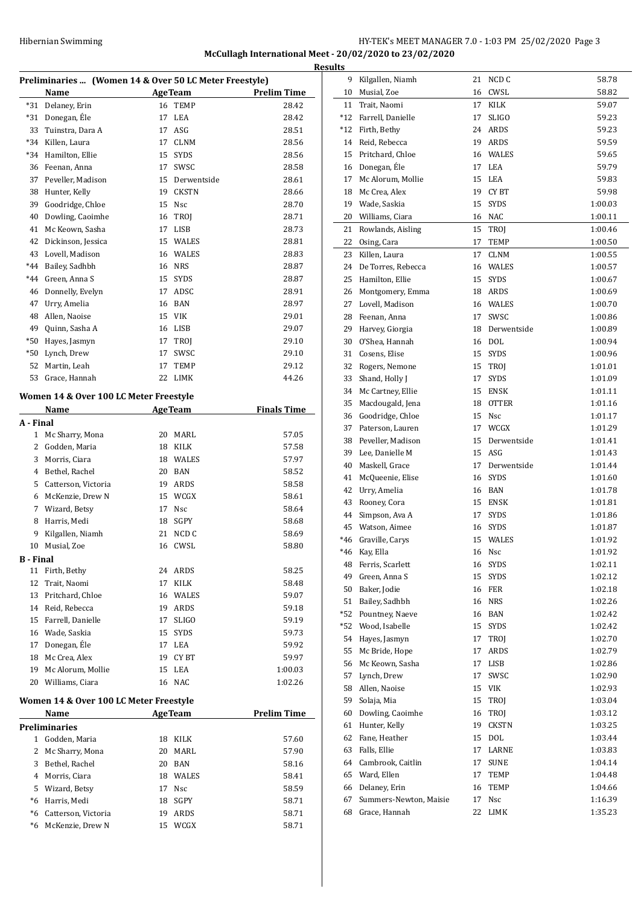# HY-TEK's MEET MANAGER 7.0 - 1:03 PM 25/02/2020 Page 3 **McCullagh International Meet - 20/02/2020 to 23/02/2020**

|                  | Preliminaries  (Women 14 & Over 50 LC Meter Freestyle) |    |                |                    |
|------------------|--------------------------------------------------------|----|----------------|--------------------|
|                  | Name                                                   |    | <b>AgeTeam</b> | <b>Prelim Time</b> |
| $*31$            | Delaney, Erin                                          | 16 | TEMP           | 28.42              |
| $*31$            | Donegan, Éle                                           | 17 | LEA            | 28.42              |
|                  | 33 Tuinstra, Dara A                                    | 17 | ASG            | 28.51              |
|                  | *34 Killen, Laura                                      |    | 17 CLNM        | 28.56              |
|                  | *34 Hamilton, Ellie                                    |    | 15 SYDS        | 28.56              |
|                  | 36 Feenan, Anna                                        |    | 17 SWSC        | 28.58              |
|                  | 37 Peveller, Madison                                   |    | 15 Derwentside | 28.61              |
| 38               | Hunter, Kelly                                          |    | 19 CKSTN       | 28.66              |
| 39               | Goodridge, Chloe                                       |    | 15 Nsc         | 28.70              |
| 40               | Dowling, Caoimhe                                       |    | 16 TROJ        | 28.71              |
| 41               | Mc Keown, Sasha                                        |    | 17 LISB        | 28.73              |
| 42               | Dickinson, Jessica                                     |    | 15 WALES       | 28.81              |
| 43               | Lovell, Madison                                        |    | 16 WALES       | 28.83              |
| $*44$            | Bailey, Sadhbh                                         |    | 16 NRS         | 28.87              |
|                  | *44 Green, Anna S                                      |    | 15 SYDS        | 28.87              |
|                  | 46 Donnelly, Evelyn                                    |    | 17 ADSC        | 28.91              |
|                  | 47 Urry, Amelia                                        |    | 16 BAN         | 28.97              |
| 48               | Allen, Naoise                                          |    | 15 VIK         | 29.01              |
| 49               | Quinn, Sasha A                                         |    | 16 LISB        | 29.07              |
| *50              | Hayes, Jasmyn                                          |    | 17 TROJ        | 29.10              |
| *50              | Lynch, Drew                                            | 17 | SWSC           | 29.10              |
| 52               | Martin, Leah                                           | 17 | TEMP           | 29.12              |
| 53               | Grace, Hannah                                          | 22 | LIMK           | 44.26              |
|                  |                                                        |    |                |                    |
|                  | Women 14 & Over 100 LC Meter Freestyle                 |    |                |                    |
|                  | Name                                                   |    | AgeTeam        | <b>Finals Time</b> |
| A - Final        |                                                        |    |                |                    |
| $\mathbf{1}$     | Mc Sharry, Mona                                        |    | 20 MARL        | 57.05              |
| $\mathbf{2}$     | Godden, Maria                                          |    | 18 KILK        | 57.58              |
| 3                | Morris, Ciara                                          |    | 18 WALES       | 57.97              |
|                  | 4 Bethel, Rachel                                       |    | 20 BAN         | 58.52              |
|                  | 5 Catterson, Victoria                                  |    | 19 ARDS        | 58.58              |
| 6                | McKenzie, Drew N                                       |    | 15 WCGX        | 58.61              |
| 7                | Wizard, Betsy                                          |    | 17 Nsc         | 58.64              |
| 8                | Harris, Medi                                           |    | 18 SGPY        | 58.68              |
| 9                | Kilgallen, Niamh                                       | 21 | NCD C          | 58.69              |
| 10               | Musial, Zoe                                            |    | 16 CWSL        | 58.80              |
| <b>B</b> - Final |                                                        |    |                |                    |
| 11               | Firth, Bethy                                           |    | 24 ARDS        | 58.25              |
| 12               | Trait, Naomi                                           | 17 | KILK           | 58.48              |
| 13               | Pritchard, Chloe                                       |    | 16 WALES       | 59.07              |
|                  | 14 Reid, Rebecca                                       |    | 19 ARDS        | 59.18              |
|                  | 15 Farrell, Danielle                                   |    | 17 SLIGO       | 59.19              |
|                  | 16 Wade, Saskia                                        |    | 15 SYDS        | 59.73              |
|                  | 17 Donegan, Éle                                        |    | 17 LEA         | 59.92              |
|                  | 18 Mc Crea, Alex                                       |    | 19 CYBT        | 59.97              |
|                  | 19 Mc Alorum, Mollie                                   |    | 15 LEA         | 1:00.03            |
|                  | 20 Williams, Ciara                                     |    | 16 NAC         | 1:02.26            |
|                  |                                                        |    |                |                    |
|                  | Women 14 & Over 100 LC Meter Freestyle                 |    |                |                    |
|                  | Name                                                   |    | <b>AgeTeam</b> | <b>Prelim Time</b> |
|                  | <b>Preliminaries</b>                                   |    |                |                    |
|                  | 1 Godden, Maria                                        |    | 18 KILK        | 57.60              |
|                  | 2 Mc Sharry, Mona                                      | 20 | MARL           | 57.90              |
|                  | 3 Bethel, Rachel                                       |    | 20 BAN         | 58.16              |
|                  | 4 Morris, Ciara                                        |    | 18 WALES       | 58.41              |
|                  | 5 Wizard, Betsy                                        |    | 17 Nsc         | 58.59              |
|                  | *6 Harris, Medi                                        |    | 18 SGPY        | 58.71              |
|                  | *6 Catterson, Victoria                                 |    | 19 ARDS        | 58.71              |
|                  | *6 McKenzie, Drew N                                    |    | 15 WCGX        | 58.71              |
|                  |                                                        |    |                |                    |

| <b>Results</b> |                        |    |                |         |
|----------------|------------------------|----|----------------|---------|
| 9              | Kilgallen, Niamh       |    | 21 NCD C       | 58.78   |
| 10             | Musial, Zoe            | 16 | CWSL           | 58.82   |
| 11             | Trait, Naomi           | 17 | KILK           | 59.07   |
| $*12$          | Farrell, Danielle      | 17 | <b>SLIGO</b>   | 59.23   |
| *12            | Firth, Bethy           |    | 24 ARDS        | 59.23   |
| 14             | Reid, Rebecca          |    | 19 ARDS        | 59.59   |
| 15             | Pritchard, Chloe       |    | 16 WALES       | 59.65   |
| 16             | Donegan, Éle           | 17 | LEA            | 59.79   |
| 17             | Mc Alorum, Mollie      | 15 | LEA            | 59.83   |
| 18             | Mc Crea. Alex          |    | 19 CYBT        | 59.98   |
| 19             | Wade, Saskia           | 15 | <b>SYDS</b>    | 1:00.03 |
| 20             | Williams, Ciara        |    | 16 NAC         | 1:00.11 |
| 21             | Rowlands, Aisling      |    | 15 TROJ        | 1:00.46 |
| 22             | Osing, Cara            | 17 | <b>TEMP</b>    | 1:00.50 |
| 23             | Killen, Laura          | 17 | CLNM           | 1:00.55 |
| 24             | De Torres, Rebecca     |    | 16 WALES       | 1:00.57 |
| 25             | Hamilton, Ellie        | 15 | <b>SYDS</b>    | 1:00.67 |
| 26             | Montgomery, Emma       |    | 18 ARDS        | 1:00.69 |
| 27             | Lovell, Madison        |    | 16 WALES       | 1:00.70 |
| 28             | Feenan, Anna           | 17 | SWSC           | 1:00.86 |
| 29             | Harvey, Giorgia        | 18 | Derwentside    | 1:00.89 |
| 30             | O'Shea, Hannah         |    | 16 DOL         | 1:00.94 |
| 31             | Cosens, Elise          | 15 | <b>SYDS</b>    | 1:00.96 |
| 32             | Rogers, Nemone         | 15 | TROJ           | 1:01.01 |
| 33             | Shand, Holly J         | 17 | <b>SYDS</b>    | 1:01.09 |
| 34             | Mc Cartney, Ellie      |    | 15 ENSK        | 1:01.11 |
| 35             | Macdougald, Jena       | 18 | <b>OTTER</b>   | 1:01.16 |
|                | 36 Goodridge, Chloe    |    | 15 Nsc         | 1:01.17 |
| 37             | Paterson, Lauren       |    | 17 WCGX        | 1:01.29 |
| 38             | Peveller, Madison      | 15 | Derwentside    | 1:01.41 |
| 39             | Lee, Danielle M        |    | 15 ASG         | 1:01.43 |
| 40             | Maskell, Grace         |    | 17 Derwentside | 1:01.44 |
| 41             | McQueenie, Elise       |    | 16 SYDS        | 1:01.60 |
| 42             | Urry, Amelia           |    | 16 BAN         | 1:01.78 |
|                | 43 Rooney, Cora        |    | 15 ENSK        | 1:01.81 |
| 44             | Simpson, Ava A         | 17 | <b>SYDS</b>    | 1:01.86 |
|                | 45 Watson, Aimee       | 16 | <b>SYDS</b>    | 1:01.87 |
| $*46$          | Graville, Carys        |    | 15 WALES       | 1:01.92 |
| *46            | Kay, Ella              |    | 16 Nsc         | 1:01.92 |
| 48             | Ferris, Scarlett       |    | 16 SYDS        | 1:02.11 |
| 49             | Green, Anna S          |    | 15 SYDS        | 1:02.12 |
| 50             | Baker, Jodie           |    | 16 FER         | 1:02.18 |
| 51             | Bailey, Sadhbh         |    | 16 NRS         | 1:02.26 |
| *52            | Pountney, Naeve        |    | 16 BAN         | 1:02.42 |
| *52            | Wood, Isabelle         | 15 | SYDS           | 1:02.42 |
| 54             | Hayes, Jasmyn          | 17 | TROJ           | 1:02.70 |
| 55             | Mc Bride, Hope         | 17 | ARDS           | 1:02.79 |
| 56             | Mc Keown, Sasha        | 17 | LISB           | 1:02.86 |
| 57             | Lynch, Drew            | 17 |                |         |
| 58             | Allen, Naoise          |    | SWSC<br>15 VIK | 1:02.90 |
| 59             | Solaja, Mia            | 15 |                | 1:02.93 |
|                |                        |    | TROJ           | 1:03.04 |
| 60             | Dowling, Caoimhe       | 16 | TROJ           | 1:03.12 |
| 61             | Hunter, Kelly          |    | 19 CKSTN       | 1:03.25 |
| 62             | Fane, Heather          |    | 15 DOL         | 1:03.44 |
| 63             | Falls, Ellie           |    | 17 LARNE       | 1:03.83 |
| 64             | Cambrook, Caitlin      | 17 | ${\tt SUNE}$   | 1:04.14 |
| 65             | Ward, Ellen            | 17 | TEMP           | 1:04.48 |
| 66             | Delaney, Erin          | 16 | TEMP           | 1:04.66 |
| 67             | Summers-Newton, Maisie | 17 | Nsc            | 1:16.39 |
| 68             | Grace, Hannah          | 22 | LIMK           | 1:35.23 |
|                |                        |    |                |         |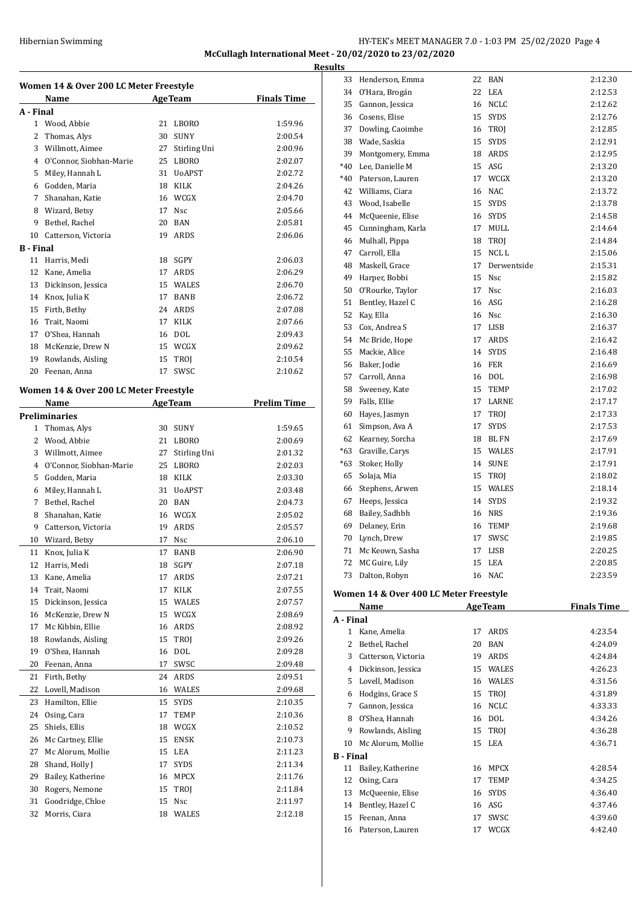#### Hibernian Swimming HY-TEK's MEET MANAGER 7.0 - 1:03 PM 25/02/2020 Page 4 **McCullagh International Meet - 20/02/2020 to 23/02/2020 Resul**

**Women 14 & Over 200 LC Meter Freestyle Name Age Team Finals Time A - Final** Wood, Abbie 21 LBORO 1:59.96 Thomas, Alys 30 SUNY 2:00.54 Willmott, Aimee 27 Stirling Uni 2:00.96 O'Connor, Siobhan-Marie 25 LBORO 2:02.07 Miley, Hannah L 31 UoAPST 2:02.72 Godden, Maria 18 KILK 2:04.26 Shanahan, Katie 16 WCGX 2:04.70 Wizard, Betsy 17 Nsc 2:05.66 Bethel, Rachel 20 BAN 2:05.81 Catterson, Victoria 19 ARDS 2:06.06 **B - Final** Harris, Medi 18 SGPY 2:06.03 Kane, Amelia 17 ARDS 2:06.29 13 Dickinson, Jessica 15 WALES 2:06.70 Knox, Julia K 17 BANB 2:06.72 Firth, Bethy 24 ARDS 2:07.08 Trait, Naomi 17 KILK 2:07.66 O'Shea, Hannah 16 DOL 2:09.43 McKenzie, Drew N 15 WCGX 2:09.62 19 Rowlands, Aisling 15 TROJ 2:10.54 Feenan, Anna 17 SWSC 2:10.62 **Women 14 & Over 200 LC Meter Freestyle Name Age Team Prelim Time Preliminaries** Thomas, Alys 30 SUNY 1:59.65 Wood, Abbie 21 LBORO 2:00.69 Willmott, Aimee 27 Stirling Uni 2:01.32 O'Connor, Siobhan-Marie 25 LBORO 2:02.03 Godden, Maria 18 KILK 2:03.30 Miley, Hannah L 31 UoAPST 2:03.48 Bethel, Rachel 20 BAN 2:04.73 Shanahan, Katie 16 WCGX 2:05.02 Catterson, Victoria 19 ARDS 2:05.57 Wizard, Betsy 17 Nsc 2:06.10 Knox, Julia K 17 BANB 2:06.90 Harris, Medi 18 SGPY 2:07.18 Kane, Amelia 17 ARDS 2:07.21 Trait, Naomi 17 KILK 2:07.55 Dickinson, Jessica 15 WALES 2:07.57 McKenzie, Drew N 15 WCGX 2:08.69 Mc Kibbin, Ellie 16 ARDS 2:08.92 18 Rowlands, Aisling 15 TROJ 2:09.26 O'Shea, Hannah 16 DOL 2:09.28 Feenan, Anna 17 SWSC 2:09.48 Firth, Bethy 24 ARDS 2:09.51 Lovell, Madison 16 WALES 2:09.68 Hamilton, Ellie 15 SYDS 2:10.35 Osing, Cara 17 TEMP 2:10.36 Shiels, Ellis 18 WCGX 2:10.52 Mc Cartney, Ellie 15 ENSK 2:10.73 Mc Alorum, Mollie 15 LEA 2:11.23 28 Shand, Holly J 17 SYDS 2:11.34 29 Bailey, Katherine 16 MPCX 2:11.76 Rogers, Nemone 15 TROJ 2:11.84 31 Goodridge, Chloe 15 Nsc 2:11.97 Morris, Ciara 18 WALES 2:12.18

| ts    |                                        |    |             |         |
|-------|----------------------------------------|----|-------------|---------|
| 33    | Henderson, Emma                        | 22 | BAN         | 2:12.30 |
| 34    | O'Hara, Brogán                         | 22 | LEA         | 2:12.53 |
| 35    | Gannon, Jessica                        | 16 | <b>NCLC</b> | 2:12.62 |
| 36    | Cosens, Elise                          |    | 15 SYDS     | 2:12.76 |
| 37    | Dowling, Caoimhe                       | 16 | TROJ        | 2:12.85 |
| 38    | Wade, Saskia                           | 15 | <b>SYDS</b> | 2:12.91 |
| 39    | Montgomery, Emma                       |    | 18 ARDS     | 2:12.95 |
| $*40$ | Lee, Danielle M                        |    | 15 ASG      | 2:13.20 |
| $*40$ | Paterson, Lauren                       | 17 | WCGX        | 2:13.20 |
| 42    | Williams, Ciara                        | 16 | NAC         | 2:13.72 |
| 43    | Wood, Isabelle                         | 15 | <b>SYDS</b> | 2:13.78 |
| 44    | McQueenie, Elise                       |    | 16 SYDS     | 2:14.58 |
| 45    | Cunningham, Karla                      | 17 | MULL        | 2:14.64 |
| 46    | Mulhall, Pippa                         | 18 | TROJ        | 2:14.84 |
| 47    | Carroll, Ella                          | 15 | NCL L       | 2:15.06 |
| 48    | Maskell, Grace                         | 17 | Derwentside | 2:15.31 |
| 49    | Harper, Bobbi                          | 15 | Nsc         | 2:15.82 |
| 50    | O'Rourke, Taylor                       | 17 | <b>Nsc</b>  | 2:16.03 |
| 51    | Bentley, Hazel C                       | 16 | ASG         | 2:16.28 |
| 52    | Kay, Ella                              |    | 16 Nsc      | 2:16.30 |
| 53    | Cox, Andrea S                          | 17 | LISB        | 2:16.37 |
| 54    | Mc Bride, Hope                         | 17 | ARDS        | 2:16.42 |
| 55    | Mackie, Alice                          | 14 | <b>SYDS</b> | 2:16.48 |
| 56    | Baker, Jodie                           | 16 | <b>FER</b>  | 2:16.69 |
| 57    | Carroll, Anna                          | 16 | <b>DOL</b>  | 2:16.98 |
| 58    | Sweeney, Kate                          | 15 | <b>TEMP</b> | 2:17.02 |
| 59    | Falls, Ellie                           | 17 | LARNE       | 2:17.17 |
| 60    | Hayes, Jasmyn                          | 17 | TROJ        | 2:17.33 |
| 61    | Simpson, Ava A                         | 17 | <b>SYDS</b> | 2:17.53 |
| 62    | Kearney, Sorcha                        | 18 | <b>BLFN</b> | 2:17.69 |
| $*63$ | Graville, Carys                        | 15 | WALES       | 2:17.91 |
| $*63$ | Stoker, Holly                          |    | 14 SUNE     | 2:17.91 |
| 65    | Solaja, Mia                            | 15 | TROJ        | 2:18.02 |
| 66    | Stephens, Arwen                        | 15 | WALES       | 2:18.14 |
| 67    | Heeps, Jessica                         | 14 | <b>SYDS</b> | 2:19.32 |
| 68    | Bailey, Sadhbh                         | 16 | <b>NRS</b>  | 2:19.36 |
| 69    | Delaney, Erin                          | 16 | <b>TEMP</b> | 2:19.68 |
| 70    | Lynch, Drew                            | 17 | SWSC        | 2:19.85 |
| 71    | Mc Keown, Sasha                        | 17 | <b>LISB</b> | 2:20.25 |
| 72    | MC Guire, Lily                         | 15 | LEA         | 2:20.85 |
| 73    | Dalton, Robyn                          | 16 | <b>NAC</b>  | 2:23.59 |
|       | Vaman 14 & Over 400 LC Mater Freestyle |    |             |         |

#### **Women 14 & Over 400 LC Meter Freestyle**

|                  | Name                |    | <b>AgeTeam</b> | <b>Finals Time</b> |
|------------------|---------------------|----|----------------|--------------------|
| A - Final        |                     |    |                |                    |
| 1                | Kane, Amelia        | 17 | ARDS           | 4:23.54            |
| 2                | Bethel, Rachel      | 20 | BAN            | 4:24.09            |
| 3                | Catterson, Victoria | 19 | ARDS           | 4:24.84            |
| 4                | Dickinson, Jessica  | 15 | WALES          | 4:26.23            |
| 5                | Lovell, Madison     | 16 | <b>WALES</b>   | 4:31.56            |
| 6                | Hodgins, Grace S    | 15 | <b>TROI</b>    | 4:31.89            |
| 7                | Gannon, Jessica     | 16 | <b>NCLC</b>    | 4:33.33            |
| 8                | O'Shea, Hannah      | 16 | DOL            | 4:34.26            |
| 9                | Rowlands, Aisling   | 15 | <b>TROI</b>    | 4:36.28            |
| 10               | Mc Alorum, Mollie   | 15 | LEA            | 4:36.71            |
| <b>B</b> - Final |                     |    |                |                    |
| 11               | Bailey, Katherine   | 16 | <b>MPCX</b>    | 4:28.54            |
| 12               | Osing, Cara         | 17 | <b>TEMP</b>    | 4:34.25            |
| 13               | McQueenie, Elise    | 16 | <b>SYDS</b>    | 4:36.40            |
| 14               | Bentley, Hazel C    | 16 | ASG            | 4:37.46            |
| 15               | Feenan, Anna        | 17 | SWSC           | 4:39.60            |
| 16               | Paterson, Lauren    | 17 | WCGX           | 4:42.40            |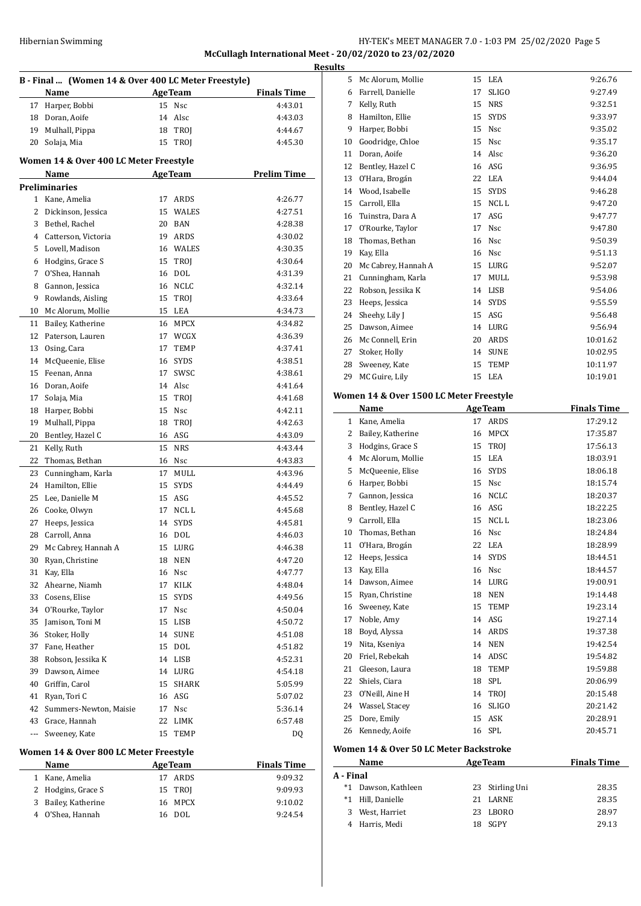# Hibernian Swimming HY-TEK's MEET MANAGER 7.0 - 1:03 PM 25/02/2020 Page 5 **McCullagh International Meet - 20/02/2020 to 23/02/2020**

|     |                                                             |    |                |                    | <b>Results</b> |
|-----|-------------------------------------------------------------|----|----------------|--------------------|----------------|
|     | B - Final  (Women 14 & Over 400 LC Meter Freestyle)<br>Name |    | <b>AgeTeam</b> | <b>Finals Time</b> |                |
|     | 17 Harper, Bobbi                                            |    | 15 Nsc         | 4:43.01            |                |
|     | 18 Doran, Aoife                                             |    | 14 Alsc        | 4:43.03            |                |
| 19  | Mulhall, Pippa                                              |    | 18 TROJ        | 4:44.67            |                |
| 20  | Solaja, Mia                                                 | 15 | TROJ           | 4:45.30            | 1              |
|     | Women 14 & Over 400 LC Meter Freestyle                      |    |                |                    |                |
|     | Name                                                        |    | <b>AgeTeam</b> | <b>Prelim Time</b> | 1              |
|     | Preliminaries                                               |    |                |                    |                |
|     | 1 Kane, Amelia                                              | 17 | ARDS           | 4:26.77            |                |
|     | 2 Dickinson, Jessica                                        |    | 15 WALES       | 4:27.51            |                |
|     | 3 Bethel, Rachel                                            |    | 20 BAN         | 4:28.38            |                |
|     | 4 Catterson, Victoria                                       |    | 19 ARDS        | 4:30.02            |                |
|     | 5 Lovell, Madison                                           |    | 16 WALES       | 4:30.35            |                |
|     | 6 Hodgins, Grace S                                          |    | 15 TROJ        | 4:30.64            | 1              |
| 7   | O'Shea, Hannah                                              |    | 16 DOL         | 4:31.39            | 2              |
| 8   | Gannon, Jessica                                             |    | 16 NCLC        | 4:32.14            | 2<br>2         |
| 9   | Rowlands, Aisling                                           |    | 15 TROJ        | 4:33.64            |                |
|     | 10 Mc Alorum, Mollie                                        |    | 15 LEA         | 4:34.73            |                |
|     |                                                             |    | 16 MPCX        |                    | 2              |
|     | 11 Bailey, Katherine                                        |    |                | 4:34.82            | 2              |
|     | 12 Paterson, Lauren                                         |    | 17 WCGX        | 4:36.39            | 2              |
| 13  | Osing, Cara                                                 | 17 | TEMP           | 4:37.41            |                |
| 14  | McQueenie, Elise                                            |    | 16 SYDS        | 4:38.51            |                |
| 15  | Feenan, Anna                                                | 17 | SWSC           | 4:38.61            | 2              |
| 16  | Doran, Aoife                                                |    | 14 Alsc        | 4:41.64            |                |
| 17  | Solaja, Mia                                                 |    | 15 TROJ        | 4:41.68            | Wo             |
| 18  | Harper, Bobbi                                               |    | 15 Nsc         | 4:42.11            |                |
| 19  | Mulhall, Pippa                                              | 18 | TROJ           | 4:42.63            |                |
| 20  | Bentley, Hazel C                                            |    | 16 ASG         | 4:43.09            |                |
| 21  | Kelly, Ruth                                                 |    | 15 NRS         | 4:43.44            |                |
| 22  | Thomas, Bethan                                              |    | 16 Nsc         | 4:43.83            |                |
| 23  | Cunningham, Karla                                           | 17 | MULL           | 4:43.96            |                |
| 24  | Hamilton, Ellie                                             | 15 | <b>SYDS</b>    | 4:44.49            |                |
| 25  | Lee, Danielle M                                             |    | 15 ASG         | 4:45.52            |                |
| 26  | Cooke, Olwyn                                                | 17 | NCL L          | 4:45.68            |                |
| 27  | Heeps, Jessica                                              | 14 | <b>SYDS</b>    | 4:45.81            |                |
| 28  | Carroll, Anna                                               |    | 16 DOL         | 4:46.03            |                |
| 29. | Mc Cabrey, Hannah A                                         | 15 | LURG           | 4:46.38            |                |
| 30  | Ryan, Christine                                             | 18 | NEN            | 4:47.20            | 1              |
|     | 31 Kay, Ella                                                |    | 16 Nsc         | 4:47.77            | 1              |
| 32  | Ahearne, Niamh                                              |    | 17 KILK        | 4:48.04            | 1              |
|     | 33 Cosens, Elise                                            | 15 | <b>SYDS</b>    | 4:49.56            | 1              |
| 34  | O'Rourke, Taylor                                            | 17 | Nsc            | 4:50.04            | 1              |
| 35  | Jamison, Toni M                                             |    | 15 LISB        | 4:50.72            | 1              |
| 36  | Stoker, Holly                                               | 14 | <b>SUNE</b>    | 4:51.08            | 1              |
| 37  | Fane, Heather                                               |    | 15 DOL         | 4:51.82            | 1              |
| 38  | Robson, Jessika K                                           |    | 14 LISB        | 4:52.31            | 2              |
| 39  | Dawson, Aimee                                               |    | 14 LURG        | 4:54.18            | 2              |
| 40  | Griffin, Carol                                              | 15 | SHARK          | 5:05.99            | 2              |
| 41  | Ryan, Tori C                                                |    | 16 ASG         | 5:07.02            | 2              |
| 42  | Summers-Newton, Maisie                                      | 17 | Nsc            | 5:36.14            | 2              |
| 43  | Grace, Hannah                                               |    | 22 LIMK        | 6:57.48            | 2              |
| --- | Sweeney, Kate                                               | 15 | TEMP           | DQ                 | 2              |
|     |                                                             |    |                |                    |                |

#### **Women 14 & Over 800 LC Meter Freestyle**

| <b>Name</b>         | <b>AgeTeam</b> | <b>Finals Time</b> |
|---------------------|----------------|--------------------|
| 1 Kane, Amelia      | 17 ARDS        | 9:09.32            |
| 2 Hodgins, Grace S  | 15 TROI        | 9:09.93            |
| 3 Bailey, Katherine | 16 MPCX        | 9:10.02            |
| 4 O'Shea, Hannah    | 16 DOL         | 9:24.54            |
|                     |                |                    |

| Name<br>AgaTaam |                                         |    |              | Finale Time |
|-----------------|-----------------------------------------|----|--------------|-------------|
|                 | Vomen 14 & Over 1500 LC Meter Freestyle |    |              |             |
| 29              | MC Guire, Lily                          | 15 | LEA          | 10:19.01    |
| 28              | Sweeney, Kate                           | 15 | <b>TEMP</b>  | 10:11.97    |
| 27              | Stoker, Holly                           | 14 | <b>SUNE</b>  | 10:02.95    |
| 26              | Mc Connell, Erin                        | 20 | ARDS         | 10:01.62    |
| 25              | Dawson, Aimee                           | 14 | LURG         | 9:56.94     |
| 24              | Sheehy, Lily J                          | 15 | ASG          | 9:56.48     |
| 23              | Heeps, Jessica                          | 14 | <b>SYDS</b>  | 9:55.59     |
| 22              | Robson, Jessika K                       | 14 | <b>LISB</b>  | 9:54.06     |
| 21              | Cunningham, Karla                       | 17 | MULL         | 9:53.98     |
| 20              | Mc Cabrey, Hannah A                     | 15 | LURG         | 9:52.07     |
| 19              | Kay, Ella                               | 16 | <b>Nsc</b>   | 9:51.13     |
| 18              | Thomas, Bethan                          | 16 | Nsc          | 9:50.39     |
| 17              | O'Rourke, Taylor                        | 17 | Nsc          | 9:47.80     |
| 16              | Tuinstra, Dara A                        | 17 | ASG          | 9:47.77     |
| 15              | Carroll, Ella                           | 15 | NCL L        | 9:47.20     |
| 14              | Wood, Isabelle                          | 15 | <b>SYDS</b>  | 9:46.28     |
| 13              | O'Hara, Brogán                          | 22 | <b>LEA</b>   | 9:44.04     |
| 12              | Bentley, Hazel C                        | 16 | ASG          | 9:36.95     |
| 11              | Doran, Aoife                            | 14 | Alsc         | 9:36.20     |
| 10              | Goodridge, Chloe                        | 15 | <b>Nsc</b>   | 9:35.17     |
| 9               | Harper, Bobbi                           | 15 | <b>Nsc</b>   | 9:35.02     |
| 8               | Hamilton, Ellie                         | 15 | <b>SYDS</b>  | 9:33.97     |
| 7               | Kelly, Ruth                             | 15 | <b>NRS</b>   | 9:32.51     |
| 6               | Farrell, Danielle                       | 17 | <b>SLIGO</b> | 9:27.49     |
| 5               | Mc Alorum, Mollie                       | 15 | LEA          | 9:26.76     |

#### **Women 14 & Over 1500 LC Meter Freestyle Name Age Team Finals Time**  Kane, Amelia 17 ARDS 17:29.12 2 Bailey, Katherine 16 MPCX 17:35.87 3 Hodgins, Grace S 15 TROJ 17:56.13 Mc Alorum, Mollie 15 LEA 18:03.91 McQueenie, Elise 16 SYDS 18:06.18 Harper, Bobbi 15 Nsc 18:15.74 Gannon, Jessica 16 NCLC 18:20.37 8 Bentley, Hazel C 16 ASG 18:22.25 9 Carroll, Ella 15 NCL L 18:23.06 Thomas, Bethan 16 Nsc 18:24.84 O'Hara, Brogaán 22 LEA 18:28.99 Heeps, Jessica 14 SYDS 18:44.51 Kay, Ella 16 Nsc 18:44.57 Dawson, Aimee 14 LURG 19:00.91 Ryan, Christine 18 NEN 19:14.48 Sweeney, Kate 15 TEMP 19:23.14 Noble, Amy 14 ASG 19:27.14 Boyd, Alyssa 14 ARDS 19:37.38 Nita, Kseniya 14 NEN 19:42.54 Friel, Rebekah 14 ADSC 19:54.82 Gleeson, Laura 18 TEMP 19:59.88 Shiels, Ciara 18 SPL 20:06.99 23 O'Neill, Aine H 14 TROJ 20:15.48 Wassel, Stacey 16 SLIGO 20:21.42 Dore, Emily 15 ASK 20:28.91 Kennedy, Aoife 16 SPL 20:45.71

#### **Women 14 & Over 50 LC Meter Backstroke**

| Name                |  | <b>Finals Time</b>                                                   |
|---------------------|--|----------------------------------------------------------------------|
| A - Final           |  |                                                                      |
| *1 Dawson, Kathleen |  | 28.35                                                                |
| *1 Hill, Danielle   |  | 28.35                                                                |
| West, Harriet       |  | 28.97                                                                |
| 4 Harris, Medi      |  | 29.13                                                                |
|                     |  | <b>AgeTeam</b><br>23 Stirling Uni<br>21 LARNE<br>23 LBORO<br>18 SGPY |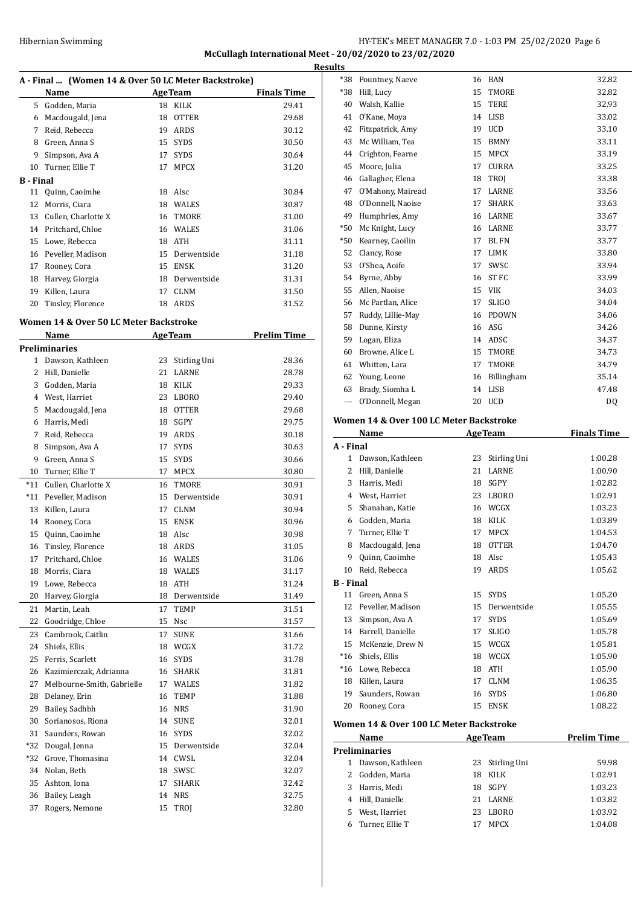# HY-TEK's MEET MANAGER 7.0 - 1:03 PM 25/02/2020 Page 6 **McCullagh International Meet - 20/02/2020 to 23/02/2020**

|                  | A - Final  (Women 14 & Over 50 LC Meter Backstroke) |    |                |                    |  |
|------------------|-----------------------------------------------------|----|----------------|--------------------|--|
|                  | Name                                                |    | <b>AgeTeam</b> | <b>Finals Time</b> |  |
| 5.               | Godden, Maria                                       | 18 | <b>KILK</b>    | 29.41              |  |
| 6                | Macdougald, Jena                                    | 18 | <b>OTTER</b>   | 29.68              |  |
| 7                | Reid, Rebecca                                       | 19 | ARDS           | 30.12              |  |
| 8                | Green, Anna S                                       | 15 | <b>SYDS</b>    | 30.50              |  |
| 9                | Simpson, Ava A                                      | 17 | <b>SYDS</b>    | 30.64              |  |
| 10               | Turner, Ellie T                                     | 17 | <b>MPCX</b>    | 31.20              |  |
| <b>B</b> - Final |                                                     |    |                |                    |  |
| 11               | Quinn, Caoimhe                                      | 18 | Alsc           | 30.84              |  |
| 12               | Morris, Ciara                                       | 18 | <b>WALES</b>   | 30.87              |  |
| 13               | Cullen, Charlotte X                                 | 16 | TMORE          | 31.00              |  |
| 14               | Pritchard, Chloe                                    | 16 | <b>WALES</b>   | 31.06              |  |
| 15               | Lowe, Rebecca                                       | 18 | <b>ATH</b>     | 31.11              |  |
| 16               | Peveller, Madison                                   | 15 | Derwentside    | 31.18              |  |
| 17               | Rooney, Cora                                        | 15 | ENSK           | 31.20              |  |
| 18               | Harvey, Giorgia                                     | 18 | Derwentside    | 31.31              |  |
| 19               | Killen, Laura                                       | 17 | <b>CLNM</b>    | 31.50              |  |
| 20               | Tinsley, Florence                                   | 18 | <b>ARDS</b>    | 31.52              |  |

# **Women 14 & Over 50 LC Meter Backstroke**

|                | Name                       | <b>AgeTeam</b> |              | <b>Prelim Time</b> |
|----------------|----------------------------|----------------|--------------|--------------------|
|                | Preliminaries              |                |              |                    |
| 1              | Dawson, Kathleen           | 23             | Stirling Uni | 28.36              |
| $\overline{c}$ | Hill, Danielle             | 21             | <b>LARNE</b> | 28.78              |
| 3              | Godden, Maria              | 18             | KILK         | 29.33              |
| $\overline{4}$ | West, Harriet              | 23             | LBORO        | 29.40              |
| 5              | Macdougald, Jena           | 18             | <b>OTTER</b> | 29.68              |
| 6              | Harris, Medi               | 18             | SGPY         | 29.75              |
| 7              | Reid, Rebecca              | 19             | ARDS         | 30.18              |
| 8              | Simpson, Ava A             | 17             | <b>SYDS</b>  | 30.63              |
| 9              | Green, Anna S              | 15             | <b>SYDS</b>  | 30.66              |
| 10             | Turner, Ellie T            | 17             | <b>MPCX</b>  | 30.80              |
| *11            | Cullen, Charlotte X        | 16             | TMORE        | 30.91              |
| $*11$          | Peveller, Madison          | 15             | Derwentside  | 30.91              |
| 13             | Killen, Laura              | 17             | <b>CLNM</b>  | 30.94              |
| 14             | Rooney, Cora               | 15             | <b>ENSK</b>  | 30.96              |
| 15             | Quinn, Caoimhe             | 18             | Alsc         | 30.98              |
| 16             | Tinsley, Florence          |                | 18 ARDS      | 31.05              |
| 17             | Pritchard, Chloe           |                | 16 WALES     | 31.06              |
| 18             | Morris, Ciara              | 18             | WALES        | 31.17              |
| 19             | Lowe, Rebecca              | 18             | <b>ATH</b>   | 31.24              |
| 20             | Harvey, Giorgia            | 18             | Derwentside  | 31.49              |
| 21             | Martin, Leah               | 17             | TEMP         | 31.51              |
| 22             | Goodridge, Chloe           | 15             | Nsc          | 31.57              |
| 23             | Cambrook, Caitlin          | 17             | <b>SUNE</b>  | 31.66              |
| 24             | Shiels, Ellis              | 18             | WCGX         | 31.72              |
| 25             | Ferris, Scarlett           | 16             | <b>SYDS</b>  | 31.78              |
| 26             | Kazimierczak, Adrianna     | 16             | <b>SHARK</b> | 31.81              |
| 27             | Melbourne-Smith, Gabrielle |                | 17 WALES     | 31.82              |
| 28             | Delaney, Erin              | 16             | TEMP         | 31.88              |
| 29             | Bailey, Sadhbh             |                | 16 NRS       | 31.90              |
| 30             | Sorianosos, Riona          | 14             | <b>SUNE</b>  | 32.01              |
| 31             | Saunders, Rowan            | 16             | <b>SYDS</b>  | 32.02              |
| *32            | Dougal, Jenna              | 15             | Derwentside  | 32.04              |
| *32            | Grove, Thomasina           | 14             | CWSL         | 32.04              |
| 34             | Nolan, Beth                | 18             | SWSC         | 32.07              |
| 35             | Ashton, Iona               | 17             | <b>SHARK</b> | 32.42              |
| 36             | Bailey, Leagh              | 14             | <b>NRS</b>   | 32.75              |
| 37             | Rogers, Nemone             | 15             | <b>TROI</b>  | 32.80              |

| <b>Results</b> |                   |    |              |       |
|----------------|-------------------|----|--------------|-------|
| $*38$          | Pountney, Naeve   |    | 16 BAN       | 32.82 |
| *38            | Hill, Lucy        | 15 | <b>TMORE</b> | 32.82 |
| 40             | Walsh, Kallie     | 15 | <b>TERE</b>  | 32.93 |
| 41             | O'Kane, Moya      | 14 | <b>LISB</b>  | 33.02 |
| 42             | Fitzpatrick, Amy  | 19 | <b>UCD</b>   | 33.10 |
| 43             | Mc William, Tea   | 15 | <b>BMNY</b>  | 33.11 |
| 44             | Crighton, Fearne  | 15 | <b>MPCX</b>  | 33.19 |
| 45             | Moore, Julia      | 17 | <b>CURRA</b> | 33.25 |
| 46             | Gallagher, Elena  | 18 | TROI         | 33.38 |
| 47             | O'Mahony, Mairead | 17 | LARNE        | 33.56 |
| 48             | O'Donnell, Naoise | 17 | <b>SHARK</b> | 33.63 |
| 49             | Humphries, Amy    | 16 | LARNE        | 33.67 |
| $*50$          | Mc Knight, Lucy   | 16 | LARNE        | 33.77 |
| $*50$          | Kearney, Caoilin  | 17 | <b>BLFN</b>  | 33.77 |
| 52             | Clancy, Rose      | 17 | <b>LIMK</b>  | 33.80 |
| 53             | O'Shea, Aoife     | 17 | SWSC         | 33.94 |
| 54             | Byrne, Abby       | 16 | <b>ST FC</b> | 33.99 |
| 55             | Allen, Naoise     | 15 | <b>VIK</b>   | 34.03 |
| 56             | Mc Partlan, Alice | 17 | <b>SLIGO</b> | 34.04 |
| 57             | Ruddy, Lillie-May | 16 | <b>PDOWN</b> | 34.06 |
| 58             | Dunne, Kirsty     | 16 | ASG          | 34.26 |
| 59             | Logan, Eliza      | 14 | ADSC         | 34.37 |
| 60             | Browne, Alice L   | 15 | <b>TMORE</b> | 34.73 |
| 61             | Whitten, Lara     | 17 | <b>TMORE</b> | 34.79 |
| 62             | Young, Leone      | 16 | Billingham   | 35.14 |
| 63             | Brady, Siomha L   | 14 | <b>LISB</b>  | 47.48 |
| ---            | O'Donnell, Megan  | 20 | UCD          | DQ    |

#### **Women 14 & Over 100 LC Meter Backstroke**

|              | <b>Name</b>       |    | <b>AgeTeam</b> | Finals Time |
|--------------|-------------------|----|----------------|-------------|
| A - Final    |                   |    |                |             |
| $\mathbf{1}$ | Dawson, Kathleen  | 23 | Stirling Uni   | 1:00.28     |
| 2            | Hill, Danielle    | 21 | <b>LARNE</b>   | 1:00.90     |
| 3            | Harris, Medi      | 18 | <b>SGPY</b>    | 1:02.82     |
| 4            | West, Harriet     | 23 | <b>LBORO</b>   | 1:02.91     |
| 5            | Shanahan, Katie   | 16 | WCGX           | 1:03.23     |
| 6            | Godden, Maria     | 18 | <b>KILK</b>    | 1:03.89     |
| 7            | Turner, Ellie T   | 17 | <b>MPCX</b>    | 1:04.53     |
| 8            | Macdougald, Jena  | 18 | <b>OTTER</b>   | 1:04.70     |
| 9            | Quinn, Caoimhe    | 18 | Alsc           | 1:05.43     |
| 10           | Reid, Rebecca     | 19 | ARDS           | 1:05.62     |
| B - Final    |                   |    |                |             |
| 11           | Green, Anna S     | 15 | <b>SYDS</b>    | 1:05.20     |
| 12           | Peveller, Madison | 15 | Derwentside    | 1:05.55     |
| 13           | Simpson, Ava A    | 17 | <b>SYDS</b>    | 1:05.69     |
| 14           | Farrell, Danielle | 17 | <b>SLIGO</b>   | 1:05.78     |
| 15           | McKenzie, Drew N  | 15 | WCGX           | 1:05.81     |
| $*16$        | Shiels, Ellis     | 18 | WCGX           | 1:05.90     |
| $*16$        | Lowe, Rebecca     | 18 | <b>ATH</b>     | 1:05.90     |
| 18           | Killen, Laura     | 17 | <b>CLNM</b>    | 1:06.35     |
| 19           | Saunders, Rowan   | 16 | <b>SYDS</b>    | 1:06.80     |
| 20           | Rooney, Cora      | 15 | <b>ENSK</b>    | 1:08.22     |
|              |                   |    |                |             |

#### **Women 14 & Over 100 LC Meter Backstroke**

|                      | Name             | <b>AgeTeam</b> |                 | <b>Prelim Time</b> |  |  |
|----------------------|------------------|----------------|-----------------|--------------------|--|--|
| <b>Preliminaries</b> |                  |                |                 |                    |  |  |
|                      | Dawson, Kathleen |                | 23 Stirling Uni | 59.98              |  |  |
| 2                    | Godden, Maria    | 18.            | KILK            | 1:02.91            |  |  |
| 3                    | Harris. Medi     | 18             | SGPY            | 1:03.23            |  |  |
|                      | Hill, Danielle   | 21             | LARNE           | 1:03.82            |  |  |
| 5                    | West, Harriet    | 23             | LBORO           | 1:03.92            |  |  |
| 6                    | Turner, Ellie T  | 17             | <b>MPCX</b>     | 1:04.08            |  |  |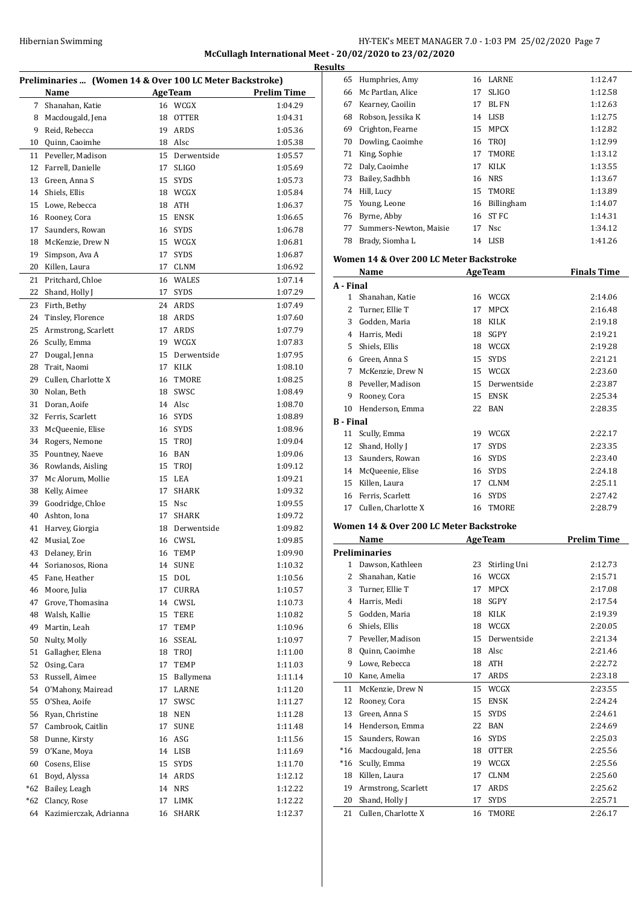# Hibernian Swimming HY-TEK's MEET MANAGER 7.0 - 1:03 PM 25/02/2020 Page 7 **McCullagh International Meet - 20/02/2020 to 23/02/2020 Results**

| Preliminaries  (Women 14 & Over 100 LC Meter Backstroke) |                        |    |                |                    |  |
|----------------------------------------------------------|------------------------|----|----------------|--------------------|--|
|                                                          | Name                   |    | <b>AgeTeam</b> | <b>Prelim Time</b> |  |
| 7                                                        | Shanahan, Katie        | 16 | WCGX           | 1:04.29            |  |
| 8                                                        | Macdougald, Jena       | 18 | <b>OTTER</b>   | 1:04.31            |  |
| 9                                                        | Reid, Rebecca          | 19 | ARDS           | 1:05.36            |  |
| 10                                                       | Quinn, Caoimhe         | 18 | Alsc           | 1:05.38            |  |
| 11                                                       | Peveller, Madison      | 15 | Derwentside    | 1:05.57            |  |
| 12                                                       | Farrell, Danielle      | 17 | <b>SLIGO</b>   | 1:05.69            |  |
| 13                                                       | Green, Anna S          | 15 | <b>SYDS</b>    | 1:05.73            |  |
| 14                                                       | Shiels, Ellis          |    | 18 WCGX        | 1:05.84            |  |
| 15                                                       | Lowe, Rebecca          | 18 | ATH            | 1:06.37            |  |
| 16                                                       | Rooney, Cora           | 15 | <b>ENSK</b>    | 1:06.65            |  |
| 17                                                       | Saunders, Rowan        | 16 | <b>SYDS</b>    | 1:06.78            |  |
| 18                                                       | McKenzie, Drew N       | 15 | WCGX           | 1:06.81            |  |
| 19                                                       | Simpson, Ava A         | 17 | <b>SYDS</b>    | 1:06.87            |  |
| 20                                                       | Killen, Laura          | 17 | <b>CLNM</b>    | 1:06.92            |  |
| 21                                                       | Pritchard, Chloe       | 16 | <b>WALES</b>   | 1:07.14            |  |
| 22                                                       | Shand, Holly J         | 17 | <b>SYDS</b>    | 1:07.29            |  |
| 23                                                       | Firth, Bethy           | 24 | ARDS           | 1:07.49            |  |
| 24                                                       | Tinsley, Florence      | 18 | ARDS           | 1:07.60            |  |
| 25                                                       | Armstrong, Scarlett    | 17 | <b>ARDS</b>    | 1:07.79            |  |
| 26                                                       | Scully, Emma           |    | 19 WCGX        | 1:07.83            |  |
| 27                                                       | Dougal, Jenna          | 15 | Derwentside    | 1:07.95            |  |
| 28                                                       | Trait, Naomi           | 17 | <b>KILK</b>    | 1:08.10            |  |
| 29                                                       | Cullen, Charlotte X    | 16 | TMORE          | 1:08.25            |  |
| 30                                                       | Nolan, Beth            | 18 | SWSC           | 1:08.49            |  |
| 31                                                       | Doran, Aoife           | 14 | Alsc           | 1:08.70            |  |
| 32                                                       | Ferris, Scarlett       | 16 | <b>SYDS</b>    | 1:08.89            |  |
| 33                                                       | McQueenie, Elise       | 16 | <b>SYDS</b>    | 1:08.96            |  |
| 34                                                       | Rogers, Nemone         | 15 | <b>TROJ</b>    | 1:09.04            |  |
| 35                                                       | Pountney, Naeve        | 16 | <b>BAN</b>     | 1:09.06            |  |
| 36                                                       | Rowlands, Aisling      | 15 | TROJ           | 1:09.12            |  |
| 37                                                       | Mc Alorum, Mollie      | 15 | LEA            | 1:09.21            |  |
| 38                                                       | Kelly, Aimee           | 17 | <b>SHARK</b>   | 1:09.32            |  |
| 39                                                       | Goodridge, Chloe       | 15 | Nsc            | 1:09.55            |  |
| 40                                                       | Ashton, Iona           | 17 | <b>SHARK</b>   | 1:09.72            |  |
| 41                                                       | Harvey, Giorgia        | 18 | Derwentside    | 1:09.82            |  |
| 42                                                       | Musial, Zoe            |    | 16 CWSL        | 1:09.85            |  |
|                                                          | 43 Delaney, Erin       |    | 16 TEMP        | 1:09.90            |  |
|                                                          | 44 Sorianosos, Riona   |    | 14 SUNE        | 1:10.32            |  |
| 45                                                       | Fane, Heather          | 15 | <b>DOL</b>     | 1:10.56            |  |
| 46                                                       | Moore, Julia           | 17 | CURRA          | 1:10.57            |  |
| 47                                                       | Grove, Thomasina       | 14 | CWSL           | 1:10.73            |  |
| 48                                                       | Walsh, Kallie          | 15 | TERE           | 1:10.82            |  |
| 49                                                       | Martin, Leah           | 17 | TEMP           | 1:10.96            |  |
| 50                                                       | Nulty, Molly           | 16 | SSEAL          | 1:10.97            |  |
| 51                                                       | Gallagher, Elena       | 18 | TROJ           | 1:11.00            |  |
| 52                                                       | Osing, Cara            | 17 | TEMP           | 1:11.03            |  |
| 53                                                       | Russell, Aimee         | 15 | Ballymena      | 1:11.14            |  |
| 54                                                       | O'Mahony, Mairead      | 17 | LARNE          | 1:11.20            |  |
| 55                                                       | O'Shea, Aoife          | 17 | SWSC           | 1:11.27            |  |
| 56                                                       | Ryan, Christine        | 18 | NEN            | 1:11.28            |  |
| 57                                                       | Cambrook, Caitlin      | 17 | <b>SUNE</b>    | 1:11.48            |  |
| 58                                                       | Dunne, Kirsty          | 16 | ASG            | 1:11.56            |  |
| 59                                                       | O'Kane, Moya           | 14 | LISB           | 1:11.69            |  |
| 60                                                       | Cosens, Elise          | 15 | <b>SYDS</b>    | 1:11.70            |  |
| 61                                                       | Boyd, Alyssa           | 14 | ARDS           | 1:12.12            |  |
| *62                                                      | Bailey, Leagh          | 14 | NRS            | 1:12.22            |  |
| *62                                                      | Clancy, Rose           | 17 | LIMK           | 1:12.22            |  |
| 64                                                       | Kazimierczak, Adrianna | 16 | SHARK          | 1:12.37            |  |
|                                                          |                        |    |                |                    |  |

| 65 | Humphries, Amy         |    | 16 LARNE     | 1:12.47 |
|----|------------------------|----|--------------|---------|
| 66 | Mc Partlan, Alice      | 17 | <b>SLIGO</b> | 1:12.58 |
| 67 | Kearney, Caoilin       | 17 | BL FN        | 1:12.63 |
| 68 | Robson, Jessika K      | 14 | LISB         | 1:12.75 |
| 69 | Crighton, Fearne       | 15 | MPCX         | 1:12.82 |
| 70 | Dowling, Caoimhe       | 16 | TROI         | 1:12.99 |
| 71 | King, Sophie           | 17 | TMORE        | 1:13.12 |
| 72 | Daly, Caoimhe          | 17 | KILK         | 1:13.55 |
| 73 | Bailey, Sadhbh         | 16 | <b>NRS</b>   | 1:13.67 |
| 74 | Hill, Lucy             |    | 15 TMORE     | 1:13.89 |
|    | 75 Young, Leone        | 16 | Billingham   | 1:14.07 |
| 76 | Byrne, Abby            | 16 | ST FC        | 1:14.31 |
| 77 | Summers-Newton, Maisie | 17 | Nsc          | 1:34.12 |
| 78 | Brady, Siomha L        | 14 | LISB         | 1:41.26 |

#### **Women 14 & Over 200 LC Meter Backstroke**

|                  | Name                                    |    | <b>AgeTeam</b> | <b>Finals Time</b> |
|------------------|-----------------------------------------|----|----------------|--------------------|
| A - Final        |                                         |    |                |                    |
| 1                | Shanahan, Katie                         |    | 16 WCGX        | 2:14.06            |
| 2                | Turner, Ellie T                         | 17 | <b>MPCX</b>    | 2:16.48            |
| 3                | Godden, Maria                           | 18 | <b>KILK</b>    | 2:19.18            |
| 4                | Harris, Medi                            | 18 | <b>SGPY</b>    | 2:19.21            |
| 5                | Shiels, Ellis                           | 18 | WCGX           | 2:19.28            |
| 6                | Green, Anna S                           | 15 | <b>SYDS</b>    | 2:21.21            |
| 7                | McKenzie, Drew N                        | 15 | WCGX           | 2:23.60            |
| 8                | Peveller, Madison                       | 15 | Derwentside    | 2:23.87            |
| 9                | Rooney, Cora                            | 15 | <b>ENSK</b>    | 2:25.34            |
| 10               | Henderson, Emma                         | 22 | <b>BAN</b>     | 2:28.35            |
| <b>B</b> - Final |                                         |    |                |                    |
| 11               | Scully, Emma                            | 19 | WCGX           | 2:22.17            |
| 12               | Shand, Holly J                          | 17 | <b>SYDS</b>    | 2:23.35            |
| 13               | Saunders, Rowan                         | 16 | <b>SYDS</b>    | 2:23.40            |
| 14               | McQueenie, Elise                        | 16 | <b>SYDS</b>    | 2:24.18            |
| 15               | Killen, Laura                           | 17 | <b>CLNM</b>    | 2:25.11            |
| 16               | Ferris, Scarlett                        | 16 | <b>SYDS</b>    | 2:27.42            |
| 17               | Cullen, Charlotte X                     | 16 | <b>TMORE</b>   | 2:28.79            |
|                  | Women 14 & Over 200 LC Meter Backstroke |    |                |                    |
|                  | Name                                    |    | <b>AgeTeam</b> | <b>Prelim Time</b> |
|                  | <b>Preliminaries</b>                    |    |                |                    |
| $\mathbf{1}$     | Dawson, Kathleen                        | 23 | Stirling Uni   | 2:12.73            |
|                  | 2. Chanaban Vatio                       |    | $16$ MCCV      | $7.1E$ 71          |

|       | Preliminaries       |    |              |         |
|-------|---------------------|----|--------------|---------|
| 1     | Dawson, Kathleen    | 23 | Stirling Uni | 2:12.73 |
| 2     | Shanahan, Katie     | 16 | WCGX         | 2:15.71 |
| 3     | Turner, Ellie T     | 17 | <b>MPCX</b>  | 2:17.08 |
| 4     | Harris, Medi        | 18 | SGPY         | 2:17.54 |
| 5     | Godden, Maria       | 18 | <b>KILK</b>  | 2:19.39 |
| 6     | Shiels, Ellis       | 18 | WCGX         | 2:20.05 |
| 7     | Peveller, Madison   | 15 | Derwentside  | 2:21.34 |
| 8     | Quinn, Caoimhe      | 18 | Alsc         | 2:21.46 |
| 9     | Lowe, Rebecca       | 18 | <b>ATH</b>   | 2:22.72 |
| 10    | Kane, Amelia        | 17 | ARDS         | 2:23.18 |
| 11    | McKenzie, Drew N    | 15 | WCGX         | 2:23.55 |
| 12    | Rooney, Cora        | 15 | <b>ENSK</b>  | 2:24.24 |
| 13    | Green, Anna S       | 15 | <b>SYDS</b>  | 2:24.61 |
| 14    | Henderson, Emma     | 22 | <b>BAN</b>   | 2:24.69 |
| 15    | Saunders, Rowan     | 16 | <b>SYDS</b>  | 2:25.03 |
| $*16$ | Macdougald, Jena    | 18 | <b>OTTER</b> | 2:25.56 |
| $*16$ | Scully, Emma        | 19 | WCGX         | 2:25.56 |
| 18    | Killen, Laura       | 17 | <b>CLNM</b>  | 2:25.60 |
| 19    | Armstrong, Scarlett | 17 | ARDS         | 2:25.62 |
| 20    | Shand, Holly J      | 17 | <b>SYDS</b>  | 2:25.71 |
| 21    | Cullen, Charlotte X | 16 | <b>TMORE</b> | 2:26.17 |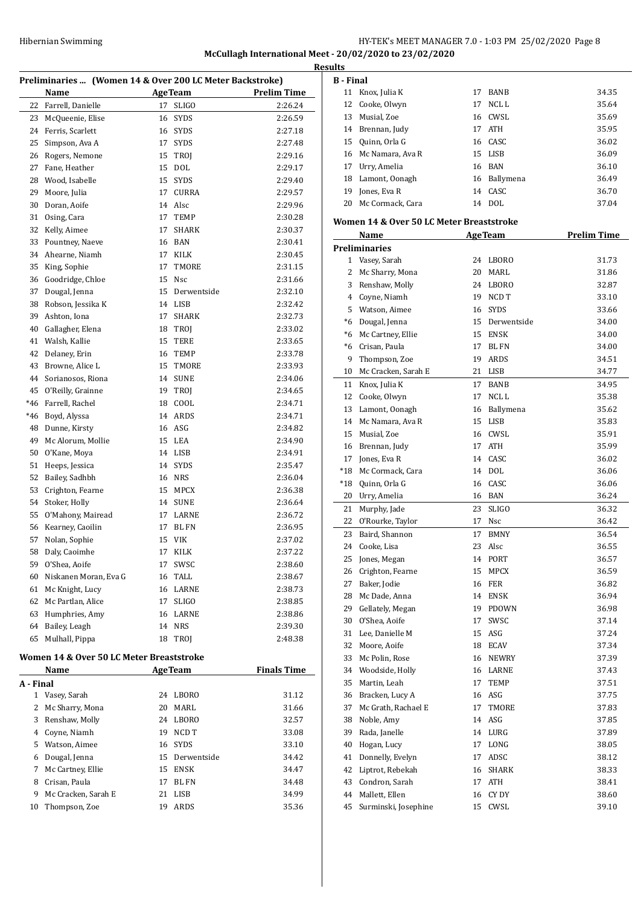# HY-TEK's MEET MANAGER 7.0 - 1:03 PM 25/02/2020 Page 8 **McCullagh International Meet - 20/02/2020 to 23/02/2020**

|                                                          | Preliminaries  (Women 14 & Over 200 LC Meter Backstroke) |    |                |                    | <b>Results</b><br>$B -$ |
|----------------------------------------------------------|----------------------------------------------------------|----|----------------|--------------------|-------------------------|
|                                                          | Name                                                     |    | <b>AgeTeam</b> | <b>Prelim Time</b> | 1                       |
| 22                                                       | Farrell, Danielle                                        | 17 | <b>SLIGO</b>   | 2:26.24            | 1                       |
| 23                                                       | McQueenie, Elise                                         | 16 | <b>SYDS</b>    | 2:26.59            | 1                       |
| 24                                                       | Ferris, Scarlett                                         |    | 16 SYDS        | 2:27.18            | 1                       |
| 25                                                       | Simpson, Ava A                                           |    | 17 SYDS        | 2:27.48            | 1                       |
| 26                                                       | Rogers, Nemone                                           |    | 15 TROJ        | 2:29.16            | 1                       |
| 27                                                       | Fane, Heather                                            |    | 15 DOL         | 2:29.17            | 1                       |
| 28                                                       | Wood, Isabelle                                           |    | 15 SYDS        | 2:29.40            | 1                       |
| 29                                                       | Moore, Julia                                             |    | 17 CURRA       | 2:29.57            | 1                       |
| 30                                                       | Doran, Aoife                                             |    | 14 Alsc        | 2:29.96            | 2                       |
| 31                                                       | Osing, Cara                                              |    | 17 TEMP        | 2:30.28            | Wo                      |
| 32                                                       | Kelly, Aimee                                             | 17 | SHARK          | 2:30.37            |                         |
|                                                          | 33 Pountney, Naeve                                       |    | 16 BAN         | 2:30.41            |                         |
|                                                          | 34 Ahearne, Niamh                                        |    | 17 KILK        | 2:30.45            | Pre                     |
|                                                          | 35 King, Sophie                                          |    | 17 TMORE       | 2:31.15            |                         |
| 36                                                       | Goodridge, Chloe                                         |    | 15 Nsc         | 2:31.66            |                         |
| 37                                                       | Dougal, Jenna                                            |    | 15 Derwentside | 2:32.10            |                         |
| 38                                                       | Robson, Jessika K                                        |    | 14 LISB        | 2:32.42            |                         |
| 39                                                       | Ashton, Iona                                             |    | 17 SHARK       | 2:32.73            |                         |
| 40                                                       | Gallagher, Elena                                         |    | 18 TROJ        | 2:33.02            |                         |
| 41                                                       | Walsh, Kallie                                            |    | 15 TERE        | 2:33.65            | $\ast$                  |
| 42                                                       | Delaney, Erin                                            |    | 16 TEMP        | 2:33.78            |                         |
| 43                                                       | Browne, Alice L                                          |    | 15 TMORE       | 2:33.93            | 1                       |
| 44                                                       | Sorianosos, Riona                                        |    | 14 SUNE        | 2:34.06            | $\mathbf{1}$            |
|                                                          | 45 O'Reilly, Grainne                                     |    | 19 TROJ        | 2:34.65            | 1                       |
|                                                          | *46 Farrell, Rachel                                      |    | 18 COOL        | 2:34.71            | 1                       |
| *46                                                      | Boyd, Alyssa                                             |    | 14 ARDS        | 2:34.71            | 1                       |
| 48                                                       | Dunne, Kirsty                                            |    | 16 ASG         | 2:34.82            | 1                       |
| 49                                                       | Mc Alorum, Mollie                                        |    | 15 LEA         | 2:34.90            | 1                       |
| 50                                                       | O'Kane, Moya                                             |    | 14 LISB        | 2:34.91            | 1                       |
| 51                                                       | Heeps, Jessica                                           |    | 14 SYDS        | 2:35.47            | $^*1$                   |
| 52                                                       | Bailey, Sadhbh                                           |    | 16 NRS         | 2:36.04            | $^*1$                   |
| 53                                                       | Crighton, Fearne                                         |    | 15 MPCX        | 2:36.38            | 2                       |
| 54                                                       | Stoker, Holly                                            |    | 14 SUNE        | 2:36.64            | $\overline{2}$          |
| 55                                                       | O'Mahony, Mairead                                        |    | 17 LARNE       | 2:36.72            | $\overline{\mathbf{c}}$ |
|                                                          | 56 Kearney, Caoilin                                      |    | 17 BL FN       | 2:36.95            | $\overline{2}$          |
| 57                                                       | Nolan, Sophie                                            | 15 | VIK            | 2:37.02            | $\overline{\mathbf{c}}$ |
|                                                          | 58 Daly, Caoimhe                                         |    | 17 KILK        | 2:37.22            | 2                       |
| 59                                                       | O'Shea, Aoife                                            | 17 | SWSC           | 2:38.60            | 2                       |
| 60                                                       | Niskanen Moran, Eva G                                    | 16 | TALL           | 2:38.67            | 2                       |
| 61                                                       | Mc Knight, Lucy                                          |    | 16 LARNE       | 2:38.73            | 2                       |
| 62                                                       | Mc Partlan, Alice                                        | 17 | SLIGO          | 2:38.85            | $\overline{\mathbf{c}}$ |
| 63                                                       | Humphries, Amy                                           | 16 | LARNE          | 2:38.86            | 3                       |
| 64                                                       | Bailey, Leagh                                            |    | 14 NRS         | 2:39.30            | 3                       |
| 65                                                       | Mulhall, Pippa                                           | 18 | TROJ           | 2:48.38            | 3                       |
|                                                          | Women 14 & Over 50 LC Meter Breaststroke                 |    |                |                    | 3                       |
| Einele Tim<br>N <sub>cm</sub><br>$A \sim \text{Tr} \sim$ |                                                          |    |                |                    |                         |

|           | Name<br><b>AgeTeam</b> |    | <b>Finals Time</b> |       |
|-----------|------------------------|----|--------------------|-------|
| A - Final |                        |    |                    |       |
| 1         | Vasey, Sarah           | 24 | LBORO              | 31.12 |
| 2         | Mc Sharry, Mona        | 20 | MARI.              | 31.66 |
| 3         | Renshaw, Molly         | 24 | LBORO              | 32.57 |
| 4         | Coyne, Niamh           | 19 | NCD T              | 33.08 |
| 5.        | Watson, Aimee          |    | 16 SYDS            | 33.10 |
| 6         | Dougal, Jenna          |    | 15 Derwentside     | 34.42 |
| 7         | Mc Cartney, Ellie      | 15 | <b>ENSK</b>        | 34.47 |
| 8         | Crisan, Paula          | 17 | BL FN              | 34.48 |
| 9         | Mc Cracken, Sarah E    | 21 | <b>LISB</b>        | 34.99 |
| 10        | Thompson, Zoe          | 19 | <b>ARDS</b>        | 35.36 |
|           |                        |    |                    |       |

| <b>B</b> - Final |                                                  |    |                |                    |
|------------------|--------------------------------------------------|----|----------------|--------------------|
|                  | 11 Knox, Julia K                                 |    | 17 BANB        | 34.35              |
| 12               | Cooke, Olwyn                                     | 17 | NCL L          | 35.64              |
|                  | 13 Musial, Zoe                                   |    | 16 CWSL        | 35.69              |
|                  | 14 Brennan, Judy                                 |    | 17 ATH         | 35.95              |
|                  | 15 Ouinn. Orla G                                 |    | 16 CASC        | 36.02              |
|                  | 16 Mc Namara, Ava R                              |    | 15 LISB        | 36.09              |
|                  | 17 Urry, Amelia                                  |    | 16 BAN         | 36.10              |
|                  | 18 Lamont, Oonagh                                |    | 16 Ballymena   | 36.49              |
|                  | 19 Jones, Eva R                                  |    | 14 CASC        | 36.70              |
|                  | 20 Mc Cormack, Cara                              |    | 14 DOL         | 37.04              |
|                  |                                                  |    |                |                    |
|                  | Women 14 & Over 50 LC Meter Breaststroke<br>Name |    | <b>AgeTeam</b> | <b>Prelim Time</b> |
|                  | <b>Preliminaries</b>                             |    |                |                    |
|                  | 1 Vasey, Sarah                                   |    | 24 LBORO       | 31.73              |
|                  | 2 Mc Sharry, Mona                                |    | 20 MARL        | 31.86              |
|                  | 3 Renshaw, Molly                                 |    | 24 LBORO       | 32.87              |
|                  | 4 Coyne, Niamh                                   |    | 19 NCD T       | 33.10              |
|                  | 5 Watson, Aimee                                  |    | 16 SYDS        | 33.66              |
|                  | *6 Dougal, Jenna                                 |    | 15 Derwentside | 34.00              |
|                  | *6 Mc Cartney, Ellie                             |    | 15 ENSK        | 34.00              |
|                  | *6 Crisan, Paula                                 |    | 17 BL FN       |                    |
|                  |                                                  |    |                | 34.00              |
|                  | 9 Thompson, Zoe<br>10 Mc Cracken, Sarah E        |    | 19 ARDS        | 34.51              |
|                  |                                                  | 21 | LISB           | 34.77              |
|                  | 11 Knox, Julia K                                 | 17 | <b>BANB</b>    | 34.95              |
|                  | 12 Cooke, Olwyn                                  | 17 | NCL L          | 35.38              |
|                  | 13 Lamont, Oonagh                                |    | 16 Ballymena   | 35.62              |
|                  | 14 Mc Namara, Ava R                              |    | 15 LISB        | 35.83              |
|                  | 15 Musial, Zoe                                   |    | 16 CWSL        | 35.91              |
|                  | 16 Brennan, Judy                                 |    | 17 ATH         | 35.99              |
|                  | 17 Jones, Eva R                                  |    | 14 CASC        | 36.02              |
|                  | *18 Mc Cormack, Cara                             |    | 14 DOL         | 36.06              |
| *18              | Quinn, Orla G                                    |    | 16 CASC        | 36.06              |
|                  | 20 Urry, Amelia                                  |    | 16 BAN         | 36.24              |
| 21               | Murphy, Jade                                     | 23 | <b>SLIGO</b>   | 36.32              |
| 22               | O'Rourke, Taylor                                 | 17 | Nsc            | 36.42              |
| 23               | Baird, Shannon                                   | 17 | <b>BMNY</b>    | 36.54              |
| 24               | Cooke, Lisa                                      | 23 | Alsc           | 36.55              |
| 25               | Jones, Megan                                     | 14 | PORT           | 36.57              |
| 26               | Crighton, Fearne                                 | 15 | MPCX           | 36.59              |
| 27               | Baker, Jodie                                     | 16 | FER            | 36.82              |
| 28               | Mc Dade, Anna                                    | 14 | ENSK           | 36.94              |
| 29               | Gellately, Megan                                 | 19 | <b>PDOWN</b>   | 36.98              |
| 30               | O'Shea, Aoife                                    | 17 | SWSC           | 37.14              |
| 31               | Lee, Danielle M                                  | 15 | ASG            | 37.24              |
| 32               | Moore, Aoife                                     | 18 | ECAV           | 37.34              |
| 33               | Mc Polin, Rose                                   | 16 | <b>NEWRY</b>   | 37.39              |
| 34               | Woodside, Holly                                  | 16 | LARNE          | 37.43              |
| 35               | Martin, Leah                                     | 17 | <b>TEMP</b>    | 37.51              |
| 36               | Bracken, Lucy A                                  | 16 | ASG            | 37.75              |
| 37               | Mc Grath, Rachael E                              | 17 | TMORE          | 37.83              |
| 38               | Noble, Amy                                       | 14 | ASG            | 37.85              |
| 39               | Rada, Janelle                                    |    | 14 LURG        | 37.89              |
| 40               | Hogan, Lucy                                      | 17 | LONG           | 38.05              |
| 41               | Donnelly, Evelyn                                 | 17 | ADSC           | 38.12              |
| 42               | Liptrot, Rebekah                                 | 16 | SHARK          | 38.33              |
| 43               | Condron, Sarah                                   | 17 | ATH            | 38.41              |
| 44               | Mallett, Ellen                                   | 16 | CY DY          | 38.60              |
|                  | 45 Surminski, Josephine                          |    | 15 CWSL        | 39.10              |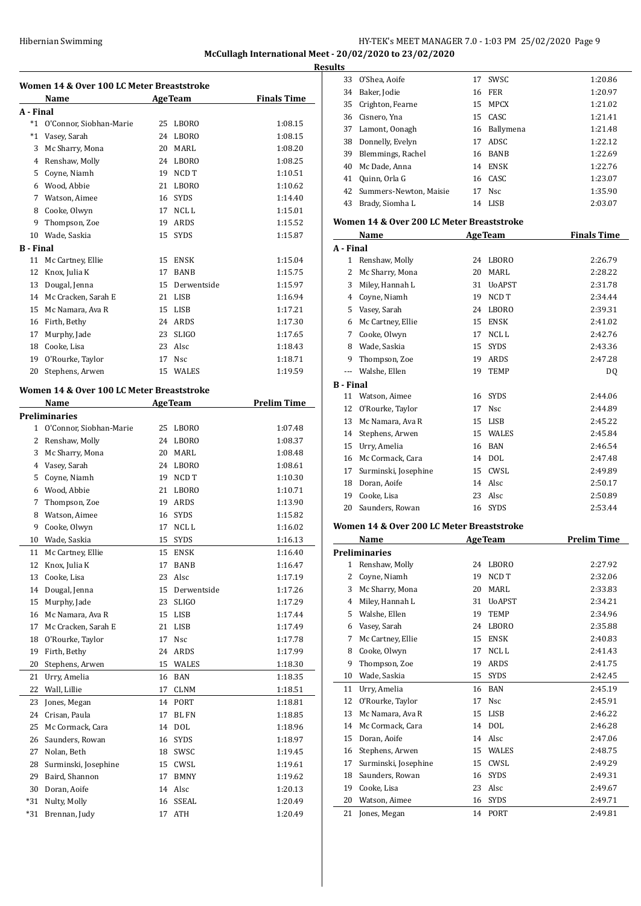# HY-TEK's MEET MANAGER 7.0 - 1:03 PM 25/02/2020 Page 9 **McCullagh International Meet - 20/02/2020 to 23/02/2020**

**Results**

| Women 14 & Over 100 LC Meter Breaststroke |                                           |                 |                |                    |  |
|-------------------------------------------|-------------------------------------------|-----------------|----------------|--------------------|--|
|                                           | Name                                      |                 | <b>AgeTeam</b> | <b>Finals Time</b> |  |
| A - Final                                 |                                           |                 |                |                    |  |
|                                           | *1 O'Connor, Siobhan-Marie                | 25              | LBORO          | 1:08.15            |  |
| $^*1$                                     | Vasey, Sarah                              | 24              | <b>LBORO</b>   | 1:08.15            |  |
| 3                                         | Mc Sharry, Mona                           |                 | 20 MARL        | 1:08.20            |  |
|                                           | 4 Renshaw, Molly                          |                 | 24 LBORO       | 1:08.25            |  |
| 5                                         | Coyne, Niamh                              |                 | 19 NCD T       | 1:10.51            |  |
|                                           | 6 Wood, Abbie                             |                 | 21 LBORO       | 1:10.62            |  |
|                                           | 7 Watson, Aimee                           |                 | 16 SYDS        | 1:14.40            |  |
|                                           | 8 Cooke, Olwyn                            |                 | 17 NCLL        | 1:15.01            |  |
| 9                                         | Thompson, Zoe                             |                 | 19 ARDS        | 1:15.52            |  |
|                                           | 10 Wade, Saskia                           | 15 <sup>2</sup> | SYDS           | 1:15.87            |  |
| <b>B</b> - Final                          |                                           |                 |                |                    |  |
| 11                                        | Mc Cartney, Ellie                         | 15              | <b>ENSK</b>    | 1:15.04            |  |
| 12                                        | Knox, Julia K                             | 17              | <b>BANB</b>    | 1:15.75            |  |
| 13                                        | Dougal, Jenna                             |                 | 15 Derwentside | 1:15.97            |  |
|                                           | 14 Mc Cracken, Sarah E                    |                 | 21 LISB        | 1:16.94            |  |
|                                           | 15 Mc Namara, Ava R                       |                 | 15 LISB        | 1:17.21            |  |
|                                           | 16 Firth, Bethy                           |                 | 24 ARDS        | 1:17.30            |  |
| 17                                        | Murphy, Jade                              |                 | 23 SLIGO       | 1:17.65            |  |
|                                           | 18 Cooke, Lisa                            |                 | 23 Alsc        | 1:18.43            |  |
|                                           | 19 O'Rourke, Taylor                       |                 | 17 Nsc         | 1:18.71            |  |
| 20                                        | Stephens, Arwen                           |                 | 15 WALES       | 1:19.59            |  |
|                                           | Women 14 & Over 100 LC Meter Breaststroke |                 |                |                    |  |
|                                           | <b>Name</b>                               |                 | <b>AgeTeam</b> | <b>Prelim Time</b> |  |
|                                           | <b>Preliminaries</b>                      |                 |                |                    |  |
|                                           | 1 O'Connor, Siobhan-Marie                 | 25              | LBORO          | 1:07.48            |  |
|                                           | 2 Renshaw, Molly                          |                 | 24 LBORO       | 1:08.37            |  |
|                                           | 3 Mc Sharry, Mona                         |                 | 20 MARL        | 1:08.48            |  |
|                                           | 4 Vasey, Sarah                            |                 | 24 LBORO       | 1:08.61            |  |
|                                           | 5 Coyne, Niamh                            |                 | 19 NCD T       | 1:10.30            |  |
|                                           | 6 Wood, Abbie                             |                 | 21 LBORO       | 1:10.71            |  |
| $\overline{7}$                            | Thompson, Zoe                             |                 | 19 ARDS        | 1:13.90            |  |
| 8                                         | Watson, Aimee                             |                 | 16 SYDS        | 1:15.82            |  |
| 9                                         | Cooke, Olwyn                              |                 | 17 NCL L       | 1:16.02            |  |
| 10                                        | Wade, Saskia                              | 15              | <b>SYDS</b>    | 1:16.13            |  |
| 11                                        | Mc Cartney, Ellie                         | 15              | <b>ENSK</b>    | 1:16.40            |  |
| 12                                        | Knox, Julia K                             | 17              | BANB           | 1:16.47            |  |
| 13                                        | Cooke, Lisa                               | 23              | Alsc           | 1:17.19            |  |
| 14                                        | Dougal, Jenna                             | 15              | Derwentside    | 1:17.26            |  |
| 15                                        | Murphy, Jade                              | 23              | SLIGO          | 1:17.29            |  |
| 16                                        | Mc Namara, Ava R                          | 15              | LISB           | 1:17.44            |  |
| 17                                        | Mc Cracken, Sarah E                       | 21              | LISB           | 1:17.49            |  |
| 18                                        | O'Rourke, Taylor                          | 17              | Nsc            | 1:17.78            |  |
| 19                                        | Firth, Bethy                              | 24              | ARDS           | 1:17.99            |  |
| 20                                        | Stephens, Arwen                           | 15              | WALES          | 1:18.30            |  |
| 21                                        | Urry, Amelia                              | 16              | BAN            | 1:18.35            |  |
| 22                                        | Wall, Lillie                              | 17              | CLNM           | 1:18.51            |  |
| 23                                        | Jones, Megan                              | 14              | PORT           | 1:18.81            |  |
| 24                                        | Crisan, Paula                             | 17              | BL FN          | 1:18.85            |  |
| 25                                        | Mc Cormack, Cara                          | 14              | DOL            | 1:18.96            |  |
| 26                                        | Saunders, Rowan                           | 16              | <b>SYDS</b>    | 1:18.97            |  |
| 27                                        | Nolan, Beth                               | 18              | SWSC           | 1:19.45            |  |
| 28                                        | Surminski, Josephine                      | 15              | CWSL           | 1:19.61            |  |
| 29                                        | Baird, Shannon                            | 17              | <b>BMNY</b>    | 1:19.62            |  |
| 30                                        | Doran, Aoife                              | 14              | Alsc           | 1:20.13            |  |
| *31                                       | Nulty, Molly                              | 16              | SSEAL          | 1:20.49            |  |
| *31                                       | Brennan, Judy                             | 17              | ATH            | 1:20.49            |  |
|                                           |                                           |                 |                |                    |  |

|                  | 34 Baker, Jodie                           |    | <b>16 FER</b>  | 1:20.97            |
|------------------|-------------------------------------------|----|----------------|--------------------|
|                  | 35 Crighton, Fearne                       |    | 15 MPCX        | 1:21.02            |
|                  | 36 Cisnero, Yna                           |    | 15 CASC        | 1:21.41            |
|                  | 37 Lamont, Oonagh                         |    | 16 Ballymena   | 1:21.48            |
|                  | 38 Donnelly, Evelyn                       |    | 17 ADSC        | 1:22.12            |
|                  | 39 Blemmings, Rachel                      |    | 16 BANB        | 1:22.69            |
| 40               | Mc Dade, Anna                             |    | 14 ENSK        | 1:22.76            |
|                  | 41 Quinn, Orla G                          |    | 16 CASC        | 1:23.07            |
|                  | 42 Summers-Newton, Maisie                 | 17 | Nsc            | 1:35.90            |
|                  | 43 Brady, Siomha L                        |    | 14 LISB        | 2:03.07            |
|                  |                                           |    |                |                    |
|                  | Women 14 & Over 200 LC Meter Breaststroke |    |                |                    |
|                  | Name                                      |    | <b>AgeTeam</b> | <b>Finals Time</b> |
| A - Final        |                                           |    |                |                    |
|                  | 1 Renshaw, Molly                          |    | 24 LBORO       | 2:26.79            |
| 2                | Mc Sharry, Mona                           |    | 20 MARL        | 2:28.22            |
|                  | 3 Miley, Hannah L                         |    | 31 UoAPST      | 2:31.78            |
|                  | 4 Coyne, Niamh                            |    | 19 NCD T       | 2:34.44            |
|                  | 5 Vasey, Sarah                            |    | 24 LBORO       | 2:39.31            |
|                  | 6 Mc Cartney, Ellie                       |    | 15 ENSK        | 2:41.02            |
|                  | 7 Cooke, Olwyn                            |    | 17 NCLL        | 2:42.76            |
|                  | 8 Wade, Saskia                            | 15 | <b>SYDS</b>    | 2:43.36            |
|                  | 9 Thompson, Zoe                           |    | 19 ARDS        | 2:47.28            |
|                  | --- Walshe, Ellen                         | 19 | <b>TEMP</b>    | DQ                 |
| <b>B</b> - Final |                                           |    |                |                    |
|                  | 11 Watson, Aimee                          |    | 16 SYDS        | 2:44.06            |
|                  | 12 O'Rourke, Taylor                       |    | 17 Nsc         | 2:44.89            |
| 13               | Mc Namara, Ava R                          |    | 15 LISB        | 2:45.22            |
|                  | 14 Stephens, Arwen                        |    | 15 WALES       | 2:45.84            |
|                  | 15 Urry, Amelia                           |    | 16 BAN         | 2:46.54            |
|                  | 16 Mc Cormack, Cara                       |    | 14 DOL         | 2:47.48            |
|                  | 17 Surminski, Josephine                   |    | 15 CWSL        | 2:49.89            |
| 18               | Doran, Aoife                              |    | 14 Alsc        | 2:50.17            |
|                  | 19 Cooke, Lisa                            |    | 23 Alsc        | 2:50.89            |
|                  | 20 Saunders, Rowan                        |    | 16 SYDS        | 2:53.44            |
|                  | Women 14 & Over 200 LC Meter Breaststroke |    |                |                    |
|                  | Name                                      |    | <b>AgeTeam</b> | <b>Prelim Time</b> |
|                  | <b>Preliminaries</b>                      |    |                |                    |
| 1                | Renshaw, Molly                            | 24 | LBORO          | 2:27.92            |
| 2                | Coyne, Niamh                              | 19 | NCD T          | 2:32.06            |
| 3                | Mc Sharry, Mona                           | 20 | MARL           | 2:33.83            |
| 4                | Miley, Hannah L                           | 31 | <b>UoAPST</b>  | 2:34.21            |
| 5                | Walshe, Ellen                             | 19 | <b>TEMP</b>    | 2:34.96            |
| 6                | Vasey, Sarah                              | 24 | LBORO          | 2:35.88            |
| 7                | Mc Cartney, Ellie                         | 15 | ENSK           | 2:40.83            |
| 8                | Cooke, Olwyn                              | 17 | NCL L          | 2:41.43            |
| 9                | Thompson, Zoe                             | 19 | ARDS           | 2:41.75            |
| 10               | Wade, Saskia                              | 15 | SYDS           | 2:42.45            |
| 11               | Urry, Amelia                              | 16 | BAN            | 2:45.19            |
| 12               | O'Rourke, Taylor                          | 17 | Nsc            | 2:45.91            |
| 13               | Mc Namara, Ava R                          | 15 | LISB           | 2:46.22            |
| 14               | Mc Cormack, Cara                          | 14 | <b>DOL</b>     | 2:46.28            |
| 15               | Doran, Aoife                              | 14 | Alsc           | 2:47.06            |
| 16               | Stephens, Arwen                           |    | 15 WALES       | 2:48.75            |
| 17               | Surminski, Josephine                      | 15 | CWSL           | 2:49.29            |
| 18               | Saunders, Rowan                           | 16 | SYDS           | 2:49.31            |

O'Shea, Aoife 17 SWSC 1:20.86

 Cooke, Lisa 23 Alsc 2:49.67 Watson, Aimee 16 SYDS 2:49.71 Jones, Megan 14 PORT 2:49.81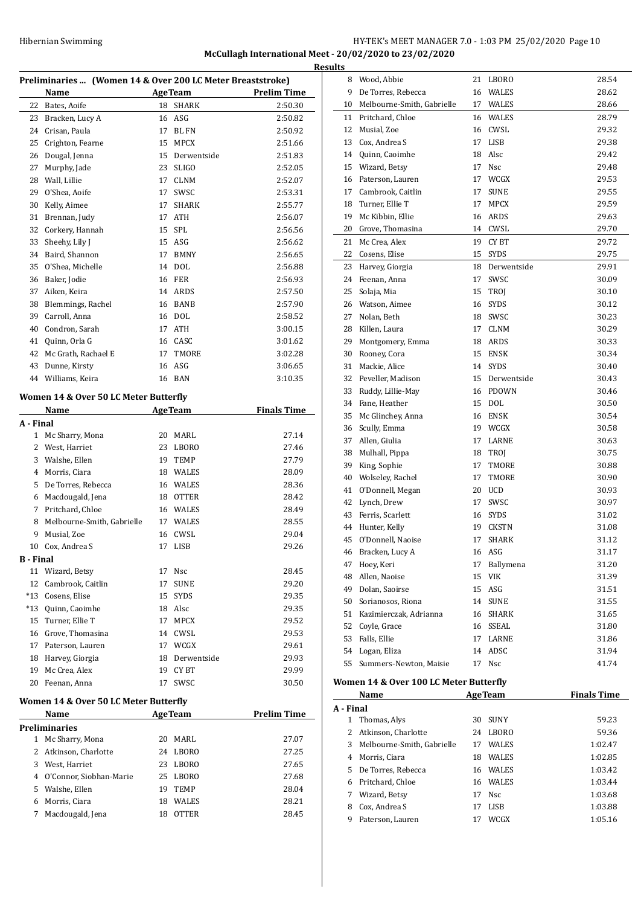# HY-TEK's MEET MANAGER 7.0 - 1:03 PM 25/02/2020 Page 10 **McCullagh International Meet - 20/02/2020 to 23/02/2020**

| Preliminaries  (Women 14 & Over 200 LC Meter Breaststroke) |                                                       |    |                |                    |
|------------------------------------------------------------|-------------------------------------------------------|----|----------------|--------------------|
|                                                            | Name                                                  |    | <b>AgeTeam</b> | <b>Prelim Time</b> |
| 22                                                         | Bates, Aoife                                          | 18 | SHARK          | 2:50.30            |
| 23                                                         | Bracken, Lucy A                                       | 16 | ASG            | 2:50.82            |
| 24                                                         | Crisan, Paula                                         | 17 | <b>BL FN</b>   | 2:50.92            |
| 25                                                         | Crighton, Fearne                                      | 15 | <b>MPCX</b>    | 2:51.66            |
| 26                                                         | Dougal, Jenna                                         | 15 | Derwentside    | 2:51.83            |
| 27                                                         | Murphy, Jade                                          | 23 | <b>SLIGO</b>   | 2:52.05            |
| 28                                                         | Wall, Lillie                                          | 17 | <b>CLNM</b>    | 2:52.07            |
| 29                                                         | O'Shea, Aoife                                         | 17 | SWSC           | 2:53.31            |
| 30                                                         | Kelly, Aimee                                          | 17 | <b>SHARK</b>   | 2:55.77            |
| 31                                                         | Brennan, Judy                                         | 17 | <b>ATH</b>     | 2:56.07            |
| 32                                                         | Corkery, Hannah                                       | 15 | SPL            | 2:56.56            |
| 33                                                         | Sheehy, Lily J                                        |    | 15 ASG         | 2:56.62            |
| 34                                                         | Baird, Shannon                                        | 17 | <b>BMNY</b>    | 2:56.65            |
| 35                                                         | O'Shea, Michelle                                      | 14 | <b>DOL</b>     | 2:56.88            |
| 36                                                         | Baker, Jodie                                          | 16 | FER            | 2:56.93            |
| 37                                                         | Aiken, Keira                                          | 14 | ARDS           | 2:57.50            |
| 38                                                         | Blemmings, Rachel                                     |    | 16 BANB        | 2:57.90            |
| 39                                                         | Carroll, Anna                                         |    | 16 DOL         | 2:58.52            |
| 40                                                         | Condron, Sarah                                        | 17 | ATH            | 3:00.15            |
| 41                                                         | Quinn, Orla G                                         |    | 16 CASC        | 3:01.62            |
| 42                                                         | Mc Grath, Rachael E                                   | 17 | TMORE          | 3:02.28            |
| 43                                                         | Dunne, Kirsty                                         | 16 | ASG            | 3:06.65            |
| 44                                                         | Williams, Keira                                       | 16 | BAN            | 3:10.35            |
|                                                            | Women 14 & Over 50 LC Meter Butterfly                 |    |                |                    |
|                                                            | Name                                                  |    | <b>AgeTeam</b> | <b>Finals Time</b> |
| A - Final                                                  |                                                       |    |                |                    |
| $\mathbf{1}$                                               | Mc Sharry, Mona                                       | 20 | MARL           | 27.14              |
| 2                                                          | West, Harriet                                         | 23 | <b>LBORO</b>   | 27.46              |
| 3                                                          | Walshe, Ellen                                         | 19 | <b>TEMP</b>    | 27.79              |
| 4                                                          | Morris, Ciara                                         |    | 18 WALES       | 28.09              |
| 5                                                          | De Torres, Rebecca                                    |    | 16 WALES       | 28.36              |
| 6                                                          | Macdougald, Jena                                      |    | 18 OTTER       | 28.42              |
| 7                                                          | Pritchard, Chloe                                      |    | 16 WALES       | 28.49              |
| 8                                                          | Melbourne-Smith, Gabrielle                            |    | 17 WALES       | 28.55              |
| 9                                                          | Musial, Zoe                                           | 16 | CWSL           | 29.04              |
| 10                                                         | Cox. Andrea S                                         | 17 | <b>LISB</b>    | 29.26              |
| B - Final                                                  |                                                       |    |                |                    |
| 11                                                         | Wizard, Betsy                                         | 17 | Nsc            | 28.45              |
| 12                                                         | Cambrook, Caitlin                                     | 17 | <b>SUNE</b>    | 29.20              |
| $*13$                                                      | Cosens, Elise                                         | 15 | <b>SYDS</b>    | 29.35              |
| *13                                                        | Quinn, Caoimhe                                        |    | 18 Alsc        | 29.35              |
| 15                                                         | Turner, Ellie T                                       | 17 | <b>MPCX</b>    | 29.52              |
| 16<br>17                                                   | Grove, Thomasina                                      |    | 14 CWSL        | 29.53              |
|                                                            |                                                       |    | 17 WCGX        | 29.61              |
|                                                            | Paterson, Lauren                                      |    |                |                    |
| 18                                                         | Harvey, Giorgia                                       |    | 18 Derwentside | 29.93              |
| 19                                                         | Mc Crea, Alex                                         |    | 19 CYBT        | 29.99              |
| 20                                                         | Feenan, Anna<br>Women 14 & Over 50 LC Meter Butterfly | 17 | SWSC           | 30.50              |

|               | Name                    | <b>AgeTeam</b> |              | <b>Prelim Time</b> |  |  |  |
|---------------|-------------------------|----------------|--------------|--------------------|--|--|--|
| Preliminaries |                         |                |              |                    |  |  |  |
|               | Mc Sharry, Mona         | 20             | MARI.        | 27.07              |  |  |  |
|               | 2 Atkinson, Charlotte   | 24             | LBORO        | 27.25              |  |  |  |
| 3             | West, Harriet           | 23             | LBORO        | 27.65              |  |  |  |
| 4             | O'Connor, Siobhan-Marie | 25             | LBORO        | 27.68              |  |  |  |
| 5.            | Walshe, Ellen           | 19             | <b>TEMP</b>  | 28.04              |  |  |  |
| 6             | Morris, Ciara           | 18             | <b>WALES</b> | 28.21              |  |  |  |
|               | Macdougald, Jena        | 18             | <b>OTTER</b> | 28.45              |  |  |  |
|               |                         |                |              |                    |  |  |  |

| <b>Results</b> |                                                                                                                                                                                                                                                                                                                                                                                 |    |                 |                |
|----------------|---------------------------------------------------------------------------------------------------------------------------------------------------------------------------------------------------------------------------------------------------------------------------------------------------------------------------------------------------------------------------------|----|-----------------|----------------|
|                | 8 Wood, Abbie                                                                                                                                                                                                                                                                                                                                                                   |    | 21 LBORO        | 28.54          |
| 9              | De Torres, Rebecca                                                                                                                                                                                                                                                                                                                                                              |    | 16 WALES        | 28.62          |
|                | 10 Melbourne-Smith, Gabrielle                                                                                                                                                                                                                                                                                                                                                   |    | 17 WALES        | 28.66          |
|                | 11 Pritchard, Chloe                                                                                                                                                                                                                                                                                                                                                             |    | 16 WALES        | 28.79          |
|                | 12 Musial, Zoe                                                                                                                                                                                                                                                                                                                                                                  |    | 16 CWSL         | 29.32          |
|                | 13 Cox, Andrea S                                                                                                                                                                                                                                                                                                                                                                |    | 17 LISB         | 29.38          |
|                | 14 Quinn, Caoimhe                                                                                                                                                                                                                                                                                                                                                               |    | 18 Alsc         | 29.42          |
|                | 15 Wizard, Betsy                                                                                                                                                                                                                                                                                                                                                                |    | 17 Nsc          | 29.48          |
|                | 16 Paterson, Lauren                                                                                                                                                                                                                                                                                                                                                             |    | 17 WCGX         | 29.53          |
|                | 17 Cambrook, Caitlin                                                                                                                                                                                                                                                                                                                                                            | 17 | <b>SUNE</b>     | 29.55          |
|                | 18 Turner, Ellie T                                                                                                                                                                                                                                                                                                                                                              |    | 17 MPCX         | 29.59          |
|                | 19 Mc Kibbin, Ellie                                                                                                                                                                                                                                                                                                                                                             |    | 16 ARDS         | 29.63          |
|                | 20 Grove, Thomasina                                                                                                                                                                                                                                                                                                                                                             |    | 14 CWSL         | 29.70          |
|                | 21 Mc Crea, Alex                                                                                                                                                                                                                                                                                                                                                                |    | 19 CY BT        | 29.72          |
|                | 22 Cosens, Elise                                                                                                                                                                                                                                                                                                                                                                |    | 15 SYDS         | 29.75          |
|                | 23 Harvey, Giorgia                                                                                                                                                                                                                                                                                                                                                              |    | 18 Derwentside  | 29.91          |
|                | 24 Feenan, Anna                                                                                                                                                                                                                                                                                                                                                                 |    | 17 SWSC         | 30.09          |
|                | 25 Solaja, Mia                                                                                                                                                                                                                                                                                                                                                                  |    | 15 TROI         | 30.10          |
|                | 26 Watson, Aimee                                                                                                                                                                                                                                                                                                                                                                |    | 16 SYDS         | 30.12          |
|                | 27 Nolan, Beth                                                                                                                                                                                                                                                                                                                                                                  |    | 18 SWSC         | 30.23          |
|                | 28 Killen, Laura                                                                                                                                                                                                                                                                                                                                                                |    | 17 CLNM         | 30.29          |
|                | 29 Montgomery, Emma                                                                                                                                                                                                                                                                                                                                                             |    | 18 ARDS         | 30.33          |
|                | 30 Rooney, Cora                                                                                                                                                                                                                                                                                                                                                                 |    | 15 ENSK         | 30.34          |
|                | 31 Mackie, Alice                                                                                                                                                                                                                                                                                                                                                                |    | 14 SYDS         | 30.40          |
|                | 32 Peveller, Madison                                                                                                                                                                                                                                                                                                                                                            |    | 15 Derwentside  | 30.43          |
|                | 33 Ruddy, Lillie-May                                                                                                                                                                                                                                                                                                                                                            |    | 16 PDOWN        | 30.46          |
|                | 34 Fane, Heather                                                                                                                                                                                                                                                                                                                                                                |    | 15 DOL          | 30.50          |
|                | 35 Mc Glinchey, Anna                                                                                                                                                                                                                                                                                                                                                            |    | 16 ENSK         | 30.54          |
|                | 36 Scully, Emma                                                                                                                                                                                                                                                                                                                                                                 |    | 19 WCGX         | 30.58          |
|                | 37 Allen, Giulia                                                                                                                                                                                                                                                                                                                                                                |    | 17 LARNE        | 30.63          |
|                | 38 Mulhall, Pippa                                                                                                                                                                                                                                                                                                                                                               |    | 18 TROJ         | 30.75          |
|                | 39 King, Sophie                                                                                                                                                                                                                                                                                                                                                                 |    | 17 TMORE        | 30.88          |
|                | 40 Wolseley, Rachel<br>41 O'Donnell, Megan                                                                                                                                                                                                                                                                                                                                      | 17 | TMORE<br>20 UCD | 30.90<br>30.93 |
|                | 42 Lynch, Drew                                                                                                                                                                                                                                                                                                                                                                  |    | 17 SWSC         | 30.97          |
|                | 43 Ferris, Scarlett                                                                                                                                                                                                                                                                                                                                                             |    | 16 SYDS         | 31.02          |
|                | 44 Hunter, Kelly                                                                                                                                                                                                                                                                                                                                                                |    | 19 CKSTN        | 31.08          |
| 45             | O'Donnell, Naoise                                                                                                                                                                                                                                                                                                                                                               | 17 | SHARK           | 31.12          |
| 46             | Bracken, Lucy A                                                                                                                                                                                                                                                                                                                                                                 |    | 16 ASG          | 31.17          |
| 47             | Hoey, Keri                                                                                                                                                                                                                                                                                                                                                                      | 17 | Ballymena       | 31.20          |
|                | 48 Allen, Naoise                                                                                                                                                                                                                                                                                                                                                                | 15 | <b>VIK</b>      | 31.39          |
|                | 49 Dolan, Saoirse                                                                                                                                                                                                                                                                                                                                                               |    | 15 ASG          | 31.51          |
|                | 50 Sorianosos, Riona                                                                                                                                                                                                                                                                                                                                                            |    | 14 SUNE         | 31.55          |
|                | 51 Kazimierczak, Adrianna                                                                                                                                                                                                                                                                                                                                                       |    | 16 SHARK        | 31.65          |
|                | 52 Covle, Grace                                                                                                                                                                                                                                                                                                                                                                 |    | 16 SSEAL        | 31.80          |
|                | 53 Falls, Ellie                                                                                                                                                                                                                                                                                                                                                                 |    | 17 LARNE        | 31.86          |
|                | 54 Logan, Eliza                                                                                                                                                                                                                                                                                                                                                                 |    | 14 ADSC         | 31.94          |
| 55             | Summers-Newton, Maisie                                                                                                                                                                                                                                                                                                                                                          |    | 17 Nsc          | 41.74          |
|                | $\overline{AB}$ $\overline{OA}$ = $\overline{AB}$ $\overline{AB}$ $\overline{AB}$ $\overline{AB}$ = $\overline{AB}$ = $\overline{AB}$ = $\overline{AB}$ = $\overline{AB}$ = $\overline{AB}$ = $\overline{AB}$ = $\overline{AB}$ = $\overline{AB}$ = $\overline{AB}$ = $\overline{AB}$ = $\overline{AB}$ = $\overline{AB}$ = $\overline{AB}$ = $\overline{AB}$ = $\overline{AB}$ | D. |                 |                |

#### **Women 14 & Over 100 LC Meter Butterfly**

|           | Name                       |    | <b>AgeTeam</b>  | <b>Finals Time</b> |
|-----------|----------------------------|----|-----------------|--------------------|
| A - Final |                            |    |                 |                    |
| 1         | Thomas, Alys               | 30 | <b>SUNY</b>     | 59.23              |
|           | Atkinson, Charlotte        | 24 | LBORO           | 59.36              |
| 3         | Melbourne-Smith, Gabrielle | 17 | <b>WALES</b>    | 1:02.47            |
| 4         | Morris, Ciara              | 18 | <b>WALES</b>    | 1:02.85            |
| 5.        | De Torres, Rebecca         | 16 | <b>WALES</b>    | 1:03.42            |
| 6         | Pritchard, Chloe           | 16 | <b>WALES</b>    | 1:03.44            |
| 7         | Wizard, Betsy              | 17 | N <sub>SC</sub> | 1:03.68            |
| 8         | Cox, Andrea S              | 17 | LISB            | 1:03.88            |
| 9         | Paterson, Lauren           |    | WCGX            | 1:05.16            |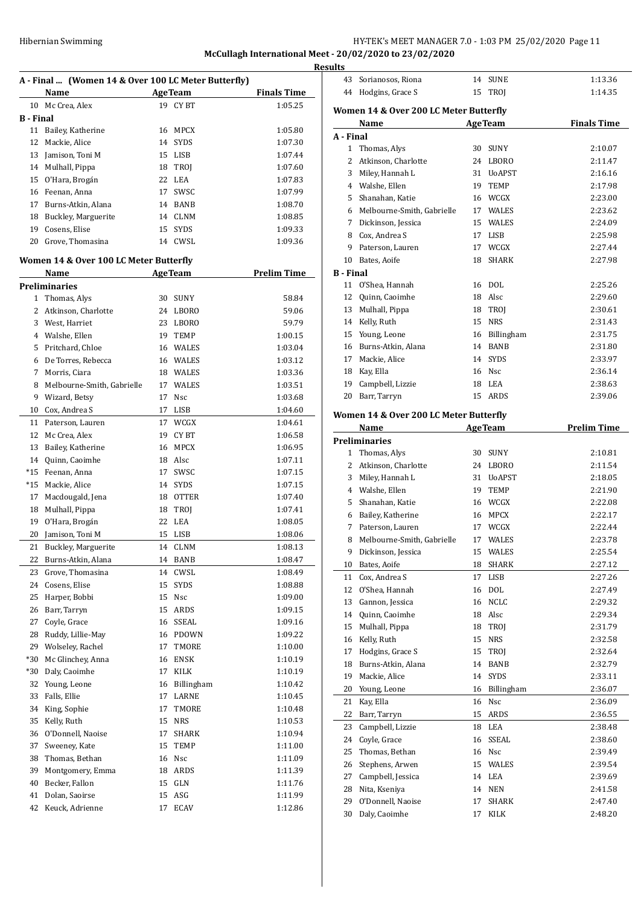**McCullagh International Meet - 20/02/2020 to 23/02/2020**

|                  |                                                     |    |                |                    | <b>Results</b> |
|------------------|-----------------------------------------------------|----|----------------|--------------------|----------------|
|                  | A - Final  (Women 14 & Over 100 LC Meter Butterfly) |    |                |                    | 43             |
|                  | Name                                                |    | <b>AgeTeam</b> | <b>Finals Time</b> | 44             |
| 10               | Mc Crea, Alex                                       |    | 19 CYBT        | 1:05.25            | Wom            |
| <b>B</b> - Final |                                                     |    |                |                    |                |
| 11               | Bailey, Katherine                                   |    | 16 MPCX        | 1:05.80            | A - Fi         |
| 12               | Mackie, Alice                                       |    | 14 SYDS        | 1:07.30            | $\mathbf{1}$   |
| 13               | Jamison, Toni M                                     |    | 15 LISB        | 1:07.44            | 2              |
|                  | 14 Mulhall, Pippa                                   |    | 18 TROJ        | 1:07.60            | 3              |
| 15               | O'Hara, Brogán                                      |    | 22 LEA         | 1:07.83            | $\overline{4}$ |
| 16               | Feenan, Anna                                        |    | 17 SWSC        | 1:07.99            | 5              |
| 17               | Burns-Atkin, Alana                                  |    | 14 BANB        | 1:08.70            | 6              |
| 18               | Buckley, Marguerite                                 |    | 14 CLNM        | 1:08.85            | 7              |
| 19               | Cosens, Elise                                       |    | 15 SYDS        | 1:09.33            | 8              |
| 20               | Grove, Thomasina                                    |    | 14 CWSL        | 1:09.36            | 9              |
|                  | Women 14 & Over 100 LC Meter Butterfly              |    |                |                    | 10             |
|                  | Name                                                |    | <b>AgeTeam</b> | <b>Prelim Time</b> | B - Fi         |
|                  | <b>Preliminaries</b>                                |    |                |                    | 11             |
|                  | 1 Thomas, Alys                                      |    | 30 SUNY        | 58.84              | 12             |
|                  | 2 Atkinson, Charlotte                               |    | 24 LBORO       | 59.06              | 13             |
|                  | 3 West, Harriet                                     |    | 23 LBORO       | 59.79              | 14             |
|                  | 4 Walshe, Ellen                                     |    | 19 TEMP        | 1:00.15            | 15             |
|                  | 5 Pritchard, Chloe                                  |    | 16 WALES       | 1:03.04            | 16             |
| 6                | De Torres, Rebecca                                  |    | 16 WALES       | 1:03.12            | 17             |
| 7                | Morris, Ciara                                       |    | 18 WALES       | 1:03.36            | 18             |
| 8                | Melbourne-Smith, Gabrielle                          |    | 17 WALES       | 1:03.51            | 19             |
| 9                | Wizard, Betsy                                       | 17 | Nsc            | 1:03.68            | 20             |
| 10               | Cox, Andrea S                                       | 17 | LISB           | 1:04.60            | Wom            |
| 11               | Paterson, Lauren                                    |    | 17 WCGX        | 1:04.61            |                |
| 12               | Mc Crea, Alex                                       |    | 19 CYBT        | 1:06.58            |                |
| 13               | Bailey, Katherine                                   |    | 16 MPCX        | 1:06.95            | Preli          |
|                  | 14 Quinn, Caoimhe                                   |    | 18 Alsc        | 1:07.11            | 1              |
|                  | *15 Feenan, Anna                                    |    | 17 SWSC        | 1:07.15            | 2              |
|                  | *15 Mackie, Alice                                   |    | 14 SYDS        | 1:07.15            | 3              |
| 17               | Macdougald, Jena                                    |    | 18 OTTER       | 1:07.40            | 4              |
| 18               | Mulhall, Pippa                                      |    | 18 TROJ        | 1:07.41            | 5              |
| 19               | O'Hara, Brogán                                      |    | 22 LEA         | 1:08.05            | 6              |
| 20               | Jamison, Toni M                                     |    | 15 LISB        | 1:08.06            | 7              |
| 21               | Buckley, Marguerite                                 | 14 | <b>CLNM</b>    | 1:08.13            | 8              |
| 22               | Burns-Atkin, Alana                                  | 14 | BANB           | 1:08.47            | 9              |
| 23               | Grove, Thomasina                                    | 14 | CWSL           | 1:08.49            | 10             |
| 24               | Cosens, Elise                                       | 15 | <b>SYDS</b>    | 1:08.88            | 11             |
| 25               | Harper, Bobbi                                       |    | 15 Nsc         | 1:09.00            | 12             |
| 26               | Barr, Tarryn                                        |    | 15 ARDS        | 1:09.15            | 13             |
| 27               | Coyle, Grace                                        |    | 16 SSEAL       | 1:09.16            | 14             |
| 28               | Ruddy, Lillie-May                                   |    | 16 PDOWN       | 1:09.22            | 15             |
| 29               | Wolseley, Rachel                                    | 17 | TMORE          | 1:10.00            | 16             |
| $*30$            | Mc Glinchey, Anna                                   |    | 16 ENSK        | 1:10.19            | 17             |
| *30              | Daly, Caoimhe                                       | 17 | KILK           | 1:10.19            | 18             |
| 32               | Young, Leone                                        | 16 | Billingham     | 1:10.42            | 19             |
| 33               | Falls, Ellie                                        | 17 | LARNE          | 1:10.45            | 20             |
| 34               | King, Sophie                                        | 17 | TMORE          | 1:10.48            | 21             |
| 35               | Kelly, Ruth                                         | 15 | <b>NRS</b>     | 1:10.53            | 22             |
| 36               | O'Donnell, Naoise                                   | 17 | SHARK          | 1:10.94            | 23             |
| 37               | Sweeney, Kate                                       | 15 | TEMP           | 1:11.00            | 24             |
| 38               | Thomas, Bethan                                      |    | 16 Nsc         | 1:11.09            | 25             |
| 39               | Montgomery, Emma                                    |    | 18 ARDS        | 1:11.39            | 26             |
| 40               | Becker, Fallon                                      |    | 15 GLN         | 1:11.76            | 27             |
| 41               | Dolan, Saoirse                                      |    | 15 ASG         | 1:11.99            | 28             |
| 42               | Keuck, Adrienne                                     | 17 | ECAV           | 1:12.86            | 29             |
|                  |                                                     |    |                |                    | 30             |

| 43               | Sorianosos, Riona                      | 14 | <b>SUNE</b>       | 1:13.36            |
|------------------|----------------------------------------|----|-------------------|--------------------|
|                  | 44 Hodgins, Grace S                    | 15 | <b>TROJ</b>       | 1:14.35            |
|                  |                                        |    |                   |                    |
|                  | Women 14 & Over 200 LC Meter Butterfly |    |                   |                    |
|                  | Name                                   |    | <b>AgeTeam</b>    | <b>Finals Time</b> |
| A - Final        |                                        |    |                   |                    |
| $\mathbf{1}$     | Thomas, Alys                           | 30 | <b>SUNY</b>       | 2:10.07            |
| $\mathbf{2}$     | Atkinson, Charlotte                    | 24 | LBORO             | 2:11.47            |
| 3                | Miley, Hannah L                        | 31 | <b>UoAPST</b>     | 2:16.16            |
|                  | 4 Walshe, Ellen                        | 19 | <b>TEMP</b>       | 2:17.98            |
| 5                | Shanahan, Katie                        | 16 | WCGX              | 2:23.00            |
|                  | 6 Melbourne-Smith, Gabrielle           | 17 | WALES             | 2:23.62            |
|                  | 7 Dickinson, Jessica                   | 15 | WALES             | 2:24.09            |
|                  | 8 Cox, Andrea S                        | 17 | LISB              | 2:25.98            |
| 9                | Paterson, Lauren                       | 17 | WCGX              | 2:27.44            |
| 10               | Bates, Aoife                           | 18 | <b>SHARK</b>      | 2:27.98            |
| <b>B</b> - Final |                                        |    |                   |                    |
| 11               | O'Shea, Hannah                         |    | 16 DOL            | 2:25.26            |
| 12               | Quinn, Caoimhe                         |    | 18 Alsc           | 2:29.60            |
| 13               | Mulhall, Pippa                         | 18 | TROJ              | 2:30.61            |
| 14               | Kelly, Ruth                            | 15 | <b>NRS</b>        | 2:31.43            |
|                  | 15 Young, Leone                        | 16 | Billingham        | 2:31.75            |
|                  | 16 Burns-Atkin, Alana                  | 14 | <b>BANB</b>       | 2:31.80            |
| 17               | Mackie, Alice                          | 14 | <b>SYDS</b>       | 2:33.97            |
|                  | 18 Kay, Ella                           |    | 16 Nsc            | 2:36.14            |
|                  | 19 Campbell, Lizzie                    |    | 18 LEA            | 2:38.63            |
| 20               | Barr, Tarryn                           | 15 | ARDS              | 2:39.06            |
|                  |                                        |    |                   |                    |
|                  | Women 14 & Over 200 LC Meter Butterfly |    |                   |                    |
|                  | Name                                   |    | <b>AgeTeam</b>    | <b>Prelim Time</b> |
|                  | <b>Preliminaries</b>                   |    |                   |                    |
|                  |                                        |    |                   |                    |
| 1                | Thomas, Alys                           | 30 | <b>SUNY</b>       | 2:10.81            |
| $\mathbf{2}$     | Atkinson, Charlotte                    | 24 | LBORO             | 2:11.54            |
|                  | 3 Miley, Hannah L                      | 31 | <b>UoAPST</b>     | 2:18.05            |
|                  | 4 Walshe, Ellen                        | 19 | <b>TEMP</b>       | 2:21.90            |
| 5                | Shanahan, Katie                        | 16 | WCGX              | 2:22.08            |
| 6                | Bailey, Katherine                      | 16 | <b>MPCX</b>       | 2:22.17            |
| 7                | Paterson, Lauren                       | 17 | WCGX              | 2:22.44            |
| 8                |                                        | 17 | WALES             | 2:23.78            |
| 9                | Melbourne-Smith, Gabrielle             |    |                   |                    |
|                  | Dickinson, Jessica                     | 15 | <b>WALES</b>      | 2:25.54            |
| 10               | Bates, Aoife                           | 18 | SHARK             | 2:27.12            |
| 11               | Cox, Andrea S                          | 17 | LISB              | 2:27.26            |
| 12               | O'Shea, Hannah                         | 16 | DOL               | 2:27.49            |
| 13               | Gannon, Jessica                        | 16 | <b>NCLC</b>       | 2:29.32            |
| 14               | Quinn, Caoimhe                         |    | 18 Alsc           | 2:29.34            |
| 15               | Mulhall, Pippa                         | 18 | TROI              | 2:31.79            |
| 16               | Kelly, Ruth                            | 15 | NRS               | 2:32.58            |
| 17               | Hodgins, Grace S                       | 15 | TROI              | 2:32.64            |
| 18               | Burns-Atkin, Alana                     | 14 | BANB              | 2:32.79            |
| 19               | Mackie, Alice                          | 14 | SYDS              | 2:33.11            |
| 20               | Young, Leone                           | 16 | <b>Billingham</b> | 2:36.07            |
| 21               | Kay, Ella                              | 16 | Nsc               | 2:36.09            |
| 22               | Barr, Tarryn                           | 15 | ARDS              | 2:36.55            |
| 23               | Campbell, Lizzie                       | 18 | LEA               | 2:38.48            |
| 24               | Coyle, Grace                           | 16 | SSEAL             | 2:38.60            |
| 25               | Thomas, Bethan                         | 16 | Nsc               | 2:39.49            |
| 26               | Stephens, Arwen                        | 15 | WALES             | 2:39.54            |
| 27               | Campbell, Jessica                      | 14 | LEA               | 2:39.69            |
| 28               | Nita, Kseniya                          | 14 | <b>NEN</b>        | 2:41.58            |
| 29               | O'Donnell, Naoise                      | 17 | SHARK             | 2:47.40            |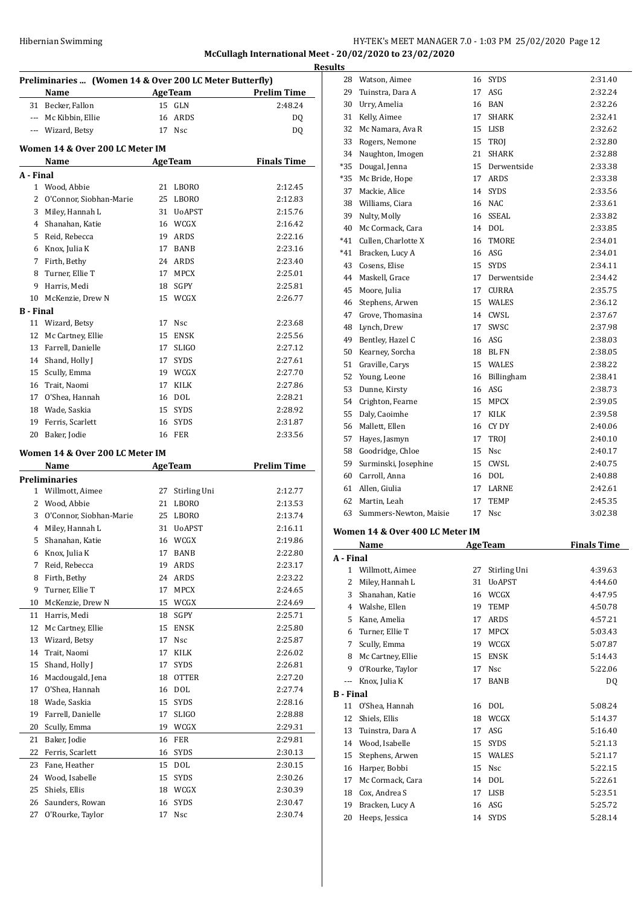# Hibernian Swimming **HY-TEK's MEET MANAGER 7.0 - 1:03 PM 25/02/2020** Page 12 **McCullagh International Meet - 20/02/2020 to 23/02/2020 Results**

|           | Preliminaries  (Women 14 & Over 200 LC Meter Butterfly)<br>Name<br><b>Example 2 Age Team</b> |    |                | <b>Prelim Time</b> |
|-----------|----------------------------------------------------------------------------------------------|----|----------------|--------------------|
|           | 31 Becker, Fallon                                                                            | 15 | GLN            | 2:48.24            |
|           | --- Mc Kibbin, Ellie                                                                         | 16 | ARDS           | DQ                 |
| ---       | Wizard, Betsy                                                                                |    | 17 Nsc         | DQ                 |
|           | Women 14 & Over 200 LC Meter IM                                                              |    |                |                    |
|           | Name                                                                                         |    | <b>AgeTeam</b> | <b>Finals Time</b> |
| A - Final |                                                                                              |    |                |                    |
|           | 1 Wood, Abbie                                                                                | 21 | <b>LBORO</b>   | 2:12.45            |
| 2         | O'Connor, Siobhan-Marie                                                                      | 25 | <b>LBORO</b>   | 2:12.83            |
| 3         | Miley, Hannah L                                                                              |    | 31 UoAPST      | 2:15.76            |
| 4         | Shanahan, Katie                                                                              | 16 | WCGX           | 2:16.42            |
| 5         | Reid, Rebecca                                                                                | 19 | ARDS           | 2:22.16            |
| 6         | Knox, Julia K                                                                                | 17 | BANB           | 2:23.16            |
| 7         | Firth, Bethy                                                                                 |    | 24 ARDS        | 2:23.40            |
| 8         | Turner, Ellie T                                                                              |    | 17 MPCX        | 2:25.01            |
| 9         | Harris, Medi                                                                                 |    | 18 SGPY        | 2:25.81            |
| 10        | McKenzie, Drew N                                                                             |    | 15 WCGX        | 2:26.77            |
| B - Final |                                                                                              |    |                |                    |
| 11        | Wizard, Betsy                                                                                | 17 | <b>Nsc</b>     | 2:23.68            |
| 12        | Mc Cartney, Ellie                                                                            | 15 | <b>ENSK</b>    | 2:25.56            |
| 13        | Farrell, Danielle                                                                            | 17 | <b>SLIGO</b>   | 2:27.12            |
| 14        | Shand, Holly J                                                                               | 17 | <b>SYDS</b>    | 2:27.61            |
| 15        | Scully, Emma                                                                                 |    | 19 WCGX        | 2:27.70            |
| 16        | Trait, Naomi                                                                                 | 17 | KILK           | 2:27.86            |
| 17        | O'Shea, Hannah                                                                               | 16 | DOL            | 2:28.21            |
| 18        | Wade, Saskia                                                                                 |    | 15 SYDS        | 2:28.92            |
| 19        | Ferris, Scarlett                                                                             |    | 16 SYDS        | 2:31.87            |
| 20        | Baker, Jodie                                                                                 |    | <b>16 FER</b>  | 2:33.56            |
|           |                                                                                              |    |                |                    |
|           | Women 14 & Over 200 LC Meter IM<br>Name                                                      |    | <b>AgeTeam</b> | <b>Prelim Time</b> |
|           | <b>Preliminaries</b>                                                                         |    |                |                    |
|           | 1 Willmott, Aimee                                                                            | 27 | Stirling Uni   | 2:12.77            |
| 2         | Wood, Abbie                                                                                  | 21 | LBORO          | 2:13.53            |
| 3         | O'Connor, Siobhan-Marie                                                                      |    | 25 LBORO       | 2:13.74            |
| 4         | Miley, Hannah L                                                                              | 31 | <b>UoAPST</b>  | 2:16.11            |
| 5         | Shanahan, Katie                                                                              |    | 16 WCGX        | 2:19.86            |
| 6         | Knox, Julia K                                                                                | 17 | BANB           | 2:22.80            |
| 7         | Reid, Rebecca                                                                                | 19 | ARDS           | 2:23.17            |
| 8         | Firth, Bethy                                                                                 | 24 | ARDS           | 2:23.22            |
| 9         | Turner, Ellie T                                                                              | 17 | MPCX           | 2:24.65            |
| 10        | McKenzie, Drew N                                                                             | 15 | WCGX           | 2:24.69            |
| 11        | Harris, Medi                                                                                 | 18 | SGPY           | 2:25.71            |
|           | Mc Cartney, Ellie                                                                            |    |                |                    |
| 12        |                                                                                              | 15 | ENSK           | 2:25.80            |
| 13        | Wizard, Betsy                                                                                | 17 | Nsc            | 2:25.87            |
| 14        | Trait, Naomi                                                                                 | 17 | KILK           | 2:26.02            |
| 15        | Shand, Holly J                                                                               | 17 | <b>SYDS</b>    | 2:26.81            |
| 16        | Macdougald, Jena                                                                             | 18 | <b>OTTER</b>   | 2:27.20            |
| 17        | O'Shea, Hannah                                                                               | 16 | DOL            | 2:27.74            |
| 18        | Wade, Saskia                                                                                 | 15 | SYDS           | 2:28.16            |
| 19        | Farrell, Danielle                                                                            | 17 | SLIGO          | 2:28.88            |
| 20        | Scully, Emma                                                                                 | 19 | WCGX           | 2:29.31            |
| 21        | Baker, Jodie                                                                                 | 16 | FER            | 2:29.81            |
| 22        | Ferris, Scarlett                                                                             | 16 | SYDS           | 2:30.13            |
| 23        | Fane, Heather                                                                                | 15 | DOL            | 2:30.15            |
|           |                                                                                              |    | SYDS           |                    |
| 24        | Wood, Isabelle                                                                               | 15 |                | 2:30.26            |
| 25        | Shiels, Ellis                                                                                | 18 | WCGX           | 2:30.39            |
| 26        | Saunders, Rowan                                                                              | 16 | SYDS           | 2:30.47            |
| 27        | O'Rourke, Taylor                                                                             | 17 | Nsc            | 2:30.74            |

| เร    |                        |    |              |         |
|-------|------------------------|----|--------------|---------|
|       | 28 Watson, Aimee       | 16 | <b>SYDS</b>  | 2:31.40 |
| 29    | Tuinstra, Dara A       | 17 | ASG          | 2:32.24 |
| 30    | Urry, Amelia           | 16 | BAN          | 2:32.26 |
| 31    | Kelly, Aimee           | 17 | <b>SHARK</b> | 2:32.41 |
| 32    | Mc Namara, Ava R       | 15 | LISB         | 2:32.62 |
| 33    | Rogers, Nemone         | 15 | <b>TROI</b>  | 2:32.80 |
| 34    | Naughton, Imogen       | 21 | <b>SHARK</b> | 2:32.88 |
| $*35$ | Dougal, Jenna          | 15 | Derwentside  | 2:33.38 |
| $*35$ | Mc Bride, Hope         | 17 | <b>ARDS</b>  | 2:33.38 |
| 37    | Mackie, Alice          | 14 | <b>SYDS</b>  | 2:33.56 |
|       | 38 Williams, Ciara     | 16 | NAC          | 2:33.61 |
| 39    | Nulty, Molly           | 16 | <b>SSEAL</b> | 2:33.82 |
| 40    | Mc Cormack, Cara       | 14 | DOL          | 2:33.85 |
| $*41$ | Cullen, Charlotte X    | 16 | <b>TMORE</b> | 2:34.01 |
| $*41$ | Bracken, Lucy A        | 16 | ASG          | 2:34.01 |
| 43    | Cosens, Elise          | 15 | <b>SYDS</b>  | 2:34.11 |
| 44    | Maskell, Grace         | 17 | Derwentside  | 2:34.42 |
|       | 45 Moore, Julia        | 17 | <b>CURRA</b> | 2:35.75 |
| 46    | Stephens, Arwen        | 15 | WALES        | 2:36.12 |
| 47    | Grove, Thomasina       | 14 | CWSL         | 2:37.67 |
|       | 48 Lynch, Drew         | 17 | SWSC         | 2:37.98 |
|       | 49 Bentley, Hazel C    | 16 | ASG          | 2:38.03 |
| 50    | Kearney, Sorcha        | 18 | <b>BL FN</b> | 2:38.05 |
| 51    | Graville, Carys        | 15 | WALES        | 2:38.22 |
| 52    | Young, Leone           | 16 | Billingham   | 2:38.41 |
| 53    | Dunne, Kirsty          | 16 | ASG          | 2:38.73 |
|       | 54 Crighton, Fearne    | 15 | <b>MPCX</b>  | 2:39.05 |
| 55    | Daly, Caoimhe          | 17 | <b>KILK</b>  | 2:39.58 |
|       | 56 Mallett, Ellen      | 16 | CY DY        | 2:40.06 |
| 57    | Hayes, Jasmyn          | 17 | <b>TROI</b>  | 2:40.10 |
|       | 58 Goodridge, Chloe    | 15 | Nsc          | 2:40.17 |
| 59    | Surminski, Josephine   | 15 | CWSL         | 2:40.75 |
| 60    | Carroll, Anna          | 16 | <b>DOL</b>   | 2:40.88 |
| 61    | Allen, Giulia          | 17 | LARNE        | 2:42.61 |
| 62    | Martin, Leah           | 17 | TEMP         | 2:45.35 |
| 63    | Summers-Newton, Maisie | 17 | <b>Nsc</b>   | 3:02.38 |
|       |                        |    |              |         |

#### **Women 14 & Over 400 LC Meter IM**

|                  | <b>Name</b><br><b>AgeTeam</b> |    |               | <b>Finals Time</b> |  |
|------------------|-------------------------------|----|---------------|--------------------|--|
| A - Final        |                               |    |               |                    |  |
| 1                | Willmott, Aimee               | 27 | Stirling Uni  | 4:39.63            |  |
| 2                | Miley, Hannah L               | 31 | <b>UoAPST</b> | 4:44.60            |  |
| 3                | Shanahan, Katie               | 16 | WCGX          | 4:47.95            |  |
| 4                | Walshe, Ellen                 | 19 | <b>TEMP</b>   | 4:50.78            |  |
| 5                | Kane, Amelia                  | 17 | ARDS          | 4:57.21            |  |
| 6                | Turner, Ellie T               | 17 | <b>MPCX</b>   | 5:03.43            |  |
| 7                | Scully, Emma                  | 19 | WCGX          | 5:07.87            |  |
| 8                | Mc Cartney, Ellie             | 15 | <b>ENSK</b>   | 5:14.43            |  |
| 9                | O'Rourke, Taylor              | 17 | Nsc           | 5:22.06            |  |
| ---              | Knox, Julia K                 | 17 | <b>BANB</b>   | DQ                 |  |
| <b>B</b> - Final |                               |    |               |                    |  |
| 11               | O'Shea, Hannah                | 16 | <b>DOL</b>    | 5:08.24            |  |
| 12               | Shiels, Ellis                 | 18 | WCGX          | 5:14.37            |  |
| 13               | Tuinstra, Dara A              | 17 | ASG           | 5:16.40            |  |
| 14               | Wood, Isabelle                | 15 | <b>SYDS</b>   | 5:21.13            |  |
| 15               | Stephens, Arwen               | 15 | <b>WALES</b>  | 5:21.17            |  |
| 16               | Harper, Bobbi                 | 15 | <b>Nsc</b>    | 5:22.15            |  |
| 17               | Mc Cormack, Cara              | 14 | <b>DOL</b>    | 5:22.61            |  |
| 18               | Cox, Andrea S                 | 17 | <b>LISB</b>   | 5:23.51            |  |
| 19               | Bracken, Lucy A               | 16 | ASG           | 5:25.72            |  |
| 20               | Heeps, Jessica                | 14 | <b>SYDS</b>   | 5:28.14            |  |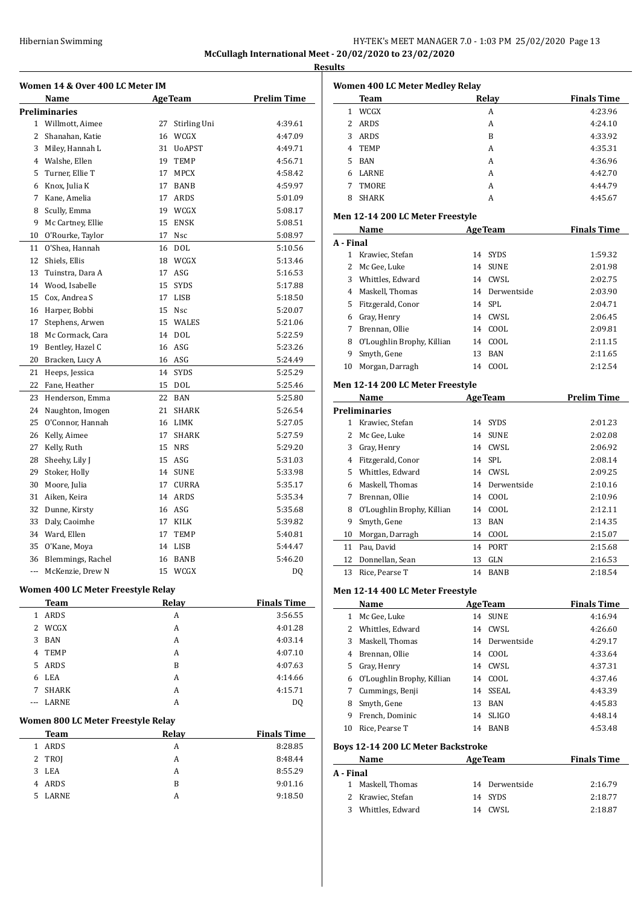# HY-TEK's MEET MANAGER 7.0 - 1:03 PM 25/02/2020 Page 13 **McCullagh International Meet - 20/02/2020 to 23/02/2020**

**Results**

|              | Women 14 & Over 400 LC Meter IM        |          |                      |                    |
|--------------|----------------------------------------|----------|----------------------|--------------------|
|              | Name                                   |          | <b>AgeTeam</b>       | <b>Prelim Time</b> |
|              | <b>Preliminaries</b>                   |          |                      |                    |
|              | 1 Willmott, Aimee<br>2 Shanahan, Katie | 27<br>16 | Stirling Uni<br>WCGX | 4:39.61<br>4:47.09 |
|              | 3 Miley, Hannah L                      | 31       | UoAPST               | 4:49.71            |
|              | 4 Walshe, Ellen                        | 19       | <b>TEMP</b>          | 4:56.71            |
|              | 5 Turner, Ellie T                      | 17       | MPCX                 | 4:58.42            |
|              | 6 Knox, Julia K                        | 17       | <b>BANB</b>          | 4:59.97            |
|              | 7 Kane, Amelia                         | 17       | ARDS                 | 5:01.09            |
| 8            | Scully, Emma                           | 19       | WCGX                 | 5:08.17            |
| 9            | Mc Cartney, Ellie                      | 15       | <b>ENSK</b>          | 5:08.51            |
|              | 10 O'Rourke, Taylor                    | 17       | Nsc                  | 5:08.97            |
| 11           | O'Shea, Hannah                         | 16       | DOL                  | 5:10.56            |
| 12           | Shiels, Ellis                          | 18       | WCGX                 | 5:13.46            |
| 13           | Tuinstra, Dara A                       | 17       | ASG                  | 5:16.53            |
|              | 14 Wood, Isabelle                      | 15       | <b>SYDS</b>          | 5:17.88            |
|              | 15 Cox, Andrea S                       | 17       | LISB                 | 5:18.50            |
|              | 16 Harper, Bobbi                       | 15       | <b>Nsc</b>           | 5:20.07            |
| 17           | Stephens, Arwen                        | 15       | WALES                | 5:21.06            |
|              | 18 Mc Cormack, Cara                    |          | 14 DOL               | 5:22.59            |
|              | 19 Bentley, Hazel C                    | 16       | ASG                  | 5:23.26            |
|              | 20 Bracken, Lucy A                     | 16       | ASG                  | 5:24.49            |
| 21           | Heeps, Jessica                         | 14       | <b>SYDS</b>          | 5:25.29            |
| 22           | Fane, Heather                          | 15       | DOL                  | 5:25.46            |
|              | 23 Henderson, Emma                     | 22       | BAN                  | 5:25.80            |
|              | 24 Naughton, Imogen                    | 21       | SHARK                | 5:26.54            |
| 25           | O'Connor, Hannah                       | 16       | LIMK                 | 5:27.05            |
|              | 26 Kelly, Aimee                        | 17       | <b>SHARK</b>         | 5:27.59            |
| 27           | Kelly, Ruth                            | 15       | <b>NRS</b>           | 5:29.20            |
| 28           | Sheehy, Lily J                         | 15       | ASG                  | 5:31.03            |
| 29           | Stoker, Holly                          | 14       | <b>SUNE</b>          | 5:33.98            |
| 30           | Moore, Julia                           | 17       | <b>CURRA</b>         | 5:35.17            |
| 31           | Aiken, Keira                           | 14       | ARDS                 | 5:35.34            |
|              | 32 Dunne, Kirsty                       | 16       | ASG                  | 5:35.68            |
|              | 33 Daly, Caoimhe                       | 17       | KILK                 | 5:39.82            |
|              | 34 Ward, Ellen                         | 17       | TEMP                 | 5:40.81            |
|              | 35 O'Kane, Moya                        |          | 14 LISB              | 5:44.47            |
| 36           | Blemmings, Rachel                      |          | 16 BANB              | 5:46.20            |
| ---          | McKenzie, Drew N                       |          | 15 WCGX              | DQ                 |
|              | Women 400 LC Meter Freestyle Relay     |          |                      |                    |
|              | Team                                   |          | Relay                | <b>Finals Time</b> |
|              | 1 ARDS                                 |          | A                    | 3:56.55            |
|              | 2 WCGX                                 |          | A                    | 4:01.28            |
| 3            | BAN                                    |          | А                    | 4:03.14            |
|              | 4 TEMP                                 |          | A                    | 4:07.10            |
| 5            | ARDS                                   |          | B                    | 4:07.63            |
|              | 6 LEA                                  |          | A                    | 4:14.66            |
| 7            | <b>SHARK</b>                           |          | A                    | 4:15.71            |
|              | LARNE                                  |          | A                    | DQ                 |
|              | Women 800 LC Meter Freestyle Relay     |          |                      |                    |
|              | <b>Team</b>                            |          | Relay                | <b>Finals Time</b> |
| $\mathbf{1}$ | ARDS                                   |          | A                    | 8:28.85            |
|              | TROJ                                   |          | A                    | 8:48.44            |
|              |                                        |          | А                    | 8:55.29            |
| 2            |                                        |          |                      |                    |
| 3            | LEA                                    |          |                      |                    |
| 5            | 4 ARDS<br>LARNE                        |          | B<br>А               | 9:01.16<br>9:18.50 |

| <b>Women 400 LC Meter Medley Relay</b> |              |       |                    |
|----------------------------------------|--------------|-------|--------------------|
|                                        | <b>Team</b>  | Relay | <b>Finals Time</b> |
|                                        | WCGX         | A     | 4:23.96            |
| 2                                      | <b>ARDS</b>  | A     | 4:24.10            |
| 3                                      | <b>ARDS</b>  | B     | 4:33.92            |
| 4                                      | <b>TEMP</b>  | A     | 4:35.31            |
| 5.                                     | <b>BAN</b>   | A     | 4:36.96            |
| 6                                      | <b>LARNE</b> | A     | 4:42.70            |
|                                        | TMORE        | A     | 4:44.79            |
| 8                                      | <b>SHARK</b> | А     | 4:45.67            |

#### **Men 12-14 200 LC Meter Freestyle**

| Name      |                            | <b>AgeTeam</b> |                | <b>Finals Time</b> |  |  |  |
|-----------|----------------------------|----------------|----------------|--------------------|--|--|--|
| A - Final |                            |                |                |                    |  |  |  |
|           | Krawiec, Stefan            |                | 14 SYDS        | 1:59.32            |  |  |  |
| 2         | Mc Gee, Luke               | 14             | <b>SUNE</b>    | 2:01.98            |  |  |  |
| 3         | Whittles, Edward           | 14             | CWSL           | 2:02.75            |  |  |  |
| 4         | Maskell, Thomas            |                | 14 Derwentside | 2:03.90            |  |  |  |
| 5.        | Fitzgerald, Conor          |                | 14 SPL         | 2:04.71            |  |  |  |
| 6         | Gray, Henry                | 14             | CWSL           | 2:06.45            |  |  |  |
|           | Brennan, Ollie             | 14             | COOL           | 2:09.81            |  |  |  |
| 8         | O'Loughlin Brophy, Killian | 14             | COOL.          | 2:11.15            |  |  |  |
| 9         | Smyth, Gene                | 13             | <b>BAN</b>     | 2:11.65            |  |  |  |
| 10        | Morgan, Darragh            | 14             | COOL           | 2:12.54            |  |  |  |

# **Men 12-14 200 LC Meter Freestyle**

| Name |                            |    | <b>AgeTeam</b> | <b>Prelim Time</b> |
|------|----------------------------|----|----------------|--------------------|
|      | <b>Preliminaries</b>       |    |                |                    |
| 1    | Krawiec, Stefan            |    | 14 SYDS        | 2:01.23            |
| 2    | Mc Gee, Luke               |    | 14 SUNE        | 2:02.08            |
| 3    | Gray, Henry                |    | 14 CWSL        | 2:06.92            |
| 4    | Fitzgerald, Conor          |    | 14 SPL         | 2:08.14            |
| 5.   | Whittles, Edward           |    | 14 CWSL        | 2:09.25            |
| 6    | Maskell, Thomas            |    | 14 Derwentside | 2:10.16            |
| 7    | Brennan, Ollie             | 14 | COOL           | 2:10.96            |
| 8    | O'Loughlin Brophy, Killian |    | 14 COOL        | 2:12.11            |
| 9    | Smyth, Gene                | 13 | BAN            | 2:14.35            |
| 10   | Morgan, Darragh            | 14 | COOL           | 2:15.07            |
| 11   | Pau, David                 | 14 | PORT           | 2:15.68            |
| 12   | Donnellan, Sean            | 13 | GLN            | 2:16.53            |
| 13   | Rice, Pearse T             | 14 | <b>BANB</b>    | 2:18.54            |

#### **Men 12-14 400 LC Meter Freestyle**

|    | Name                         |    | <b>AgeTeam</b> | <b>Finals Time</b> |
|----|------------------------------|----|----------------|--------------------|
| 1  | Mc Gee, Luke                 | 14 | <b>SUNE</b>    | 4:16.94            |
| 2  | Whittles, Edward             | 14 | CWSL           | 4:26.60            |
| 3  | Maskell, Thomas              |    | 14 Derwentside | 4:29.17            |
| 4  | Brennan, Ollie               | 14 | COOL.          | 4:33.64            |
| 5  | Gray, Henry                  | 14 | CWSL           | 4:37.31            |
|    | 6 O'Loughlin Brophy, Killian | 14 | COOL.          | 4:37.46            |
| 7  | Cummings, Benji              | 14 | SSEAL          | 4:43.39            |
| 8  | Smyth, Gene                  | 13 | <b>BAN</b>     | 4:45.83            |
| 9  | French, Dominic              | 14 | <b>SLIGO</b>   | 4:48.14            |
| 10 | Rice. Pearse T               | 14 | <b>BANB</b>    | 4:53.48            |

# **Boys 12-14 200 LC Meter Backstroke**

| Name      |                   | <b>AgeTeam</b> |                | <b>Finals Time</b> |
|-----------|-------------------|----------------|----------------|--------------------|
| A - Final |                   |                |                |                    |
|           | 1 Maskell, Thomas |                | 14 Derwentside | 2:16.79            |
|           | 2 Krawiec, Stefan |                | 14 SYDS        | 2:18.77            |
| 3         | Whittles, Edward  | 14             | CWSL.          | 2:18.87            |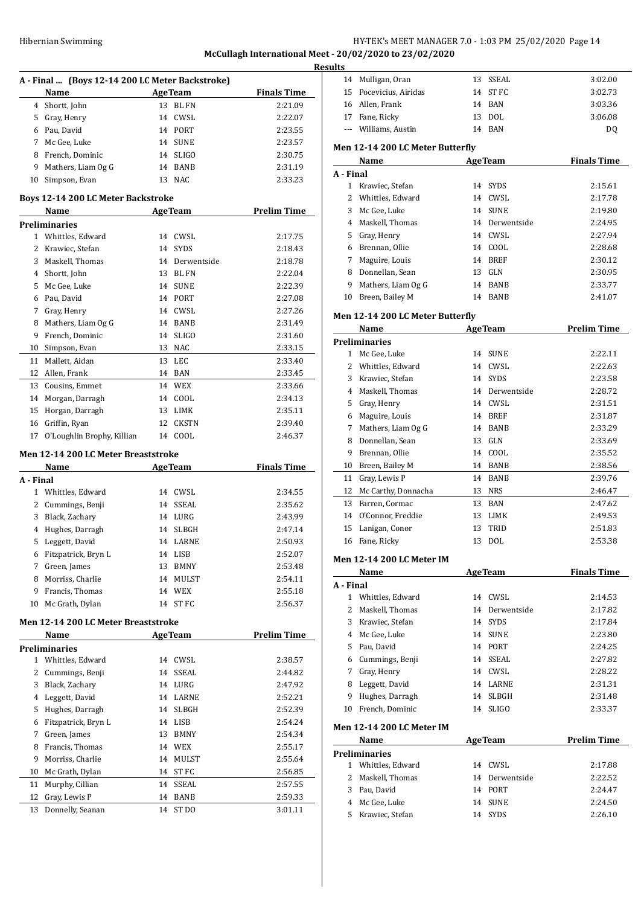# Hibernian Swimming **HY-TEK's MEET MANAGER 7.0 - 1:03 PM 25/02/2020** Page 14 **McCullagh International Meet - 20/02/2020 to 23/02/2020**

|           |                                                 |                        | Resul              |   |
|-----------|-------------------------------------------------|------------------------|--------------------|---|
|           | A - Final  (Boys 12-14 200 LC Meter Backstroke) |                        |                    |   |
|           | Name                                            | <b>AgeTeam</b>         | <b>Finals Time</b> |   |
|           | 4 Shortt, John                                  | 13 BL FN               | 2:21.09            |   |
|           | 5 Gray, Henry                                   | 14 CWSL                | 2:22.07            |   |
|           | 6 Pau, David                                    | 14 PORT                | 2:23.55            |   |
|           | 7 Mc Gee, Luke                                  | 14 SUNE                | 2:23.57            | ľ |
|           | 8 French, Dominic                               | 14 SLIGO               | 2:30.75            |   |
| 9         | Mathers, Liam Og G                              | 14 BANB                | 2:31.19            | I |
| 10        | Simpson, Evan                                   | 13 NAC                 | 2:33.23            |   |
|           | <b>Boys 12-14 200 LC Meter Backstroke</b>       |                        |                    |   |
|           | Name<br><b>Preliminaries</b>                    | <b>AgeTeam</b>         | <b>Prelim Time</b> |   |
|           | 1 Whittles, Edward                              | 14 CWSL                | 2:17.75            |   |
|           | 2 Krawiec, Stefan                               | 14 SYDS                |                    |   |
|           |                                                 |                        | 2:18.43            |   |
|           | 3 Maskell, Thomas                               | 14 Derwentside         | 2:18.78<br>2:22.04 |   |
|           | 4 Shortt, John                                  | 13 BL FN               |                    |   |
|           | 5 Mc Gee, Luke                                  | 14 SUNE                | 2:22.39            |   |
|           | 6 Pau, David                                    | 14 PORT                | 2:27.08            |   |
|           | 7 Gray, Henry                                   | 14 CWSL                | 2:27.26            | ľ |
| 8         | Mathers, Liam Og G                              | 14 BANB                | 2:31.49            |   |
| 9         | French, Dominic                                 | 14 SLIGO               | 2:31.60            | I |
| 10        | Simpson, Evan                                   | 13 NAC                 | 2:33.15            |   |
| 11        | Mallett, Aidan                                  | 13 LEC                 | 2:33.40            |   |
|           | 12 Allen, Frank                                 | 14 BAN                 | 2:33.45            |   |
|           | 13 Cousins, Emmet                               | 14 WEX                 | 2:33.66            |   |
|           | 14 Morgan, Darragh                              | 14 COOL                | 2:34.13            |   |
|           | 15 Horgan, Darragh                              | 13 LIMK                | 2:35.11            |   |
| 16        | Griffin, Ryan                                   | 12 CKSTN               | 2:39.40            |   |
| 17        | O'Loughlin Brophy, Killian                      | 14 COOL                | 2:46.37            |   |
|           | Men 12-14 200 LC Meter Breaststroke             |                        |                    |   |
|           | Name                                            | <b>AgeTeam</b>         | <b>Finals Time</b> |   |
| A - Final |                                                 |                        |                    |   |
|           | 1 Whittles, Edward                              | 14 CWSL                | 2:34.55            |   |
|           | 2 Cummings, Benji                               | 14 SSEAL               | 2:35.62            |   |
|           | 3 Black, Zachary                                | 14 LURG                | 2:43.99            |   |
|           | 4 Hughes, Darragh                               | 14 SLBGH               | 2:47.14            |   |
| 5         | Leggett, David                                  | 14 LARNE               | 2:50.93            |   |
| 6         | Fitzpatrick, Bryn L                             | 14 LISB                | 2:52.07            | ľ |
| 7         | Green, James                                    | 13<br><b>BMNY</b>      | 2:53.48            |   |
| 8         | Morriss, Charlie                                | 14<br>MULST            | 2:54.11            |   |
| 9         | Francis, Thomas                                 | 14 WEX                 | 2:55.18            | l |
| 10        | Mc Grath, Dylan                                 | 14 ST FC               | 2:56.37            |   |
|           | Men 12-14 200 LC Meter Breaststroke             |                        |                    |   |
|           | Name                                            | <b>AgeTeam</b>         | <b>Prelim Time</b> |   |
|           | <b>Preliminaries</b>                            |                        |                    |   |
|           | 1 Whittles, Edward                              | 14 CWSL                | 2:38.57            |   |
| 2         | Cummings, Benji                                 | SSEAL<br>14            | 2:44.82            |   |
| 3         | Black, Zachary                                  | 14 LURG                | 2:47.92            |   |
| 4         | Leggett, David                                  | 14 LARNE               | 2:52.21            |   |
| 5         | Hughes, Darragh                                 | 14 SLBGH               | 2:52.39            |   |
| 6         | Fitzpatrick, Bryn L                             | 14 LISB                | 2:54.24            |   |
| 7         | Green, James                                    | 13<br><b>BMNY</b>      | 2:54.34            | ľ |
| 8         | Francis, Thomas                                 | 14 WEX                 | 2:55.17            |   |
| 9         | Morriss, Charlie                                | 14<br>MULST            | 2:55.64            | I |
| 10        | Mc Grath, Dylan                                 | 14<br>ST FC            | 2:56.85            |   |
| 11        | Murphy, Cillian                                 | 14<br>SSEAL            | 2:57.55            |   |
| 12        | Gray, Lewis P                                   | 14<br><b>BANB</b>      | 2:59.33            |   |
| 13        | Donnelly, Seanan                                | ST <sub>DO</sub><br>14 | 3:01.11            |   |
|           |                                                 |                        |                    |   |

| ults      |                                  |    |                |                    |
|-----------|----------------------------------|----|----------------|--------------------|
|           | 14 Mulligan, Oran                |    | 13 SSEAL       | 3:02.00            |
| 15        | Pocevicius, Airidas              | 14 | ST FC          | 3:02.73            |
|           | 16 Allen, Frank                  |    | 14 BAN         | 3:03.36            |
|           | 17 Fane, Ricky                   |    | 13 DOL         | 3:06.08            |
|           | --- Williams. Austin             |    | 14 BAN         | DQ                 |
|           |                                  |    |                |                    |
|           | Men 12-14 200 LC Meter Butterfly |    |                |                    |
|           | Name                             |    | <b>AgeTeam</b> | <b>Finals Time</b> |
| A - Final |                                  |    |                |                    |
|           | 1 Krawiec, Stefan                |    | 14 SYDS        | 2:15.61            |
| 2         | Whittles, Edward                 |    | 14 CWSL        | 2:17.78            |
| 3         | Mc Gee, Luke                     |    | 14 SUNE        | 2:19.80            |
|           | 4 Maskell, Thomas                |    | 14 Derwentside | 2:24.95            |
|           | 5 Gray, Henry                    |    | 14 CWSL        | 2:27.94            |
|           | 6 Brennan, Ollie                 |    | 14 COOL        | 2:28.68            |
| 7         | Maguire, Louis                   |    | 14 BREF        | 2:30.12            |
| 8         | Donnellan, Sean                  |    | 13 GLN         | 2:30.95            |
| 9.        | Mathers, Liam Og G               |    | 14 BANB        | 2:33.77            |
|           | 10 Breen, Bailey M               |    | 14 BANB        | 2:41.07            |
|           | Men 12-14 200 LC Meter Butterfly |    |                |                    |
|           | Name                             |    | <b>AgeTeam</b> | <b>Prelim Time</b> |
|           | <b>Preliminaries</b>             |    |                |                    |
|           | 1 Mc Gee, Luke                   |    | 14 SUNE        | 2:22.11            |
|           | 2 Whittles, Edward               |    | 14 CWSL        | 2:22.63            |
| 3         | Krawiec, Stefan                  |    | 14 SYDS        | 2:23.58            |
|           | 4 Maskell, Thomas                |    | 14 Derwentside | 2:28.72            |
|           | 5 Gray, Henry                    |    | 14 CWSL        | 2:31.51            |
| 6         | Maguire, Louis                   |    | 14 BREF        | 2:31.87            |
| 7         | Mathers, Liam Og G               |    | 14 BANB        | 2:33.29            |
| 8         | Donnellan, Sean                  |    | 13 GLN         | 2:33.69            |
| 9         | Brennan, Ollie                   |    | 14 COOL        | 2:35.52            |
|           | 10 Breen, Bailey M               |    | 14 BANB        | 2:38.56            |
| 11        | Gray, Lewis P                    | 14 | BANB           | 2:39.76            |
| 12        | Mc Carthy, Donnacha              |    | 13 NRS         | 2:46.47            |
| 13        | Farren, Cormac                   |    | 13 BAN         | 2:47.62            |
|           | 14 O'Connor, Freddie             |    | 13 LIMK        | 2:49.53            |
| 15        | Lanigan, Conor                   | 13 | TRID           | 2:51.83            |
| 16        | Fane, Ricky                      | 13 | <b>DOL</b>     | 2:53.38            |
|           |                                  |    |                |                    |
|           | <b>Men 12-14 200 LC Meter IM</b> |    |                |                    |
|           | Name                             |    | <b>AgeTeam</b> | <b>Finals Time</b> |
| A - Final |                                  |    |                |                    |
|           | 1 Whittles, Edward               |    | 14 CWSL        | 2:14.53            |
|           | 2 Maskell, Thomas                |    | 14 Derwentside | 2:17.82            |
|           | 3 Krawiec, Stefan                |    | 14 SYDS        | 2:17.84            |
|           | 4 Mc Gee, Luke                   |    | 14 SUNE        | 2:23.80            |
|           | 5 Pau, David                     |    | 14 PORT        | 2:24.25            |
|           | 6 Cummings, Benji                |    | 14 SSEAL       | 2:27.82            |
|           | 7 Gray, Henry                    |    | 14 CWSL        | 2:28.22            |
|           | 8 Leggett, David                 |    | 14 LARNE       | 2:31.31            |
| 9         | Hughes, Darragh                  |    | 14 SLBGH       | 2:31.48            |
| 10        | French, Dominic                  |    | 14 SLIGO       | 2:33.37            |
|           | <b>Men 12-14 200 LC Meter IM</b> |    |                |                    |
|           | Name                             |    | <b>AgeTeam</b> | <b>Prelim Time</b> |
|           | <b>Preliminaries</b>             |    |                |                    |
|           | 1 Whittles, Edward               |    | 14 CWSL        | 2:17.88            |
|           | 2 Maskell, Thomas                |    | 14 Derwentside | 2:22.52            |
|           | 3 Pau, David                     |    | 14 PORT        | 2:24.47            |
|           | 4 Mc Gee, Luke                   |    | 14 SUNE        | 2:24.50            |
|           | 5 Krawiec, Stefan                |    | 14 SYDS        | 2:26.10            |
|           |                                  |    |                |                    |
|           |                                  |    |                |                    |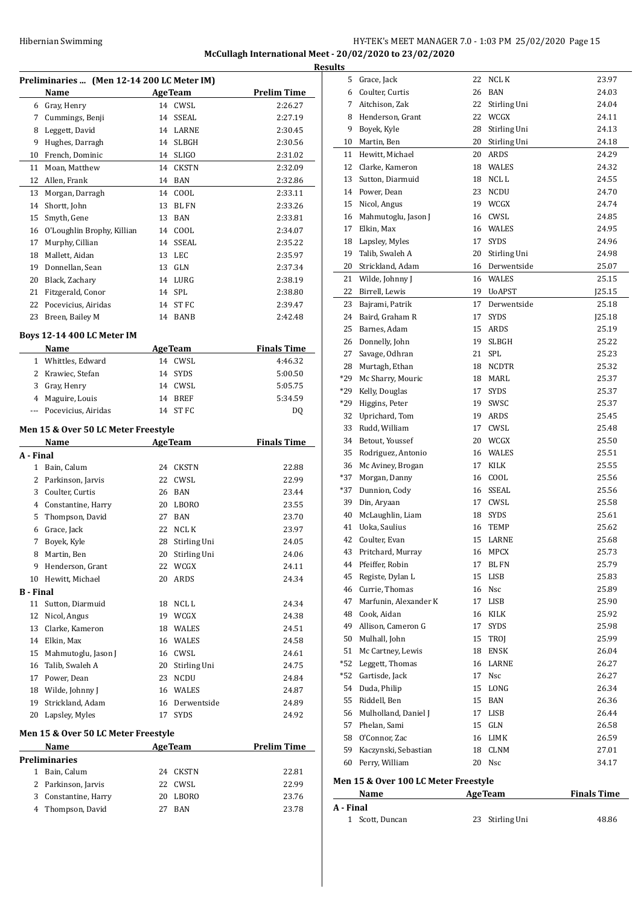# HY-TEK's MEET MANAGER 7.0 - 1:03 PM 25/02/2020 Page 15 **McCullagh International Meet - 20/02/2020 to 23/02/2020 Results**

|                  | Preliminaries  (Men 12-14 200 LC Meter IM)  |          |                 |                    |
|------------------|---------------------------------------------|----------|-----------------|--------------------|
|                  | Name                                        |          | <b>AgeTeam</b>  | <b>Prelim Time</b> |
|                  | 6 Gray, Henry                               |          | 14 CWSL         | 2:26.27            |
|                  | 7 Cummings, Benji                           | 14       | SSEAL           | 2:27.19            |
|                  | 8 Leggett, David                            |          | 14 LARNE        | 2:30.45            |
|                  | 9 Hughes, Darragh                           |          | 14 SLBGH        | 2:30.56            |
|                  | 10 French, Dominic                          |          | 14 SLIGO        | 2:31.02            |
| 11               | Moan, Matthew                               |          | 14 CKSTN        | 2:32.09            |
|                  | 12 Allen, Frank                             |          | 14 BAN          | 2:32.86            |
| 13               | Morgan, Darragh                             |          | 14 COOL         | 2:33.11            |
| 14               | Shortt, John                                | 13       | <b>BLFN</b>     | 2:33.26            |
| 15               | Smyth, Gene                                 | 13       | <b>BAN</b>      | 2:33.81            |
|                  |                                             | 14       | COOL            | 2:34.07            |
| 16<br>17         | O'Loughlin Brophy, Killian                  |          |                 |                    |
|                  | Murphy, Cillian                             | 14       | SSEAL           | 2:35.22            |
| 18               | Mallett, Aidan                              |          | 13 LEC          | 2:35.97            |
| 19               | Donnellan, Sean                             |          | 13 GLN          | 2:37.34            |
|                  | 20 Black, Zachary                           |          | 14 LURG         | 2:38.19            |
|                  | 21 Fitzgerald, Conor                        |          | 14 SPL          | 2:38.80            |
| 22               | Pocevicius, Airidas                         |          | 14 ST FC        | 2:39.47            |
| 23               | Breen, Bailey M                             | 14       | <b>BANB</b>     | 2:42.48            |
|                  | <b>Boys 12-14 400 LC Meter IM</b>           |          |                 |                    |
|                  | Name                                        |          | <b>AgeTeam</b>  | <b>Finals Time</b> |
|                  | 1 Whittles, Edward                          |          | 14 CWSL         | 4:46.32            |
|                  | 2 Krawiec, Stefan                           |          | 14 SYDS         | 5:00.50            |
|                  | 3 Gray, Henry                               |          | 14 CWSL         | 5:05.75            |
|                  | 4 Maguire, Louis                            |          | 14 BREF         | 5:34.59            |
| ---              | Pocevicius, Airidas                         |          | 14 ST FC        | DQ                 |
|                  | Men 15 & Over 50 LC Meter Freestyle         |          |                 |                    |
|                  | Name                                        |          | <b>AgeTeam</b>  | <b>Finals Time</b> |
| A - Final        |                                             |          |                 |                    |
| 1                | Bain, Calum                                 | 24       | CKSTN           | 22.88              |
|                  | 2 Parkinson, Jarvis                         | 22       | CWSL            | 22.99              |
| 3                | Coulter, Curtis                             |          | 26 BAN          | 23.44              |
|                  | 4 Constantine, Harry                        |          | 20 LBORO        | 23.55              |
| 5                | Thompson, David                             | 27       | BAN             | 23.70              |
|                  | 6 Grace, Jack                               | 22       | NCL K           | 23.97              |
| 7                | Boyek, Kyle                                 | 28       | Stirling Uni    | 24.05              |
| 8                | Martin, Ben                                 | 20       | Stirling Uni    | 24.06              |
| 9                | Henderson, Grant                            | 22       | WCGX            | 24.11              |
| 10               | Hewitt, Michael                             | 20       | ARDS            | 24.34              |
| <b>B</b> - Final |                                             |          |                 |                    |
| 11               | Sutton, Diarmuid                            | 18       | NCL L           | 24.34              |
|                  | Nicol, Angus                                |          | 19 WCGX         | 24.38              |
| 12               |                                             |          |                 |                    |
| 13               |                                             | 18       | WALES           | 24.51              |
|                  | Clarke, Kameron                             |          |                 |                    |
|                  | 14 Elkin, Max                               |          | 16 WALES        | 24.58              |
| 15               | Mahmutoglu, Jason J                         |          | 16 CWSL         | 24.61              |
|                  | 16 Talib, Swaleh A                          |          | 20 Stirling Uni | 24.75              |
| 17               | Power, Dean                                 | 23       | NCDU            | 24.84              |
| 18               | Wilde, Johnny J                             |          | 16 WALES        | 24.87              |
| 19               | Strickland, Adam                            |          | 16 Derwentside  | 24.89              |
| 20               | Lapsley, Myles                              |          | 17 SYDS         | 24.92              |
|                  | Men 15 & Over 50 LC Meter Freestyle         |          |                 |                    |
|                  | Name                                        |          | <b>AgeTeam</b>  | <b>Prelim Time</b> |
| 1                | Preliminaries                               |          |                 |                    |
|                  | Bain, Calum                                 | 24       | <b>CKSTN</b>    | 22.81              |
|                  | 2 Parkinson, Jarvis<br>3 Constantine, Harry | 22<br>20 | CWSL<br>LBORO   | 22.99<br>23.76     |

| 13<br>Sutton, Diarmuid<br>14<br>Power, Dean<br>Nicol, Angus<br>Mahmutoglu, Jason J<br>Elkin, Max<br>18 Lapsley, Myles<br>19<br>Talib, Swaleh A<br>Strickland, Adam<br>20<br>21 Wilde, Johnny J<br>Birrell, Lewis<br>Bajrami, Patrik<br>Baird, Graham R<br>Barnes, Adam<br>26<br>Donnelly, John<br>27<br>Savage, Odhran<br>28<br>Murtagh, Ethan<br>*29<br>Mc Sharry, Mouric<br>$*29$<br>Kelly, Douglas<br>$*29$<br>Higgins, Peter<br>32 Uprichard, Tom<br>Rudd, William<br>34<br>Betout, Youssef<br>Rodriguez, Antonio<br>36<br>Mc Aviney, Brogan<br>Morgan, Danny<br>$*37$<br>Dunnion, Cody<br>39<br>Din, Aryaan<br>40<br>McLaughlin, Liam<br>Uoka, Saulius<br>Coulter, Evan<br>Pritchard, Murray<br>44 Pfeiffer, Robin<br>45<br>Registe, Dylan L<br>46 Currie, Thomas<br>47<br>Marfunin, Alexander K<br>48 Cook, Aidan<br>49<br>Allison, Cameron G<br>50<br>Mulhall, John<br>51<br>Mc Cartney, Lewis<br>*52<br>Leggett, Thomas<br>*52 Gartisde, Jack<br>54<br>Duda, Philip<br>55<br>Riddell, Ben<br>56 Mulholland, Daniel J<br>57<br>Phelan, Sami<br>58 O'Connor, Zac<br>59 Kaczynski, Sebastian<br>60<br>Perry, William | 17<br>17<br>15<br>19<br>21<br>18<br>17<br>16<br>17<br>16<br>15<br>16<br>17<br>15<br>17 | 16 CWSL<br>16 WALES<br><b>SYDS</b><br>20 Stirling Uni<br>16 Derwentside<br>16 WALES<br>19 UoAPST<br>Derwentside<br><b>SYDS</b><br>ARDS<br><b>SLBGH</b><br>SPL<br><b>NCDTR</b><br>18 MARL<br><b>SYDS</b><br>19 SWSC<br>19 ARDS<br>17 CWSL<br>20 WCGX<br>16 WALES<br>17 KILK<br>COOL<br>16 SSEAL<br>CWSL<br>18 SYDS<br>TEMP<br>LARNE<br>MPCX<br>BL FN<br>LISB<br>16 Nsc<br>17 LISB<br>16 KILK<br><b>SYDS</b><br>15 TROI<br>18 ENSK<br>16 LARNE<br>17 Nsc<br>15 LONG<br>15 BAN<br>17 LISB<br>15 GLN<br>16 LIMK<br>18 CLNM<br>20 Nsc | 24.74<br>24.85<br>24.95<br>24.96<br>24.98<br>25.07<br>25.15<br>J25.15<br>25.18<br>[25.18]<br>25.19<br>25.22<br>25.23<br>25.32<br>25.37<br>25.37<br>25.37<br>25.45<br>25.48<br>25.50<br>25.51<br>25.55<br>25.56<br>25.56<br>25.58<br>25.61<br>25.62<br>25.68<br>25.73<br>25.79<br>25.83<br>25.89<br>25.90<br>25.92<br>25.98<br>25.99<br>26.04<br>26.27<br>26.27<br>26.34<br>26.36<br>26.44<br>26.58<br>26.59<br>27.01<br>34.17 |
|---------------------------------------------------------------------------------------------------------------------------------------------------------------------------------------------------------------------------------------------------------------------------------------------------------------------------------------------------------------------------------------------------------------------------------------------------------------------------------------------------------------------------------------------------------------------------------------------------------------------------------------------------------------------------------------------------------------------------------------------------------------------------------------------------------------------------------------------------------------------------------------------------------------------------------------------------------------------------------------------------------------------------------------------------------------------------------------------------------------------------|----------------------------------------------------------------------------------------|----------------------------------------------------------------------------------------------------------------------------------------------------------------------------------------------------------------------------------------------------------------------------------------------------------------------------------------------------------------------------------------------------------------------------------------------------------------------------------------------------------------------------------|-------------------------------------------------------------------------------------------------------------------------------------------------------------------------------------------------------------------------------------------------------------------------------------------------------------------------------------------------------------------------------------------------------------------------------|
|                                                                                                                                                                                                                                                                                                                                                                                                                                                                                                                                                                                                                                                                                                                                                                                                                                                                                                                                                                                                                                                                                                                           |                                                                                        |                                                                                                                                                                                                                                                                                                                                                                                                                                                                                                                                  |                                                                                                                                                                                                                                                                                                                                                                                                                               |
|                                                                                                                                                                                                                                                                                                                                                                                                                                                                                                                                                                                                                                                                                                                                                                                                                                                                                                                                                                                                                                                                                                                           |                                                                                        |                                                                                                                                                                                                                                                                                                                                                                                                                                                                                                                                  |                                                                                                                                                                                                                                                                                                                                                                                                                               |
|                                                                                                                                                                                                                                                                                                                                                                                                                                                                                                                                                                                                                                                                                                                                                                                                                                                                                                                                                                                                                                                                                                                           |                                                                                        |                                                                                                                                                                                                                                                                                                                                                                                                                                                                                                                                  |                                                                                                                                                                                                                                                                                                                                                                                                                               |
|                                                                                                                                                                                                                                                                                                                                                                                                                                                                                                                                                                                                                                                                                                                                                                                                                                                                                                                                                                                                                                                                                                                           |                                                                                        |                                                                                                                                                                                                                                                                                                                                                                                                                                                                                                                                  |                                                                                                                                                                                                                                                                                                                                                                                                                               |
|                                                                                                                                                                                                                                                                                                                                                                                                                                                                                                                                                                                                                                                                                                                                                                                                                                                                                                                                                                                                                                                                                                                           |                                                                                        |                                                                                                                                                                                                                                                                                                                                                                                                                                                                                                                                  |                                                                                                                                                                                                                                                                                                                                                                                                                               |
|                                                                                                                                                                                                                                                                                                                                                                                                                                                                                                                                                                                                                                                                                                                                                                                                                                                                                                                                                                                                                                                                                                                           |                                                                                        |                                                                                                                                                                                                                                                                                                                                                                                                                                                                                                                                  |                                                                                                                                                                                                                                                                                                                                                                                                                               |
|                                                                                                                                                                                                                                                                                                                                                                                                                                                                                                                                                                                                                                                                                                                                                                                                                                                                                                                                                                                                                                                                                                                           |                                                                                        |                                                                                                                                                                                                                                                                                                                                                                                                                                                                                                                                  |                                                                                                                                                                                                                                                                                                                                                                                                                               |
|                                                                                                                                                                                                                                                                                                                                                                                                                                                                                                                                                                                                                                                                                                                                                                                                                                                                                                                                                                                                                                                                                                                           |                                                                                        |                                                                                                                                                                                                                                                                                                                                                                                                                                                                                                                                  |                                                                                                                                                                                                                                                                                                                                                                                                                               |
|                                                                                                                                                                                                                                                                                                                                                                                                                                                                                                                                                                                                                                                                                                                                                                                                                                                                                                                                                                                                                                                                                                                           |                                                                                        |                                                                                                                                                                                                                                                                                                                                                                                                                                                                                                                                  |                                                                                                                                                                                                                                                                                                                                                                                                                               |
|                                                                                                                                                                                                                                                                                                                                                                                                                                                                                                                                                                                                                                                                                                                                                                                                                                                                                                                                                                                                                                                                                                                           |                                                                                        |                                                                                                                                                                                                                                                                                                                                                                                                                                                                                                                                  |                                                                                                                                                                                                                                                                                                                                                                                                                               |
|                                                                                                                                                                                                                                                                                                                                                                                                                                                                                                                                                                                                                                                                                                                                                                                                                                                                                                                                                                                                                                                                                                                           |                                                                                        |                                                                                                                                                                                                                                                                                                                                                                                                                                                                                                                                  |                                                                                                                                                                                                                                                                                                                                                                                                                               |
|                                                                                                                                                                                                                                                                                                                                                                                                                                                                                                                                                                                                                                                                                                                                                                                                                                                                                                                                                                                                                                                                                                                           |                                                                                        |                                                                                                                                                                                                                                                                                                                                                                                                                                                                                                                                  |                                                                                                                                                                                                                                                                                                                                                                                                                               |
|                                                                                                                                                                                                                                                                                                                                                                                                                                                                                                                                                                                                                                                                                                                                                                                                                                                                                                                                                                                                                                                                                                                           |                                                                                        |                                                                                                                                                                                                                                                                                                                                                                                                                                                                                                                                  |                                                                                                                                                                                                                                                                                                                                                                                                                               |
|                                                                                                                                                                                                                                                                                                                                                                                                                                                                                                                                                                                                                                                                                                                                                                                                                                                                                                                                                                                                                                                                                                                           |                                                                                        |                                                                                                                                                                                                                                                                                                                                                                                                                                                                                                                                  |                                                                                                                                                                                                                                                                                                                                                                                                                               |
|                                                                                                                                                                                                                                                                                                                                                                                                                                                                                                                                                                                                                                                                                                                                                                                                                                                                                                                                                                                                                                                                                                                           |                                                                                        |                                                                                                                                                                                                                                                                                                                                                                                                                                                                                                                                  |                                                                                                                                                                                                                                                                                                                                                                                                                               |
|                                                                                                                                                                                                                                                                                                                                                                                                                                                                                                                                                                                                                                                                                                                                                                                                                                                                                                                                                                                                                                                                                                                           |                                                                                        |                                                                                                                                                                                                                                                                                                                                                                                                                                                                                                                                  |                                                                                                                                                                                                                                                                                                                                                                                                                               |
|                                                                                                                                                                                                                                                                                                                                                                                                                                                                                                                                                                                                                                                                                                                                                                                                                                                                                                                                                                                                                                                                                                                           |                                                                                        |                                                                                                                                                                                                                                                                                                                                                                                                                                                                                                                                  |                                                                                                                                                                                                                                                                                                                                                                                                                               |
|                                                                                                                                                                                                                                                                                                                                                                                                                                                                                                                                                                                                                                                                                                                                                                                                                                                                                                                                                                                                                                                                                                                           |                                                                                        |                                                                                                                                                                                                                                                                                                                                                                                                                                                                                                                                  |                                                                                                                                                                                                                                                                                                                                                                                                                               |
|                                                                                                                                                                                                                                                                                                                                                                                                                                                                                                                                                                                                                                                                                                                                                                                                                                                                                                                                                                                                                                                                                                                           |                                                                                        |                                                                                                                                                                                                                                                                                                                                                                                                                                                                                                                                  |                                                                                                                                                                                                                                                                                                                                                                                                                               |
|                                                                                                                                                                                                                                                                                                                                                                                                                                                                                                                                                                                                                                                                                                                                                                                                                                                                                                                                                                                                                                                                                                                           |                                                                                        |                                                                                                                                                                                                                                                                                                                                                                                                                                                                                                                                  |                                                                                                                                                                                                                                                                                                                                                                                                                               |
|                                                                                                                                                                                                                                                                                                                                                                                                                                                                                                                                                                                                                                                                                                                                                                                                                                                                                                                                                                                                                                                                                                                           |                                                                                        |                                                                                                                                                                                                                                                                                                                                                                                                                                                                                                                                  |                                                                                                                                                                                                                                                                                                                                                                                                                               |
|                                                                                                                                                                                                                                                                                                                                                                                                                                                                                                                                                                                                                                                                                                                                                                                                                                                                                                                                                                                                                                                                                                                           |                                                                                        |                                                                                                                                                                                                                                                                                                                                                                                                                                                                                                                                  |                                                                                                                                                                                                                                                                                                                                                                                                                               |
|                                                                                                                                                                                                                                                                                                                                                                                                                                                                                                                                                                                                                                                                                                                                                                                                                                                                                                                                                                                                                                                                                                                           |                                                                                        |                                                                                                                                                                                                                                                                                                                                                                                                                                                                                                                                  |                                                                                                                                                                                                                                                                                                                                                                                                                               |
|                                                                                                                                                                                                                                                                                                                                                                                                                                                                                                                                                                                                                                                                                                                                                                                                                                                                                                                                                                                                                                                                                                                           |                                                                                        |                                                                                                                                                                                                                                                                                                                                                                                                                                                                                                                                  |                                                                                                                                                                                                                                                                                                                                                                                                                               |
|                                                                                                                                                                                                                                                                                                                                                                                                                                                                                                                                                                                                                                                                                                                                                                                                                                                                                                                                                                                                                                                                                                                           |                                                                                        |                                                                                                                                                                                                                                                                                                                                                                                                                                                                                                                                  |                                                                                                                                                                                                                                                                                                                                                                                                                               |
|                                                                                                                                                                                                                                                                                                                                                                                                                                                                                                                                                                                                                                                                                                                                                                                                                                                                                                                                                                                                                                                                                                                           |                                                                                        |                                                                                                                                                                                                                                                                                                                                                                                                                                                                                                                                  |                                                                                                                                                                                                                                                                                                                                                                                                                               |
|                                                                                                                                                                                                                                                                                                                                                                                                                                                                                                                                                                                                                                                                                                                                                                                                                                                                                                                                                                                                                                                                                                                           |                                                                                        |                                                                                                                                                                                                                                                                                                                                                                                                                                                                                                                                  |                                                                                                                                                                                                                                                                                                                                                                                                                               |
|                                                                                                                                                                                                                                                                                                                                                                                                                                                                                                                                                                                                                                                                                                                                                                                                                                                                                                                                                                                                                                                                                                                           |                                                                                        |                                                                                                                                                                                                                                                                                                                                                                                                                                                                                                                                  |                                                                                                                                                                                                                                                                                                                                                                                                                               |
|                                                                                                                                                                                                                                                                                                                                                                                                                                                                                                                                                                                                                                                                                                                                                                                                                                                                                                                                                                                                                                                                                                                           |                                                                                        |                                                                                                                                                                                                                                                                                                                                                                                                                                                                                                                                  |                                                                                                                                                                                                                                                                                                                                                                                                                               |
|                                                                                                                                                                                                                                                                                                                                                                                                                                                                                                                                                                                                                                                                                                                                                                                                                                                                                                                                                                                                                                                                                                                           |                                                                                        |                                                                                                                                                                                                                                                                                                                                                                                                                                                                                                                                  |                                                                                                                                                                                                                                                                                                                                                                                                                               |
|                                                                                                                                                                                                                                                                                                                                                                                                                                                                                                                                                                                                                                                                                                                                                                                                                                                                                                                                                                                                                                                                                                                           |                                                                                        |                                                                                                                                                                                                                                                                                                                                                                                                                                                                                                                                  |                                                                                                                                                                                                                                                                                                                                                                                                                               |
|                                                                                                                                                                                                                                                                                                                                                                                                                                                                                                                                                                                                                                                                                                                                                                                                                                                                                                                                                                                                                                                                                                                           |                                                                                        |                                                                                                                                                                                                                                                                                                                                                                                                                                                                                                                                  |                                                                                                                                                                                                                                                                                                                                                                                                                               |
|                                                                                                                                                                                                                                                                                                                                                                                                                                                                                                                                                                                                                                                                                                                                                                                                                                                                                                                                                                                                                                                                                                                           |                                                                                        |                                                                                                                                                                                                                                                                                                                                                                                                                                                                                                                                  |                                                                                                                                                                                                                                                                                                                                                                                                                               |
|                                                                                                                                                                                                                                                                                                                                                                                                                                                                                                                                                                                                                                                                                                                                                                                                                                                                                                                                                                                                                                                                                                                           |                                                                                        |                                                                                                                                                                                                                                                                                                                                                                                                                                                                                                                                  |                                                                                                                                                                                                                                                                                                                                                                                                                               |
|                                                                                                                                                                                                                                                                                                                                                                                                                                                                                                                                                                                                                                                                                                                                                                                                                                                                                                                                                                                                                                                                                                                           |                                                                                        |                                                                                                                                                                                                                                                                                                                                                                                                                                                                                                                                  |                                                                                                                                                                                                                                                                                                                                                                                                                               |
|                                                                                                                                                                                                                                                                                                                                                                                                                                                                                                                                                                                                                                                                                                                                                                                                                                                                                                                                                                                                                                                                                                                           |                                                                                        |                                                                                                                                                                                                                                                                                                                                                                                                                                                                                                                                  |                                                                                                                                                                                                                                                                                                                                                                                                                               |
|                                                                                                                                                                                                                                                                                                                                                                                                                                                                                                                                                                                                                                                                                                                                                                                                                                                                                                                                                                                                                                                                                                                           |                                                                                        |                                                                                                                                                                                                                                                                                                                                                                                                                                                                                                                                  |                                                                                                                                                                                                                                                                                                                                                                                                                               |
|                                                                                                                                                                                                                                                                                                                                                                                                                                                                                                                                                                                                                                                                                                                                                                                                                                                                                                                                                                                                                                                                                                                           |                                                                                        |                                                                                                                                                                                                                                                                                                                                                                                                                                                                                                                                  |                                                                                                                                                                                                                                                                                                                                                                                                                               |
|                                                                                                                                                                                                                                                                                                                                                                                                                                                                                                                                                                                                                                                                                                                                                                                                                                                                                                                                                                                                                                                                                                                           |                                                                                        |                                                                                                                                                                                                                                                                                                                                                                                                                                                                                                                                  |                                                                                                                                                                                                                                                                                                                                                                                                                               |
|                                                                                                                                                                                                                                                                                                                                                                                                                                                                                                                                                                                                                                                                                                                                                                                                                                                                                                                                                                                                                                                                                                                           |                                                                                        |                                                                                                                                                                                                                                                                                                                                                                                                                                                                                                                                  |                                                                                                                                                                                                                                                                                                                                                                                                                               |
|                                                                                                                                                                                                                                                                                                                                                                                                                                                                                                                                                                                                                                                                                                                                                                                                                                                                                                                                                                                                                                                                                                                           |                                                                                        |                                                                                                                                                                                                                                                                                                                                                                                                                                                                                                                                  |                                                                                                                                                                                                                                                                                                                                                                                                                               |
|                                                                                                                                                                                                                                                                                                                                                                                                                                                                                                                                                                                                                                                                                                                                                                                                                                                                                                                                                                                                                                                                                                                           | 17                                                                                     |                                                                                                                                                                                                                                                                                                                                                                                                                                                                                                                                  |                                                                                                                                                                                                                                                                                                                                                                                                                               |
|                                                                                                                                                                                                                                                                                                                                                                                                                                                                                                                                                                                                                                                                                                                                                                                                                                                                                                                                                                                                                                                                                                                           |                                                                                        |                                                                                                                                                                                                                                                                                                                                                                                                                                                                                                                                  |                                                                                                                                                                                                                                                                                                                                                                                                                               |
|                                                                                                                                                                                                                                                                                                                                                                                                                                                                                                                                                                                                                                                                                                                                                                                                                                                                                                                                                                                                                                                                                                                           |                                                                                        |                                                                                                                                                                                                                                                                                                                                                                                                                                                                                                                                  |                                                                                                                                                                                                                                                                                                                                                                                                                               |
|                                                                                                                                                                                                                                                                                                                                                                                                                                                                                                                                                                                                                                                                                                                                                                                                                                                                                                                                                                                                                                                                                                                           |                                                                                        | 19 WCGX                                                                                                                                                                                                                                                                                                                                                                                                                                                                                                                          |                                                                                                                                                                                                                                                                                                                                                                                                                               |
|                                                                                                                                                                                                                                                                                                                                                                                                                                                                                                                                                                                                                                                                                                                                                                                                                                                                                                                                                                                                                                                                                                                           | 23                                                                                     | <b>NCDU</b>                                                                                                                                                                                                                                                                                                                                                                                                                                                                                                                      | 24.70                                                                                                                                                                                                                                                                                                                                                                                                                         |
|                                                                                                                                                                                                                                                                                                                                                                                                                                                                                                                                                                                                                                                                                                                                                                                                                                                                                                                                                                                                                                                                                                                           | 18                                                                                     | NCL L                                                                                                                                                                                                                                                                                                                                                                                                                                                                                                                            | 24.55                                                                                                                                                                                                                                                                                                                                                                                                                         |
| 12<br>Clarke, Kameron                                                                                                                                                                                                                                                                                                                                                                                                                                                                                                                                                                                                                                                                                                                                                                                                                                                                                                                                                                                                                                                                                                     |                                                                                        | 18 WALES                                                                                                                                                                                                                                                                                                                                                                                                                                                                                                                         | 24.32                                                                                                                                                                                                                                                                                                                                                                                                                         |
| Hewitt, Michael<br>11                                                                                                                                                                                                                                                                                                                                                                                                                                                                                                                                                                                                                                                                                                                                                                                                                                                                                                                                                                                                                                                                                                     | 20                                                                                     | ARDS                                                                                                                                                                                                                                                                                                                                                                                                                                                                                                                             | 24.29                                                                                                                                                                                                                                                                                                                                                                                                                         |
| 10 Martin, Ben                                                                                                                                                                                                                                                                                                                                                                                                                                                                                                                                                                                                                                                                                                                                                                                                                                                                                                                                                                                                                                                                                                            | 20                                                                                     | Stirling Uni                                                                                                                                                                                                                                                                                                                                                                                                                                                                                                                     | 24.18                                                                                                                                                                                                                                                                                                                                                                                                                         |
| Boyek, Kyle                                                                                                                                                                                                                                                                                                                                                                                                                                                                                                                                                                                                                                                                                                                                                                                                                                                                                                                                                                                                                                                                                                               |                                                                                        | Stirling Uni                                                                                                                                                                                                                                                                                                                                                                                                                                                                                                                     | 24.13                                                                                                                                                                                                                                                                                                                                                                                                                         |
| 8 Henderson, Grant                                                                                                                                                                                                                                                                                                                                                                                                                                                                                                                                                                                                                                                                                                                                                                                                                                                                                                                                                                                                                                                                                                        |                                                                                        |                                                                                                                                                                                                                                                                                                                                                                                                                                                                                                                                  | 24.11                                                                                                                                                                                                                                                                                                                                                                                                                         |
| Aitchison. Zak                                                                                                                                                                                                                                                                                                                                                                                                                                                                                                                                                                                                                                                                                                                                                                                                                                                                                                                                                                                                                                                                                                            |                                                                                        |                                                                                                                                                                                                                                                                                                                                                                                                                                                                                                                                  | 24.04                                                                                                                                                                                                                                                                                                                                                                                                                         |
| 6 Coulter, Curtis                                                                                                                                                                                                                                                                                                                                                                                                                                                                                                                                                                                                                                                                                                                                                                                                                                                                                                                                                                                                                                                                                                         |                                                                                        |                                                                                                                                                                                                                                                                                                                                                                                                                                                                                                                                  |                                                                                                                                                                                                                                                                                                                                                                                                                               |
| 5 Grace, Jack                                                                                                                                                                                                                                                                                                                                                                                                                                                                                                                                                                                                                                                                                                                                                                                                                                                                                                                                                                                                                                                                                                             | 22<br>26                                                                               | NCL K<br>BAN                                                                                                                                                                                                                                                                                                                                                                                                                                                                                                                     | 23.97<br>24.03                                                                                                                                                                                                                                                                                                                                                                                                                |
|                                                                                                                                                                                                                                                                                                                                                                                                                                                                                                                                                                                                                                                                                                                                                                                                                                                                                                                                                                                                                                                                                                                           |                                                                                        |                                                                                                                                                                                                                                                                                                                                                                                                                                                                                                                                  | 22<br>Stirling Uni<br>22 WCGX<br>28                                                                                                                                                                                                                                                                                                                                                                                           |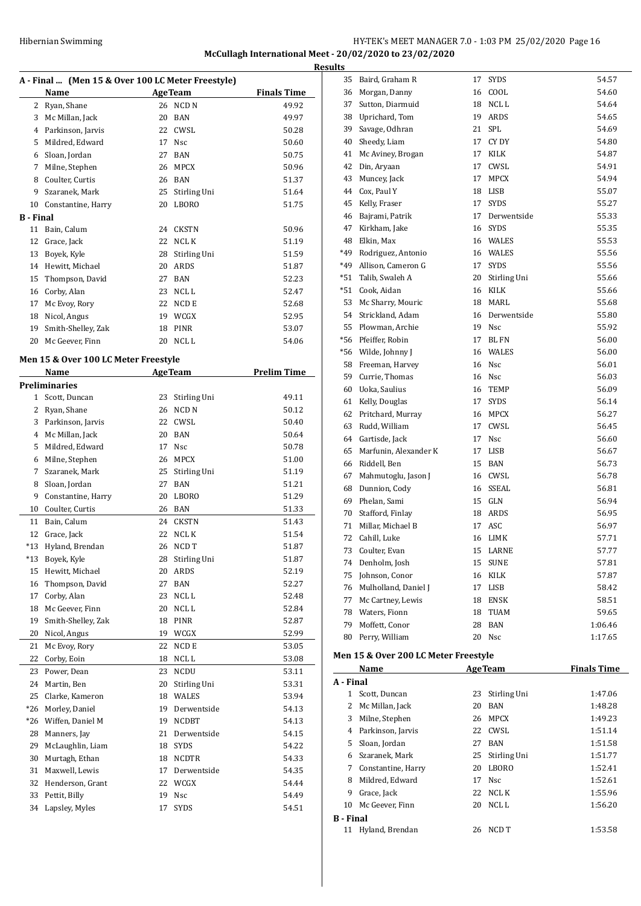#### Hibernian Swimming **HY-TEK's MEET MANAGER 7.0 - 1:03 PM 25/02/2020** Page 16 **McCullagh International Meet - 20/02/2020 to 23/02/2020**

**A - Final ... (Men 15 & Over 100 LC Meter Freestyle) Name Age Team Finals Time** 2 Ryan, Shane 26 NCD N 49.92 Mc Millan, Jack 20 BAN 49.97 4 Parkinson, Jarvis 22 CWSL 50.28 5 Mildred, Edward 17 Nsc 50.60 Sloan, Jordan 27 BAN 50.75 Milne, Stephen 26 MPCX 50.96 Coulter, Curtis 26 BAN 51.37 Szaranek, Mark 25 Stirling Uni 51.64 Constantine, Harry 20 LBORO 51.75 **B - Final** Bain, Calum 24 CKSTN 50.96 12 Grace, Jack 22 NCL K 51.19 Boyek, Kyle 28 Stirling Uni 51.59 Hewitt, Michael 20 ARDS 51.87 Thompson, David 27 BAN 52.23 Corby, Alan 23 NCL L 52.47 17 Mc Evoy, Rory 22 NCD E 52.68 Nicol, Angus 19 WCGX 52.95 Smith-Shelley, Zak 18 PINR 53.07 20 Mc Geever, Finn 20 NCL L 54.06 **Men 15 & Over 100 LC Meter Freestyle Name Age Team Prelim Time Preliminaries** Scott, Duncan 23 Stirling Uni 49.11 2 Ryan, Shane 26 NCD N 50.12 3 Parkinson, Jarvis 22 CWSL 50.40 Mc Millan, Jack 20 BAN 50.64 5 Mildred, Edward 17 Nsc 50.78 Milne, Stephen 26 MPCX 51.00 Szaranek, Mark 25 Stirling Uni 51.19 Sloan, Jordan 27 BAN 51.21 Constantine, Harry 20 LBORO 51.29 Coulter, Curtis 26 BAN 51.33 Bain, Calum 24 CKSTN 51.43 12 Grace, Jack 22 NCL K 51.54 \*13 Hyland, Brendan 26 NCD T 51.87 \*13 Boyek, Kyle 28 Stirling Uni 51.87 Hewitt, Michael 20 ARDS 52.19 Thompson, David 27 BAN 52.27 17 Corby, Alan 23 NCL L 52.48 18 Mc Geever, Finn 20 NCL L 52.84 Smith-Shelley, Zak 18 PINR 52.87 Nicol, Angus 19 WCGX 52.99 21 Mc Evoy, Rory 22 NCD E 53.05 22 Corby, Eoin 18 NCL L 53.08 Power, Dean 23 NCDU 53.11 Martin, Ben 20 Stirling Uni 53.31 Clarke, Kameron 18 WALES 53.94 \*26 Morley, Daniel 19 Derwentside 54.13 \*26 Wiffen, Daniel M 19 NCDBT 54.13 Manners, Jay 21 Derwentside 54.15 29 McLaughlin, Liam 18 SYDS 54.22 Murtagh, Ethan 18 NCDTR 54.33 Maxwell, Lewis 17 Derwentside 54.35 Henderson, Grant 22 WCGX 54.44 Pettit, Billy 19 Nsc 54.49 Lapsley, Myles 17 SYDS 54.51

| <b>Results</b> |                          |    |              |         |
|----------------|--------------------------|----|--------------|---------|
|                | 35 Baird, Graham R       | 17 | <b>SYDS</b>  | 54.57   |
|                | 36 Morgan, Danny         | 16 | COOL         | 54.60   |
| 37             | Sutton, Diarmuid         | 18 | NCL L        | 54.64   |
|                | 38 Uprichard, Tom        | 19 | ARDS         | 54.65   |
|                | 39 Savage, Odhran        | 21 | <b>SPL</b>   | 54.69   |
|                | 40 Sheedy, Liam          | 17 | CY DY        | 54.80   |
|                | 41 Mc Aviney, Brogan     | 17 | KILK         | 54.87   |
|                | 42 Din, Aryaan           | 17 | CWSL         | 54.91   |
|                | 43 Muncey, Jack          | 17 | MPCX         | 54.94   |
|                | 44 Cox, Paul Y           | 18 | LISB         | 55.07   |
|                | 45 Kelly, Fraser         | 17 | <b>SYDS</b>  | 55.27   |
|                | 46 Bajrami, Patrik       | 17 | Derwentside  | 55.33   |
|                | 47 Kirkham, Jake         |    | 16 SYDS      | 55.35   |
|                | 48 Elkin, Max            |    | 16 WALES     | 55.53   |
| *49            | Rodriguez, Antonio       |    | 16 WALES     | 55.56   |
|                | *49 Allison, Cameron G   | 17 | <b>SYDS</b>  | 55.56   |
|                | *51 Talib, Swaleh A      | 20 | Stirling Uni | 55.66   |
|                | *51 Cook, Aidan          | 16 | KILK         | 55.66   |
|                | 53 Mc Sharry, Mouric     | 18 | MARL         | 55.68   |
|                | 54 Strickland, Adam      | 16 | Derwentside  | 55.80   |
|                | 55 Plowman, Archie       | 19 | Nsc          | 55.92   |
|                | *56 Pfeiffer, Robin      | 17 | <b>BL FN</b> | 56.00   |
|                | *56 Wilde, Johnny J      | 16 | WALES        | 56.00   |
|                | 58 Freeman, Harvey       |    | 16 Nsc       | 56.01   |
|                | 59 Currie, Thomas        |    | 16 Nsc       | 56.03   |
|                | 60 Uoka, Saulius         |    | 16 TEMP      | 56.09   |
|                | 61 Kelly, Douglas        | 17 | <b>SYDS</b>  | 56.14   |
|                | 62 Pritchard, Murray     | 16 | MPCX         | 56.27   |
|                | 63 Rudd, William         | 17 | CWSL         | 56.45   |
|                | 64 Gartisde, Jack        | 17 | <b>Nsc</b>   | 56.60   |
|                | 65 Marfunin, Alexander K | 17 | LISB         | 56.67   |
|                | 66 Riddell, Ben          | 15 | BAN          | 56.73   |
|                | 67 Mahmutoglu, Jason J   |    | 16 CWSL      | 56.78   |
|                | 68 Dunnion, Cody         |    | 16 SSEAL     | 56.81   |
|                | 69 Phelan, Sami          | 15 | GLN          | 56.94   |
|                | 70 Stafford, Finlay      | 18 | ARDS         | 56.95   |
|                | 71 Millar, Michael B     | 17 | ASC          | 56.97   |
| 72             | Cahill, Luke             | 16 | LIMK         | 57.71   |
| 73             | Coulter, Evan            | 15 | LARNE        | 57.77   |
| 74             | Denholm, Josh            | 15 | <b>SUNE</b>  | 57.81   |
| 75             | Johnson, Conor           | 16 | KILK         | 57.87   |
| 76             | Mulholland, Daniel J     | 17 | LISB         | 58.42   |
| 77             | Mc Cartney, Lewis        | 18 | ENSK         | 58.51   |
| 78             | Waters, Fionn            | 18 | <b>TUAM</b>  | 59.65   |
| 79             | Moffett, Conor           | 28 | <b>BAN</b>   | 1:06.46 |
| 80             | Perry, William           | 20 | Nsc          | 1:17.65 |
|                | $\sim$ 2001 CM $\sim$ E  |    |              |         |

#### **Men 15 & Over 200 LC Meter Freestyle**

|                  | Name               | <b>AgeTeam</b> |              | <b>Finals Time</b> |  |  |  |  |
|------------------|--------------------|----------------|--------------|--------------------|--|--|--|--|
|                  | A - Final          |                |              |                    |  |  |  |  |
| 1                | Scott, Duncan      | 23             | Stirling Uni | 1:47.06            |  |  |  |  |
| 2                | Mc Millan, Jack    | 20             | BAN          | 1:48.28            |  |  |  |  |
| 3                | Milne, Stephen     | 26             | <b>MPCX</b>  | 1:49.23            |  |  |  |  |
| 4                | Parkinson, Jarvis  | 22             | CWSL         | 1:51.14            |  |  |  |  |
| 5.               | Sloan, Jordan      | 27             | <b>BAN</b>   | 1:51.58            |  |  |  |  |
| 6                | Szaranek, Mark     | 25             | Stirling Uni | 1:51.77            |  |  |  |  |
| 7                | Constantine, Harry | 20             | <b>LBORO</b> | 1:52.41            |  |  |  |  |
| 8                | Mildred, Edward    | 17             | Nsc          | 1:52.61            |  |  |  |  |
| 9                | Grace, Jack        | 22             | NCL K        | 1:55.96            |  |  |  |  |
| 10               | Mc Geever, Finn    | 20             | NCL L        | 1:56.20            |  |  |  |  |
| <b>B</b> - Final |                    |                |              |                    |  |  |  |  |
| 11               | Hyland, Brendan    | 26             | NCD T        | 1:53.58            |  |  |  |  |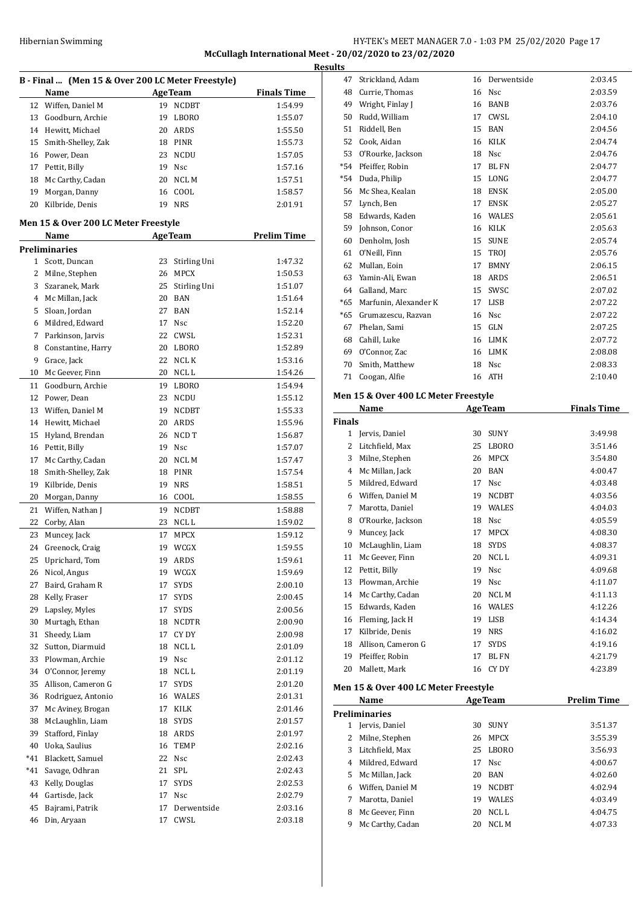# Hibernian Swimming **HY-TEK's MEET MANAGER 7.0 - 1:03 PM 25/02/2020** Page 17 **McCullagh International Meet - 20/02/2020 to 23/02/2020**

| B - Final  (Men 15 & Over 200 LC Meter Freestyle) |                                      |    |                |                    |  |  |  |  |
|---------------------------------------------------|--------------------------------------|----|----------------|--------------------|--|--|--|--|
|                                                   | Name                                 |    | <b>AgeTeam</b> | <b>Finals Time</b> |  |  |  |  |
| 12                                                | Wiffen, Daniel M                     | 19 | <b>NCDBT</b>   | 1:54.99            |  |  |  |  |
| 13                                                | Goodburn, Archie                     | 19 | LBORO          | 1:55.07            |  |  |  |  |
| 14                                                | Hewitt, Michael                      | 20 | ARDS           | 1:55.50            |  |  |  |  |
| 15                                                | Smith-Shelley, Zak                   |    | 18 PINR        | 1:55.73            |  |  |  |  |
| 16                                                | Power, Dean                          | 23 | <b>NCDU</b>    | 1:57.05            |  |  |  |  |
| 17                                                | Pettit, Billy                        |    | 19 Nsc         | 1:57.16            |  |  |  |  |
| 18                                                | Mc Carthy, Cadan                     | 20 | NCL M          | 1:57.51            |  |  |  |  |
| 19                                                | Morgan, Danny                        | 16 | COOL           | 1:58.57            |  |  |  |  |
| 20                                                | Kilbride, Denis                      | 19 | NRS            | 2:01.91            |  |  |  |  |
|                                                   | Men 15 & Over 200 LC Meter Freestyle |    |                |                    |  |  |  |  |
|                                                   | Name                                 |    | <b>AgeTeam</b> | <b>Prelim Time</b> |  |  |  |  |
|                                                   | <b>Preliminaries</b>                 |    |                |                    |  |  |  |  |
|                                                   | 1 Scott, Duncan                      | 23 | Stirling Uni   | 1:47.32            |  |  |  |  |
| 2                                                 | Milne, Stephen                       | 26 | <b>MPCX</b>    | 1:50.53            |  |  |  |  |
| 3                                                 | Szaranek, Mark                       | 25 | Stirling Uni   | 1:51.07            |  |  |  |  |
| 4                                                 | Mc Millan, Jack                      | 20 | BAN            | 1:51.64            |  |  |  |  |
| 5                                                 | Sloan, Jordan                        | 27 | BAN            | 1:52.14            |  |  |  |  |
| 6                                                 | Mildred. Edward                      | 17 | Nsc            | 1:52.20            |  |  |  |  |
| 7                                                 | Parkinson, Jarvis                    | 22 | CWSL           | 1:52.31            |  |  |  |  |
| 8                                                 | Constantine, Harry                   | 20 | LBORO          | 1:52.89            |  |  |  |  |
| 9                                                 | Grace, Jack                          |    | 22 NCL K       | 1:53.16            |  |  |  |  |
| 10                                                | Mc Geever, Finn                      |    | 20 NCL L       | 1:54.26            |  |  |  |  |
|                                                   |                                      |    |                |                    |  |  |  |  |
| 11<br>12                                          | Goodburn, Archie                     |    | 19 LBORO       | 1:54.94            |  |  |  |  |
|                                                   | Power, Dean                          | 23 | NCDU           | 1:55.12            |  |  |  |  |
| 13                                                | Wiffen, Daniel M                     |    | 19 NCDBT       | 1:55.33            |  |  |  |  |
| 14                                                | Hewitt, Michael                      | 20 | ARDS           | 1:55.96            |  |  |  |  |
| 15                                                | Hyland, Brendan                      | 26 | NCD T          | 1:56.87            |  |  |  |  |
| 16                                                | Pettit, Billy                        | 19 | Nsc            | 1:57.07            |  |  |  |  |
| 17                                                | Mc Carthy, Cadan                     | 20 | NCL M          | 1:57.47            |  |  |  |  |
| 18                                                | Smith-Shelley, Zak                   |    | 18 PINR        | 1:57.54            |  |  |  |  |
| 19                                                | Kilbride, Denis                      | 19 | <b>NRS</b>     | 1:58.51            |  |  |  |  |
| 20                                                | Morgan, Danny                        | 16 | COOL           | 1:58.55            |  |  |  |  |
| 21                                                | Wiffen, Nathan J                     |    | 19 NCDBT       | 1:58.88            |  |  |  |  |
| 22                                                | Corby, Alan                          |    | 23 NCL L       | 1:59.02            |  |  |  |  |
| 23                                                | Muncey, Jack                         | 17 | <b>MPCX</b>    | 1:59.12            |  |  |  |  |
| 24                                                | Greenock, Craig                      | 19 | WCGX           | 1:59.55            |  |  |  |  |
| 25                                                | Uprichard, Tom                       | 19 | ARDS           | 1:59.61            |  |  |  |  |
| 26                                                | Nicol, Angus                         | 19 | WCGX           | 1:59.69            |  |  |  |  |
| 27                                                | Baird, Graham R                      | 17 | SYDS           | 2:00.10            |  |  |  |  |
| 28                                                | Kelly, Fraser                        | 17 | <b>SYDS</b>    | 2:00.45            |  |  |  |  |
| 29                                                | Lapsley, Myles                       | 17 | SYDS           | 2:00.56            |  |  |  |  |
| 30                                                | Murtagh, Ethan                       | 18 | <b>NCDTR</b>   | 2:00.90            |  |  |  |  |
| 31                                                | Sheedy, Liam                         | 17 | CY DY          | 2:00.98            |  |  |  |  |
| 32                                                | Sutton, Diarmuid                     | 18 | NCL L          | 2:01.09            |  |  |  |  |
| 33                                                | Plowman, Archie                      | 19 | Nsc            | 2:01.12            |  |  |  |  |
| 34                                                | O'Connor, Jeremy                     | 18 | NCL L          | 2:01.19            |  |  |  |  |
| 35                                                | Allison, Cameron G                   | 17 | SYDS           | 2:01.20            |  |  |  |  |
| 36                                                | Rodriguez, Antonio                   | 16 | WALES          | 2:01.31            |  |  |  |  |
| 37                                                | Mc Aviney, Brogan                    | 17 | KILK           | 2:01.46            |  |  |  |  |
| 38                                                | McLaughlin, Liam                     | 18 | SYDS           | 2:01.57            |  |  |  |  |
| 39                                                | Stafford, Finlay                     | 18 | ARDS           | 2:01.97            |  |  |  |  |
| 40                                                | Uoka, Saulius                        | 16 | TEMP           | 2:02.16            |  |  |  |  |
| *41                                               | Blackett, Samuel                     | 22 | Nsc            | 2:02.43            |  |  |  |  |
| *41                                               | Savage, Odhran                       | 21 | SPL            | 2:02.43            |  |  |  |  |
| 43                                                | Kelly, Douglas                       | 17 | <b>SYDS</b>    | 2:02.53            |  |  |  |  |
| 44                                                | Gartisde, Jack                       | 17 | Nsc            | 2:02.79            |  |  |  |  |
| 45                                                | Bajrami, Patrik                      | 17 | Derwentside    | 2:03.16            |  |  |  |  |
| 46                                                | Din, Aryaan                          | 17 | CWSL           | 2:03.18            |  |  |  |  |
|                                                   |                                      |    |                |                    |  |  |  |  |

| <b>Results</b> |                                                      |                                                                                                                                                                                                                                                                                                                                                                                                                                                |                    |                                                                                                                                                                                                                                                                                                                                                 |
|----------------|------------------------------------------------------|------------------------------------------------------------------------------------------------------------------------------------------------------------------------------------------------------------------------------------------------------------------------------------------------------------------------------------------------------------------------------------------------------------------------------------------------|--------------------|-------------------------------------------------------------------------------------------------------------------------------------------------------------------------------------------------------------------------------------------------------------------------------------------------------------------------------------------------|
| 47             | Strickland, Adam                                     |                                                                                                                                                                                                                                                                                                                                                                                                                                                |                    | 2:03.45                                                                                                                                                                                                                                                                                                                                         |
| 48             |                                                      |                                                                                                                                                                                                                                                                                                                                                                                                                                                |                    | 2:03.59                                                                                                                                                                                                                                                                                                                                         |
| 49             |                                                      |                                                                                                                                                                                                                                                                                                                                                                                                                                                |                    | 2:03.76                                                                                                                                                                                                                                                                                                                                         |
| 50             | Rudd, William                                        |                                                                                                                                                                                                                                                                                                                                                                                                                                                |                    | 2:04.10                                                                                                                                                                                                                                                                                                                                         |
|                | Riddell, Ben                                         | 15                                                                                                                                                                                                                                                                                                                                                                                                                                             | BAN                | 2:04.56                                                                                                                                                                                                                                                                                                                                         |
| 52             |                                                      | 16                                                                                                                                                                                                                                                                                                                                                                                                                                             | KILK               | 2:04.74                                                                                                                                                                                                                                                                                                                                         |
|                |                                                      |                                                                                                                                                                                                                                                                                                                                                                                                                                                |                    | 2:04.76                                                                                                                                                                                                                                                                                                                                         |
|                |                                                      |                                                                                                                                                                                                                                                                                                                                                                                                                                                |                    | 2:04.77                                                                                                                                                                                                                                                                                                                                         |
|                |                                                      |                                                                                                                                                                                                                                                                                                                                                                                                                                                |                    | 2:04.77                                                                                                                                                                                                                                                                                                                                         |
|                |                                                      |                                                                                                                                                                                                                                                                                                                                                                                                                                                |                    | 2:05.00                                                                                                                                                                                                                                                                                                                                         |
|                |                                                      |                                                                                                                                                                                                                                                                                                                                                                                                                                                |                    | 2:05.27                                                                                                                                                                                                                                                                                                                                         |
|                |                                                      |                                                                                                                                                                                                                                                                                                                                                                                                                                                |                    | 2:05.61                                                                                                                                                                                                                                                                                                                                         |
|                |                                                      |                                                                                                                                                                                                                                                                                                                                                                                                                                                |                    | 2:05.63                                                                                                                                                                                                                                                                                                                                         |
|                |                                                      |                                                                                                                                                                                                                                                                                                                                                                                                                                                |                    | 2:05.74                                                                                                                                                                                                                                                                                                                                         |
|                |                                                      |                                                                                                                                                                                                                                                                                                                                                                                                                                                |                    | 2:05.76                                                                                                                                                                                                                                                                                                                                         |
|                |                                                      |                                                                                                                                                                                                                                                                                                                                                                                                                                                |                    | 2:06.15<br>2:06.51                                                                                                                                                                                                                                                                                                                              |
|                |                                                      |                                                                                                                                                                                                                                                                                                                                                                                                                                                |                    | 2:07.02                                                                                                                                                                                                                                                                                                                                         |
|                |                                                      |                                                                                                                                                                                                                                                                                                                                                                                                                                                |                    | 2:07.22                                                                                                                                                                                                                                                                                                                                         |
|                |                                                      |                                                                                                                                                                                                                                                                                                                                                                                                                                                |                    | 2:07.22                                                                                                                                                                                                                                                                                                                                         |
|                |                                                      |                                                                                                                                                                                                                                                                                                                                                                                                                                                |                    | 2:07.25                                                                                                                                                                                                                                                                                                                                         |
|                |                                                      |                                                                                                                                                                                                                                                                                                                                                                                                                                                |                    | 2:07.72                                                                                                                                                                                                                                                                                                                                         |
|                |                                                      |                                                                                                                                                                                                                                                                                                                                                                                                                                                |                    | 2:08.08                                                                                                                                                                                                                                                                                                                                         |
| 70             |                                                      |                                                                                                                                                                                                                                                                                                                                                                                                                                                |                    | 2:08.33                                                                                                                                                                                                                                                                                                                                         |
| 71             | Coogan, Alfie                                        |                                                                                                                                                                                                                                                                                                                                                                                                                                                |                    | 2:10.40                                                                                                                                                                                                                                                                                                                                         |
|                |                                                      |                                                                                                                                                                                                                                                                                                                                                                                                                                                |                    |                                                                                                                                                                                                                                                                                                                                                 |
|                |                                                      |                                                                                                                                                                                                                                                                                                                                                                                                                                                |                    |                                                                                                                                                                                                                                                                                                                                                 |
|                |                                                      |                                                                                                                                                                                                                                                                                                                                                                                                                                                |                    | <b>Finals Time</b>                                                                                                                                                                                                                                                                                                                              |
|                |                                                      |                                                                                                                                                                                                                                                                                                                                                                                                                                                |                    |                                                                                                                                                                                                                                                                                                                                                 |
|                |                                                      |                                                                                                                                                                                                                                                                                                                                                                                                                                                |                    |                                                                                                                                                                                                                                                                                                                                                 |
|                | 1 Jervis, Daniel                                     | 30                                                                                                                                                                                                                                                                                                                                                                                                                                             | SUNY               | 3:49.98                                                                                                                                                                                                                                                                                                                                         |
|                | 2 Litchfield, Max                                    |                                                                                                                                                                                                                                                                                                                                                                                                                                                | 25 LBORO           | 3:51.46                                                                                                                                                                                                                                                                                                                                         |
| 3<br>4         | Milne, Stephen                                       | 26<br>20                                                                                                                                                                                                                                                                                                                                                                                                                                       | <b>MPCX</b><br>BAN | 3:54.80<br>4:00.47                                                                                                                                                                                                                                                                                                                              |
| 5              | Mc Millan, Jack<br>Mildred, Edward                   | 17                                                                                                                                                                                                                                                                                                                                                                                                                                             | Nsc                | 4:03.48                                                                                                                                                                                                                                                                                                                                         |
|                | 6 Wiffen, Daniel M                                   | 19                                                                                                                                                                                                                                                                                                                                                                                                                                             | <b>NCDBT</b>       | 4:03.56                                                                                                                                                                                                                                                                                                                                         |
| 7              | Marotta, Daniel                                      |                                                                                                                                                                                                                                                                                                                                                                                                                                                | 19 WALES           | 4:04.03                                                                                                                                                                                                                                                                                                                                         |
| 8              | O'Rourke, Jackson                                    |                                                                                                                                                                                                                                                                                                                                                                                                                                                | 18 Nsc             | 4:05.59                                                                                                                                                                                                                                                                                                                                         |
| 9              | Muncey, Jack                                         |                                                                                                                                                                                                                                                                                                                                                                                                                                                | 17 MPCX            | 4:08.30                                                                                                                                                                                                                                                                                                                                         |
| $10\,$         | McLaughlin, Liam                                     |                                                                                                                                                                                                                                                                                                                                                                                                                                                | 18 SYDS            | 4:08.37                                                                                                                                                                                                                                                                                                                                         |
| 11             | Mc Geever, Finn                                      |                                                                                                                                                                                                                                                                                                                                                                                                                                                | 20 NCLL            | 4:09.31                                                                                                                                                                                                                                                                                                                                         |
| 12             | Pettit, Billy                                        | 19                                                                                                                                                                                                                                                                                                                                                                                                                                             | Nsc                | 4:09.68                                                                                                                                                                                                                                                                                                                                         |
|                | 13 Plowman, Archie                                   |                                                                                                                                                                                                                                                                                                                                                                                                                                                | 19 Nsc             | 4:11.07                                                                                                                                                                                                                                                                                                                                         |
|                | 14 Mc Carthy, Cadan                                  |                                                                                                                                                                                                                                                                                                                                                                                                                                                | 20 NCL M           | 4:11.13                                                                                                                                                                                                                                                                                                                                         |
| 15             | Edwards, Kaden                                       |                                                                                                                                                                                                                                                                                                                                                                                                                                                | 16 WALES           | 4:12.26                                                                                                                                                                                                                                                                                                                                         |
|                | 16 Fleming, Jack H                                   |                                                                                                                                                                                                                                                                                                                                                                                                                                                | 19 LISB            | 4:14.34                                                                                                                                                                                                                                                                                                                                         |
| 17             | Kilbride, Denis                                      | 19                                                                                                                                                                                                                                                                                                                                                                                                                                             | <b>NRS</b>         | 4:16.02                                                                                                                                                                                                                                                                                                                                         |
|                | 18 Allison, Cameron G                                | 17                                                                                                                                                                                                                                                                                                                                                                                                                                             | <b>SYDS</b>        | 4:19.16                                                                                                                                                                                                                                                                                                                                         |
|                | 19 Pfeiffer, Robin                                   | 17                                                                                                                                                                                                                                                                                                                                                                                                                                             | BL FN              | 4:21.79                                                                                                                                                                                                                                                                                                                                         |
| 20             | Mallett, Mark                                        | 16                                                                                                                                                                                                                                                                                                                                                                                                                                             | CY DY              | 4:23.89                                                                                                                                                                                                                                                                                                                                         |
|                | Men 15 & Over 400 LC Meter Freestyle                 |                                                                                                                                                                                                                                                                                                                                                                                                                                                |                    |                                                                                                                                                                                                                                                                                                                                                 |
|                | <b>Name</b>                                          |                                                                                                                                                                                                                                                                                                                                                                                                                                                | <b>AgeTeam</b>     | <b>Prelim Time</b>                                                                                                                                                                                                                                                                                                                              |
|                | <b>Preliminaries</b>                                 |                                                                                                                                                                                                                                                                                                                                                                                                                                                |                    |                                                                                                                                                                                                                                                                                                                                                 |
| 1              | Jervis, Daniel                                       | 30                                                                                                                                                                                                                                                                                                                                                                                                                                             | SUNY               | 3:51.37                                                                                                                                                                                                                                                                                                                                         |
| $\mathbf{2}$   | Milne, Stephen                                       | 26                                                                                                                                                                                                                                                                                                                                                                                                                                             | MPCX               | 3:55.39                                                                                                                                                                                                                                                                                                                                         |
|                | 3 Litchfield, Max                                    |                                                                                                                                                                                                                                                                                                                                                                                                                                                | 25 LBORO           | 3:56.93                                                                                                                                                                                                                                                                                                                                         |
|                | 4 Mildred, Edward                                    | 17                                                                                                                                                                                                                                                                                                                                                                                                                                             | Nsc                | 4:00.67                                                                                                                                                                                                                                                                                                                                         |
|                | 5 Mc Millan, Jack<br>6 Wiffen, Daniel M              | 20<br>19                                                                                                                                                                                                                                                                                                                                                                                                                                       | BAN<br>NCDBT       | 4:02.60<br>4:02.94                                                                                                                                                                                                                                                                                                                              |
|                | 57<br>59<br>60<br>62<br>63<br>*65<br>*65<br>67<br>69 | Currie, Thomas<br>Wright, Finlay J<br>51<br>Cook, Aidan<br>53 O'Rourke, Jackson<br>*54 Pfeiffer, Robin<br>*54 Duda, Philip<br>56 Mc Shea, Kealan<br>Lynch, Ben<br>58 Edwards, Kaden<br>Johnson, Conor<br>Denholm, Josh<br>61<br>O'Neill, Finn<br>Mullan, Eoin<br>Yamin-Ali, Ewan<br>Galland, Marc<br>64<br>Marfunin, Alexander K<br>Grumazescu, Razvan<br>Phelan, Sami<br>68 Cahill, Luke<br>O'Connor, Zac<br>Smith, Matthew<br>Name<br>Finals |                    | 16 Derwentside<br>16 Nsc<br>16 BANB<br>17 CWSL<br>18 Nsc<br>17<br><b>BLFN</b><br>15 LONG<br>18 ENSK<br>17<br><b>ENSK</b><br>16 WALES<br>16 KILK<br>15 SUNE<br>15 TROJ<br>17 BMNY<br>18 ARDS<br>SWSC<br>15<br>17 LISB<br>16 Nsc<br>15<br>GLN<br>16 LIMK<br>16 LIMK<br>18 Nsc<br>16 ATH<br>Men 15 & Over 400 LC Meter Freestyle<br><b>AgeTeam</b> |

8 Mc Geever, Finn 20 NCL L 4:04.75 Mc Carthy, Cadan 20 NCL M 4:07.33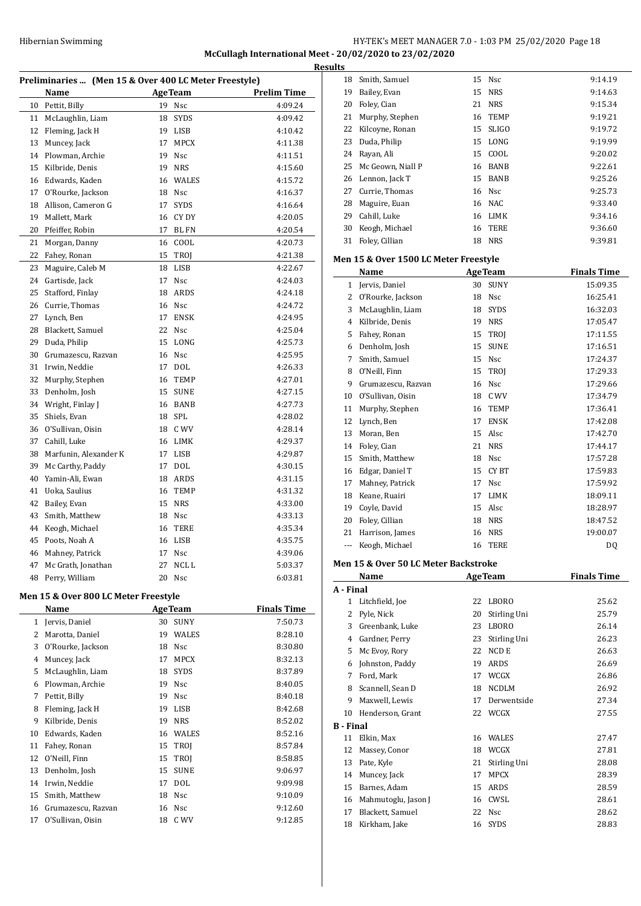# HY-TEK's MEET MANAGER 7.0 - 1:03 PM 25/02/2020 Page 18 **McCullagh International Meet - 20/02/2020 to 23/02/2020**

| Preliminaries  (Men 15 & Over 400 LC Meter Freestyle) |                                      |    |                |                    |  |  |
|-------------------------------------------------------|--------------------------------------|----|----------------|--------------------|--|--|
|                                                       | Name                                 |    | <b>AgeTeam</b> | <b>Prelim Time</b> |  |  |
| 10                                                    | Pettit, Billy                        | 19 | Nsc            | 4:09.24            |  |  |
| 11                                                    | McLaughlin, Liam                     | 18 | SYDS           | 4:09.42            |  |  |
| 12                                                    | Fleming, Jack H                      | 19 | LISB           | 4:10.42            |  |  |
| 13                                                    | Muncey, Jack                         | 17 | <b>MPCX</b>    | 4:11.38            |  |  |
| 14                                                    | Plowman, Archie                      | 19 | Nsc            | 4:11.51            |  |  |
| 15                                                    | Kilbride, Denis                      | 19 | <b>NRS</b>     | 4:15.60            |  |  |
| 16                                                    | Edwards, Kaden                       | 16 | <b>WALES</b>   | 4:15.72            |  |  |
| 17                                                    | O'Rourke, Jackson                    | 18 | <b>Nsc</b>     | 4:16.37            |  |  |
| 18                                                    | Allison, Cameron G                   | 17 | <b>SYDS</b>    | 4:16.64            |  |  |
| 19                                                    | Mallett, Mark                        | 16 | CY DY          | 4:20.05            |  |  |
| 20                                                    | Pfeiffer, Robin                      | 17 | BL FN          | 4:20.54            |  |  |
| 21                                                    | Morgan, Danny                        | 16 | COOL           | 4:20.73            |  |  |
| 22                                                    | Fahey, Ronan                         | 15 | TROJ           | 4:21.38            |  |  |
| 23                                                    | Maguire, Caleb M                     | 18 | LISB           | 4:22.67            |  |  |
| 24                                                    | Gartisde, Jack                       | 17 | Nsc            | 4:24.03            |  |  |
| 25                                                    | Stafford, Finlay                     | 18 | ARDS           | 4:24.18            |  |  |
| 26                                                    | Currie, Thomas                       | 16 | Nsc            | 4:24.72            |  |  |
| 27                                                    | Lynch, Ben                           | 17 | <b>ENSK</b>    | 4:24.95            |  |  |
| 28                                                    | Blackett, Samuel                     | 22 | <b>Nsc</b>     | 4:25.04            |  |  |
| 29                                                    | Duda, Philip                         | 15 | LONG           | 4:25.73            |  |  |
| 30                                                    | Grumazescu, Razvan                   | 16 | Nsc            | 4:25.95            |  |  |
| 31                                                    | Irwin, Neddie                        | 17 | <b>DOL</b>     | 4:26.33            |  |  |
| 32                                                    | Murphy, Stephen                      |    | 16 TEMP        | 4:27.01            |  |  |
| 33                                                    | Denholm, Josh                        | 15 | <b>SUNE</b>    | 4:27.15            |  |  |
| 34                                                    | Wright, Finlay J                     |    | 16 BANB        | 4:27.73            |  |  |
| 35                                                    | Shiels, Evan                         | 18 | SPL            | 4:28.02            |  |  |
| 36                                                    | O'Sullivan, Oisin                    |    | 18 C WV        | 4:28.14            |  |  |
| 37                                                    | Cahill, Luke                         | 16 | LIMK           | 4:29.37            |  |  |
| 38                                                    | Marfunin, Alexander K                | 17 | LISB           | 4:29.87            |  |  |
| 39                                                    | Mc Carthy, Paddy                     | 17 | <b>DOL</b>     | 4:30.15            |  |  |
| 40                                                    | Yamin-Ali, Ewan                      | 18 | ARDS           | 4:31.15            |  |  |
| 41                                                    | Uoka, Saulius                        | 16 | <b>TEMP</b>    | 4:31.32            |  |  |
| 42                                                    | Bailey, Evan                         | 15 | <b>NRS</b>     | 4:33.00            |  |  |
| 43                                                    | Smith, Matthew                       |    | 18 Nsc         | 4:33.13            |  |  |
| 44                                                    | Keogh, Michael                       | 16 | <b>TERE</b>    | 4:35.34            |  |  |
| 45                                                    | Poots, Noah A                        |    | 16 LISB        | 4:35.75            |  |  |
|                                                       | 46 Mahney, Patrick                   |    | 17 Nsc         | 4:39.06            |  |  |
| 47                                                    | Mc Grath, Jonathan                   | 27 | NCL L          | 5:03.37            |  |  |
| 48                                                    | Perry, William                       | 20 | Nsc            | 6:03.81            |  |  |
|                                                       | Men 15 & Over 800 LC Meter Freestyle |    |                |                    |  |  |
|                                                       | Name                                 |    | <b>AgeTeam</b> | <b>Finals Time</b> |  |  |
|                                                       | 1 Jervis, Daniel                     | 30 | SUNY           | 7:50.73            |  |  |
| $\mathbf{2}$                                          | Marotta, Daniel                      | 19 | WALES          | 8:28.10            |  |  |
| 3                                                     | O'Rourke, Jackson                    | 18 | Nsc            | 8:30.80            |  |  |
| 4                                                     | Muncey, Jack                         | 17 | <b>MPCX</b>    | 8:32.13            |  |  |
| 5                                                     | McLaughlin, Liam                     | 18 | <b>SYDS</b>    | 8:37.89            |  |  |
| 6                                                     | Plowman, Archie                      | 19 | Nsc            | 8:40.05            |  |  |
| 7                                                     | Pettit, Billy                        | 19 | Nsc            | 8:40.18            |  |  |
| 8                                                     | Fleming, Jack H                      | 19 | LISB           | 8:42.68            |  |  |
| 9                                                     | Kilbride, Denis                      | 19 | <b>NRS</b>     | 8:52.02            |  |  |
| 10                                                    | Edwards, Kaden                       | 16 | WALES          | 8:52.16            |  |  |
| 11                                                    | Fahey, Ronan                         | 15 | TROJ           | 8:57.84            |  |  |
| 12                                                    | O'Neill, Finn                        | 15 | TROJ           | 8:58.85            |  |  |
| 13                                                    | Denholm, Josh                        | 15 | <b>SUNE</b>    | 9:06.97            |  |  |

 Irwin, Neddie 17 DOL 9:09.98 Smith, Matthew 18 Nsc 9:10.09 Grumazescu, Razvan 16 Nsc 9:12.60 O'Sullivan, Oisin 18 C WV 9:12.85

| 18 | Smith, Samuel     |                   |              | 9:14.19                                                     |
|----|-------------------|-------------------|--------------|-------------------------------------------------------------|
| 19 | Bailey, Evan      | 15                |              | 9:14.63                                                     |
| 20 | Foley, Cian       |                   |              | 9:15.34                                                     |
| 21 | Murphy, Stephen   | 16                | <b>TEMP</b>  | 9:19.21                                                     |
| 22 | Kilcoyne, Ronan   | 15                | <b>SLIGO</b> | 9:19.72                                                     |
| 23 | Duda, Philip      | 15                |              | 9:19.99                                                     |
| 24 | Rayan, Ali        | 15                | COOL         | 9:20.02                                                     |
| 25 | Mc Geown, Niall P | 16                | <b>BANB</b>  | 9:22.61                                                     |
|    |                   | 15                |              | 9:25.26                                                     |
| 27 | Currie, Thomas    |                   |              | 9:25.73                                                     |
| 28 | Maguire, Euan     |                   |              | 9:33.40                                                     |
| 29 | Cahill, Luke      | 16                | LIMK         | 9:34.16                                                     |
| 30 | Keogh, Michael    | 16                | <b>TERE</b>  | 9:36.60                                                     |
| 31 | Foley, Cillian    | 18                | <b>NRS</b>   | 9:39.81                                                     |
|    |                   | 26 Lennon, Jack T |              | 15 Nsc<br>NRS<br>21 NRS<br>LONG<br>BANB<br>16 Nsc<br>16 NAC |

#### **Men 15 & Over 1500 LC Meter Freestyle**

|                          | <b>Name</b>                          |    | <b>AgeTeam</b> | <b>Finals Time</b> |
|--------------------------|--------------------------------------|----|----------------|--------------------|
|                          | 1 Jervis, Daniel                     | 30 | <b>SUNY</b>    | 15:09.35           |
|                          | 2 O'Rourke, Jackson                  | 18 | Nsc            | 16:25.41           |
| 3                        | McLaughlin, Liam                     | 18 | <b>SYDS</b>    | 16:32.03           |
|                          | 4 Kilbride, Denis                    | 19 | <b>NRS</b>     | 17:05.47           |
| 5                        | Fahey, Ronan                         | 15 | TROJ           | 17:11.55           |
|                          | 6 Denholm, Josh                      | 15 | <b>SUNE</b>    | 17:16.51           |
| 7                        | Smith, Samuel                        | 15 | Nsc            | 17:24.37           |
| 8                        | O'Neill, Finn                        | 15 | TROJ           | 17:29.33           |
|                          | 9 Grumazescu, Razvan                 | 16 | <b>Nsc</b>     | 17:29.66           |
|                          | 10 O'Sullivan, Oisin                 | 18 | C WV           | 17:34.79           |
|                          | 11 Murphy, Stephen                   | 16 | <b>TEMP</b>    | 17:36.41           |
|                          | 12 Lynch, Ben                        | 17 | <b>ENSK</b>    | 17:42.08           |
|                          | 13 Moran, Ben                        |    | 15 Alsc        | 17:42.70           |
|                          | 14 Foley, Cian                       | 21 | <b>NRS</b>     | 17:44.17           |
|                          | 15 Smith, Matthew                    |    | 18 Nsc         | 17:57.28           |
|                          | 16 Edgar, Daniel T                   | 15 | <b>CYBT</b>    | 17:59.83           |
|                          | 17 Mahney, Patrick                   | 17 | <b>Nsc</b>     | 17:59.92           |
|                          | 18 Keane, Ruairi                     | 17 | <b>LIMK</b>    | 18:09.11           |
|                          | 19 Coyle, David                      |    | 15 Alsc        | 18:28.97           |
|                          | 20 Foley, Cillian                    | 18 | <b>NRS</b>     | 18:47.52           |
|                          | 21 Harrison, James                   | 16 | <b>NRS</b>     | 19:00.07           |
| $\overline{\phantom{a}}$ | Keogh, Michael                       | 16 | <b>TERE</b>    | DQ                 |
|                          | Men 15 & Over 50 LC Meter Backstroke |    |                |                    |
|                          | Name                                 |    | <b>AgeTeam</b> | <b>Finals Time</b> |
| A - Final                |                                      |    |                |                    |
|                          | 1 Litchfield, Joe                    | 22 | LBORO          | 25.62              |
|                          | 2 Pyle, Nick                         | 20 | Stirling Uni   | 25.79              |
|                          | 3 Greenbank, Luke                    | 23 | LBORO          | 26.14              |
|                          | 4 Gardner, Perry                     | 23 | Stirling Uni   | 26.23              |
|                          | 5 Mc Evoy, Rory                      | 22 | NCD E          | 26.63              |
|                          | 6 Johnston, Paddy                    | 19 | ARDS           | 26.69              |
|                          | 7 Ford, Mark                         | 17 | WCGX           | 26.86              |
|                          | 8 Scannell, Sean D                   | 18 | NCDLM          | 26.92              |
|                          | 9 Maxwell, Lewis                     | 17 | Derwentside    | 27.34              |
|                          | 10 Henderson, Grant                  | 22 | WCGX           | 27.55              |
| <b>B</b> - Final         |                                      |    |                |                    |
|                          | 11 Elkin, Max                        |    | 16 WALES       | 27.47              |
|                          | 12 Massey, Conor                     |    | 18 WCGX        | 27.81              |
| 13                       | Pate, Kyle                           | 21 | Stirling Uni   | 28.08              |
|                          |                                      |    |                |                    |

| 12 Massey, Conor       |    | 18 W.C.L.X      | 27.81 |
|------------------------|----|-----------------|-------|
| 13 Pate, Kyle          |    | 21 Stirling Uni | 28.08 |
| 14 Muncey, Jack        | 17 | <b>MPCX</b>     | 28.39 |
| 15 Barnes, Adam        |    | 15 ARDS         | 28.59 |
| 16 Mahmutoglu, Jason J |    | 16 CWSL         | 28.61 |
| 17 Blackett, Samuel    |    | 22 Nsc          | 28.62 |
| 18 Kirkham, Jake       |    | 16 SYDS         | 28.83 |
|                        |    |                 |       |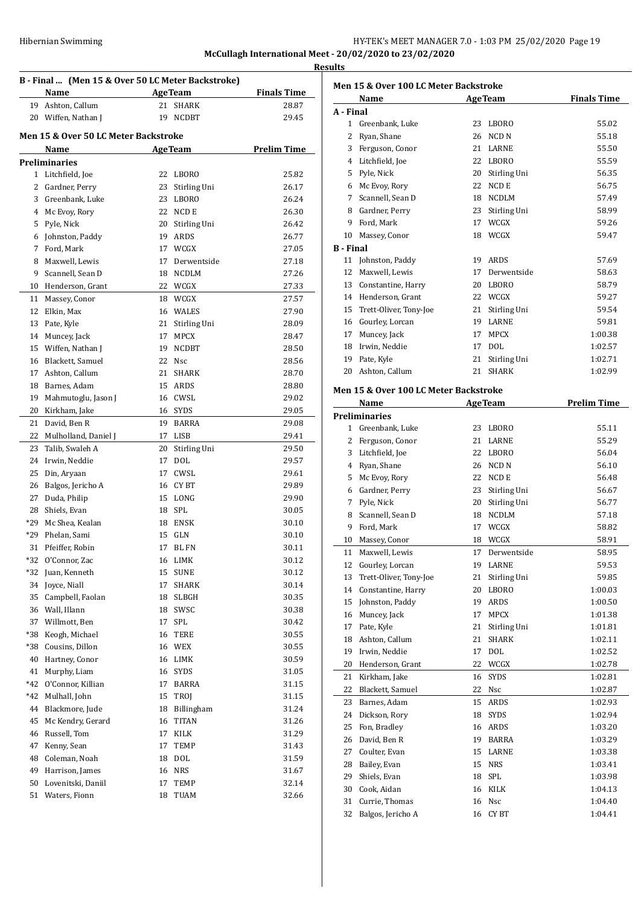# HY-TEK's MEET MANAGER 7.0 - 1:03 PM 25/02/2020 Page 19 **McCullagh International Meet - 20/02/2020 to 23/02/2020**

**Results**

|       | B - Final  (Men 15 & Over 50 LC Meter Backstroke)<br>Name | <b>Finals Time</b> |                                |                    |
|-------|-----------------------------------------------------------|--------------------|--------------------------------|--------------------|
| 19    | Ashton, Callum                                            | 21                 | <b>AgeTeam</b><br><b>SHARK</b> | 28.87              |
| 20    | Wiffen, Nathan J                                          | 19                 | <b>NCDBT</b>                   | 29.45              |
|       |                                                           |                    |                                |                    |
|       | Men 15 & Over 50 LC Meter Backstroke                      |                    |                                |                    |
|       | Name                                                      |                    | <b>AgeTeam</b>                 | <b>Prelim Time</b> |
|       | Preliminaries                                             |                    |                                |                    |
|       | 1 Litchfield, Joe                                         | 22                 | <b>LBORO</b>                   | 25.82              |
| 2     | Gardner, Perry                                            | 23                 | Stirling Uni                   | 26.17              |
| 3     | Greenbank, Luke                                           | 23                 | <b>LBORO</b>                   | 26.24              |
| 4     | Mc Evoy, Rory                                             | 22                 | NCD E                          | 26.30              |
| 5     | Pyle, Nick                                                | 20                 | Stirling Uni                   | 26.42              |
| 6     | Johnston, Paddy                                           | 19                 | ARDS                           | 26.77              |
| 7     | Ford, Mark                                                | 17                 | WCGX                           | 27.05              |
| 8     | Maxwell, Lewis                                            | 17                 | Derwentside                    | 27.18              |
| 9     | Scannell, Sean D                                          | 18                 | <b>NCDLM</b>                   | 27.26              |
| 10    | Henderson, Grant                                          |                    | 22 WCGX                        | 27.33              |
| 11    | Massey, Conor                                             |                    | 18 WCGX                        | 27.57              |
| 12    | Elkin, Max                                                |                    | 16 WALES                       | 27.90              |
| 13    | Pate, Kyle                                                | 21                 | Stirling Uni                   | 28.09              |
| 14    | Muncey, Jack                                              | 17                 | <b>MPCX</b>                    | 28.47              |
| 15    | Wiffen, Nathan J                                          | 19                 | <b>NCDBT</b>                   | 28.50              |
| 16    | Blackett, Samuel                                          | 22                 | <b>Nsc</b>                     | 28.56              |
| 17    | Ashton, Callum                                            | 21                 | SHARK                          | 28.70              |
| 18    | Barnes, Adam                                              |                    | 15 ARDS                        | 28.80              |
| 19    | Mahmutoglu, Jason J                                       |                    | 16 CWSL                        | 29.02              |
| 20    | Kirkham, Jake                                             |                    | 16 SYDS                        | 29.05              |
| 21    | David, Ben R                                              | 19                 | BARRA                          | 29.08              |
| 22    | Mulholland, Daniel J                                      | 17                 | LISB                           | 29.41              |
| 23    | Talib, Swaleh A                                           | 20                 | Stirling Uni                   | 29.50              |
| 24    | Irwin, Neddie                                             | 17                 | DOL                            | 29.57              |
| 25    | Din, Aryaan                                               | 17                 | CWSL                           | 29.61              |
| 26    | Balgos, Jericho A                                         |                    | 16 CYBT                        | 29.89              |
| 27    | Duda, Philip                                              |                    | 15 LONG                        | 29.90              |
| 28    | Shiels, Evan                                              |                    | 18 SPL                         | 30.05              |
| *29   | Mc Shea, Kealan                                           | 18                 | ENSK                           | 30.10              |
| *29   | Phelan, Sami                                              | 15                 | <b>GLN</b>                     | 30.10              |
| 31    | Pfeiffer, Robin                                           | 17                 | <b>BL FN</b>                   | 30.11              |
| $*32$ | O'Connor, Zac                                             | 16                 | $\mathop{\rm LIMK}\nolimits$   | 30.12              |
| *32   | Juan, Kenneth                                             | 15                 | <b>SUNE</b>                    | 30.12              |
| 34    | Joyce, Niall                                              | 17                 | SHARK                          | 30.14              |
| 35    | Campbell, Faolan                                          | 18                 | SLBGH                          | 30.35              |
| 36    | Wall, Illann                                              | 18                 | SWSC                           | 30.38              |
| 37    | Willmott, Ben                                             | 17                 | SPL                            | 30.42              |
| *38   | Keogh, Michael                                            | 16                 | <b>TERE</b>                    | 30.55              |
| *38   | Cousins, Dillon                                           |                    | 16 WEX                         | 30.55              |
| 40    | Hartney, Conor                                            |                    | 16 LIMK                        | 30.59              |
| 41    | Murphy, Liam                                              | 16                 | <b>SYDS</b>                    | 31.05              |
| *42   | O'Connor, Killian                                         | 17                 | BARRA                          | 31.15              |
| *42   | Mulhall, John                                             | 15                 | TROJ                           | 31.15              |
| 44    | Blackmore, Jude                                           | 18                 | Billingham                     | 31.24              |
| 45    | Mc Kendry, Gerard                                         | 16                 | TITAN                          | 31.26              |
| 46    | Russell, Tom                                              | 17                 | KILK                           | 31.29              |
| 47    | Kenny, Sean                                               | 17                 | TEMP                           | 31.43              |
| 48    | Coleman, Noah                                             | 18                 | DOL                            | 31.59              |
| 49    | Harrison, James                                           | 16                 | <b>NRS</b>                     | 31.67              |
| 50    | Lovenitski, Daniil                                        | 17                 | TEMP                           | 32.14              |
| 51    | Waters, Fionn                                             | 18                 | TUAM                           | 32.66              |
|       |                                                           |                    |                                |                    |

|                  | Name                                  |    | <b>AgeTeam</b>   | <b>Finals Time</b> |
|------------------|---------------------------------------|----|------------------|--------------------|
| A - Final        |                                       |    |                  |                    |
| 1                | Greenbank, Luke                       | 23 | <b>LBORO</b>     | 55.02              |
| 2                | Ryan, Shane                           | 26 | NCD <sub>N</sub> | 55.18              |
| 3                | Ferguson, Conor                       | 21 | LARNE            | 55.50              |
| 4                | Litchfield, Joe                       | 22 | <b>LBORO</b>     | 55.59              |
| 5                | Pyle, Nick                            | 20 | Stirling Uni     | 56.35              |
| 6                | Mc Evoy, Rory                         | 22 | NCD E            | 56.75              |
| 7                | Scannell, Sean D                      | 18 | <b>NCDLM</b>     | 57.49              |
| 8                | Gardner, Perry                        | 23 | Stirling Uni     | 58.99              |
| 9                | Ford, Mark                            | 17 | WCGX             | 59.26              |
| 10               | Massey, Conor                         | 18 | WCGX             | 59.47              |
| <b>B</b> - Final |                                       |    |                  |                    |
| 11               | Johnston, Paddy                       | 19 | ARDS             | 57.69              |
| 12               | Maxwell, Lewis                        | 17 | Derwentside      | 58.63              |
| 13               | Constantine, Harry                    | 20 | LBORO            | 58.79              |
| 14               | Henderson, Grant                      | 22 | WCGX             | 59.27              |
| 15               | Trett-Oliver, Tony-Joe                | 21 | Stirling Uni     | 59.54              |
| 16               | Gourley, Lorcan                       | 19 | <b>LARNE</b>     | 59.81              |
| 17               | Muncey, Jack                          | 17 | <b>MPCX</b>      | 1:00.38            |
| 18               | Irwin, Neddie                         | 17 | <b>DOL</b>       | 1:02.57            |
| 19               | Pate, Kyle                            | 21 | Stirling Uni     | 1:02.71            |
| 20               | Ashton, Callum                        | 21 | <b>SHARK</b>     | 1:02.99            |
|                  | Men 15 & Over 100 LC Meter Backstroke |    |                  |                    |
|                  | Name                                  |    | <b>AgeTeam</b>   | <b>Prelim Time</b> |

|    | <b>Preliminaries</b>   |    |              |         |
|----|------------------------|----|--------------|---------|
| 1  | Greenbank, Luke        | 23 | <b>LBORO</b> | 55.11   |
| 2  | Ferguson, Conor        | 21 | LARNE        | 55.29   |
| 3  | Litchfield, Joe        | 22 | <b>LBORO</b> | 56.04   |
| 4  | Ryan, Shane            | 26 | <b>NCD N</b> | 56.10   |
| 5. | Mc Evoy, Rory          | 22 | <b>NCD E</b> | 56.48   |
| 6  | Gardner, Perry         | 23 | Stirling Uni | 56.67   |
| 7  | Pyle, Nick             | 20 | Stirling Uni | 56.77   |
| 8  | Scannell, Sean D       | 18 | <b>NCDLM</b> | 57.18   |
| 9  | Ford, Mark             | 17 | WCGX         | 58.82   |
| 10 | Massey, Conor          | 18 | WCGX         | 58.91   |
| 11 | Maxwell, Lewis         | 17 | Derwentside  | 58.95   |
| 12 | Gourley, Lorcan        | 19 | LARNE        | 59.53   |
| 13 | Trett-Oliver, Tony-Joe | 21 | Stirling Uni | 59.85   |
| 14 | Constantine, Harry     | 20 | <b>LBORO</b> | 1:00.03 |
| 15 | Johnston, Paddy        | 19 | <b>ARDS</b>  | 1:00.50 |
| 16 | Muncey, Jack           | 17 | <b>MPCX</b>  | 1:01.38 |
| 17 | Pate, Kyle             | 21 | Stirling Uni | 1:01.81 |
| 18 | Ashton, Callum         | 21 | <b>SHARK</b> | 1:02.11 |
| 19 | Irwin, Neddie          | 17 | <b>DOL</b>   | 1:02.52 |
| 20 | Henderson, Grant       | 22 | WCGX         | 1:02.78 |
| 21 | Kirkham, Jake          | 16 | <b>SYDS</b>  | 1:02.81 |
| 22 | Blackett, Samuel       | 22 | Nsc          | 1:02.87 |
| 23 | Barnes, Adam           | 15 | <b>ARDS</b>  | 1:02.93 |
| 24 | Dickson, Rory          | 18 | <b>SYDS</b>  | 1:02.94 |
| 25 | Fon, Bradley           | 16 | <b>ARDS</b>  | 1:03.20 |
| 26 | David, Ben R           | 19 | <b>BARRA</b> | 1:03.29 |
| 27 | Coulter, Evan          | 15 | <b>LARNE</b> | 1:03.38 |
| 28 | Bailey, Evan           | 15 | <b>NRS</b>   | 1:03.41 |
| 29 | Shiels, Evan           | 18 | SPL          | 1:03.98 |
| 30 | Cook. Aidan            | 16 | <b>KILK</b>  | 1:04.13 |
| 31 | Currie, Thomas         | 16 | <b>Nsc</b>   | 1:04.40 |
| 32 | Balgos, Jericho A      | 16 | <b>CYBT</b>  | 1:04.41 |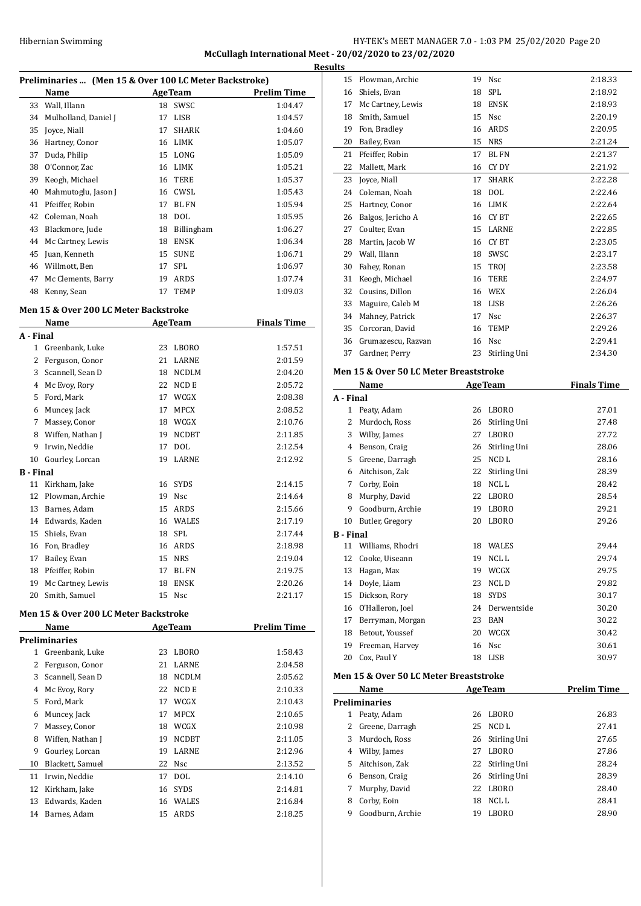#### HY-TEK's MEET MANAGER 7.0 - 1:03 PM 25/02/2020 Page 20 **McCullagh International Meet - 20/02/2020 to 23/02/2020 Results**

| Preliminaries  (Men 15 & Over 100 LC Meter Backstroke) |                      |    |                |                    |  |  |
|--------------------------------------------------------|----------------------|----|----------------|--------------------|--|--|
|                                                        | Name                 |    | <b>AgeTeam</b> | <b>Prelim Time</b> |  |  |
| 33                                                     | Wall, Illann         | 18 | SWSC           | 1:04.47            |  |  |
| 34                                                     | Mulholland, Daniel J | 17 | LISB           | 1:04.57            |  |  |
| 35                                                     | Joyce, Niall         | 17 | <b>SHARK</b>   | 1:04.60            |  |  |
| 36                                                     | Hartney, Conor       | 16 | <b>LIMK</b>    | 1:05.07            |  |  |
| 37                                                     | Duda, Philip         | 15 | LONG           | 1:05.09            |  |  |
| 38                                                     | O'Connor, Zac        | 16 | LIMK           | 1:05.21            |  |  |
| 39                                                     | Keogh, Michael       | 16 | TERE           | 1:05.37            |  |  |
| 40                                                     | Mahmutoglu, Jason J  | 16 | CWSL           | 1:05.43            |  |  |
| 41                                                     | Pfeiffer, Robin      | 17 | <b>BL FN</b>   | 1:05.94            |  |  |
| 42                                                     | Coleman, Noah        | 18 | <b>DOL</b>     | 1:05.95            |  |  |
| 43                                                     | Blackmore, Jude      | 18 | Billingham     | 1:06.27            |  |  |
| 44                                                     | Mc Cartney, Lewis    | 18 | <b>ENSK</b>    | 1:06.34            |  |  |
| 45                                                     | Juan, Kenneth        | 15 | <b>SUNE</b>    | 1:06.71            |  |  |
| 46                                                     | Willmott, Ben        | 17 | <b>SPL</b>     | 1:06.97            |  |  |
| 47                                                     | Mc Clements, Barry   | 19 | ARDS           | 1:07.74            |  |  |
| 48                                                     | Kenny, Sean          | 17 | <b>TEMP</b>    | 1:09.03            |  |  |

#### **Men 15 & Over 200 LC Meter Backstroke**

| <b>Name</b><br><b>AgeTeam</b> |                   |    | <b>Finals Time</b>    |         |
|-------------------------------|-------------------|----|-----------------------|---------|
| A - Final                     |                   |    |                       |         |
| $\mathbf{1}$                  | Greenbank, Luke   | 23 | <b>LBORO</b>          | 1:57.51 |
| 2                             | Ferguson, Conor   | 21 | LARNE                 | 2:01.59 |
| 3                             | Scannell, Sean D  | 18 | <b>NCDLM</b>          | 2:04.20 |
| 4                             | Mc Evoy, Rory     | 22 | NCD E                 | 2:05.72 |
| 5                             | Ford, Mark        | 17 | WCGX                  | 2:08.38 |
| 6                             | Muncey, Jack      | 17 | <b>MPCX</b>           | 2:08.52 |
| 7                             | Massey, Conor     | 18 | WCGX                  | 2:10.76 |
| 8                             | Wiffen, Nathan J  | 19 | <b>NCDBT</b>          | 2:11.85 |
| 9                             | Irwin, Neddie     | 17 | <b>DOL</b>            | 2:12.54 |
| 10                            | Gourley, Lorcan   | 19 | LARNE                 | 2:12.92 |
| <b>B</b> - Final              |                   |    |                       |         |
| 11                            | Kirkham, Jake     | 16 | <b>SYDS</b>           | 2:14.15 |
| 12                            | Plowman, Archie   | 19 | <b>Nsc</b>            | 2:14.64 |
| 13                            | Barnes, Adam      | 15 | <b>ARDS</b>           | 2:15.66 |
| 14                            | Edwards, Kaden    | 16 | <b>WALES</b>          | 2:17.19 |
| 15                            | Shiels, Evan      | 18 | <b>SPL</b>            | 2:17.44 |
| 16                            | Fon, Bradley      | 16 | <b>ARDS</b>           | 2:18.98 |
| 17                            | Bailey, Evan      | 15 | <b>NRS</b>            | 2:19.04 |
| 18                            | Pfeiffer, Robin   | 17 | <b>BL FN</b>          | 2:19.75 |
| 19                            | Mc Cartney, Lewis | 18 | <b>ENSK</b>           | 2:20.26 |
| 20                            | Smith, Samuel     | 15 | <b>N<sub>sc</sub></b> | 2:21.17 |

#### **Men 15 & Over 200 LC Meter Backstroke**

|    | Name             |    | <b>AgeTeam</b> | Prelim Time |
|----|------------------|----|----------------|-------------|
|    | Preliminaries    |    |                |             |
| 1  | Greenbank, Luke  | 23 | LBORO          | 1:58.43     |
| 2  | Ferguson, Conor  | 21 | LARNE          | 2:04.58     |
| 3  | Scannell, Sean D | 18 | <b>NCDLM</b>   | 2:05.62     |
| 4  | Mc Evoy, Rory    | 22 | NCD E          | 2:10.33     |
| 5  | Ford, Mark       | 17 | WCGX           | 2:10.43     |
| 6  | Muncey, Jack     | 17 | <b>MPCX</b>    | 2:10.65     |
| 7  | Massey, Conor    | 18 | WCGX           | 2:10.98     |
| 8  | Wiffen, Nathan J | 19 | <b>NCDBT</b>   | 2:11.05     |
| 9  | Gourley, Lorcan  | 19 | <b>LARNE</b>   | 2:12.96     |
| 10 | Blackett, Samuel | 22 | <b>Nsc</b>     | 2:13.52     |
| 11 | Irwin, Neddie    | 17 | <b>DOL</b>     | 2:14.10     |
| 12 | Kirkham, Jake    | 16 | <b>SYDS</b>    | 2:14.81     |
| 13 | Edwards, Kaden   | 16 | WALES          | 2:16.84     |
| 14 | Barnes, Adam     | 15 | ARDS           | 2:18.25     |
|    |                  |    |                |             |

| <u>uls</u> |                                                   |          |                 |                    |
|------------|---------------------------------------------------|----------|-----------------|--------------------|
| 15         | Plowman, Archie                                   |          | 19 Nsc          | 2:18.33            |
| 16         | Shiels, Evan                                      | 18       | SPL             | 2:18.92            |
| 17         | Mc Cartney, Lewis                                 |          | 18 ENSK         | 2:18.93            |
| 18         | Smith, Samuel                                     | 15       | Nsc             | 2:20.19            |
| 19         | Fon, Bradley                                      |          | 16 ARDS         | 2:20.95            |
| 20         | Bailey, Evan                                      |          | 15 NRS          | 2:21.24            |
| 21         | Pfeiffer, Robin                                   | 17       | <b>BL FN</b>    | 2:21.37            |
| 22         | Mallett, Mark                                     | 16       | CY DY           | 2:21.92            |
| 23         | Joyce, Niall                                      | 17       | SHARK           | 2:22.28            |
| 24         | Coleman, Noah                                     | 18       | DOL             | 2:22.46            |
| 25         | Hartney, Conor                                    |          | 16 LIMK         | 2:22.64            |
| 26         | Balgos, Jericho A                                 |          | 16 CYBT         | 2:22.65            |
| 27         | Coulter, Evan                                     | 15       | LARNE           | 2:22.85            |
| 28         | Martin, Jacob W                                   |          | 16 CYBT         | 2:23.05            |
| 29         | Wall, Illann                                      |          | 18 SWSC         | 2:23.17            |
| 30         | Fahey, Ronan                                      |          | 15 TROJ         | 2:23.58            |
| 31         | Keogh, Michael                                    |          | 16 TERE         | 2:24.97            |
| 32         | Cousins, Dillon                                   |          | 16 WEX          | 2:26.04            |
| 33         | Maguire, Caleb M                                  |          | 18 LISB         | 2:26.26            |
| 34         | Mahney, Patrick                                   | 17       | Nsc             | 2:26.37            |
| 35         | Corcoran, David                                   | 16       | <b>TEMP</b>     | 2:29.26            |
| 36         | Grumazescu, Razvan                                |          | 16 Nsc          | 2:29.41            |
| 37         | Gardner, Perry                                    | 23       | Stirling Uni    | 2:34.30            |
|            |                                                   |          |                 |                    |
|            | <b>Men 15 &amp; Over 50 LC Meter Breaststroke</b> |          |                 |                    |
|            | Name                                              |          | <b>AgeTeam</b>  | <b>Finals Time</b> |
| A - Final  |                                                   |          |                 |                    |
| 1          | Peaty, Adam                                       |          | 26 LBORO        | 27.01              |
| 2          | Murdoch, Ross                                     |          | 26 Stirling Uni | 27.48              |
| 3          | Wilby, James                                      |          | 27 LBORO        | 27.72              |
| 4          | Benson, Craig                                     |          | 26 Stirling Uni | 28.06              |
| 5          | Greene, Darragh                                   | 25       | NCD L           | 28.16              |
| 6          | Aitchison, Zak                                    | 22       | Stirling Uni    | 28.39              |
| 7          | Corby, Eoin                                       |          | 18 NCLL         | 28.42              |
| 8          | Murphy, David                                     |          | 22 LBORO        | 28.54              |
| 9          | Goodburn, Archie                                  |          | 19 LBORO        | 29.21              |
|            | 10 Butler, Gregory                                | 20       | <b>LBORO</b>    | 29.26              |
| B - Final  |                                                   |          |                 |                    |
| 11         | Williams, Rhodri                                  | 18       | WALES           | 29.44              |
| 12         | Cooke, Uiseann                                    | 19       | NCL L           | 29.74              |
| 13         | Hagan, Max                                        |          | 19 WCGX         | 29.75              |
| 14         | Doyle, Liam                                       | 23       | NCL D           | 29.82              |
| 15         | Dickson, Rory                                     | 18       | SYDS            | 30.17              |
| 16         | O'Halleron, Joel                                  | 24       | Derwentside     | 30.20              |
| 17         | Berryman, Morgan                                  |          | 23 BAN          | 30.22              |
| 18         | Betout, Youssef                                   |          | 20 WCGX         | 30.42              |
| 19         | Freeman, Harvey                                   | 16       | Nsc             | 30.61              |
| 20         | Cox, Paul Y                                       | 18       | LISB            | 30.97              |
|            | Men 15 & Over 50 LC Meter Breaststroke            |          |                 |                    |
|            | N <u>ame</u>                                      |          | <b>AgeTeam</b>  | <b>Prelim Time</b> |
|            | <b>Preliminaries</b>                              |          |                 |                    |
| 1          | Peaty, Adam                                       | 26       | LBORO           | 26.83              |
| 2          | Greene, Darragh                                   | 25       | NCD L           | 27.41              |
| 3          | Murdoch, Ross                                     | 26       | Stirling Uni    | 27.65              |
| 4          | Wilby, James                                      | 27       | LBORO           | 27.86              |
| 5          | Aitchison, Zak                                    | 22       | Stirling Uni    | 28.24              |
| 6          |                                                   |          | 26 Stirling Uni | 28.39              |
| 7          |                                                   |          |                 |                    |
|            | Benson, Craig                                     |          |                 |                    |
|            | Murphy, David                                     | 22       | LBORO           | 28.40              |
| 8<br>9     | Corby, Eoin<br>Goodburn, Archie                   | 18<br>19 | NCL L<br>LBORO  | 28.41<br>28.90     |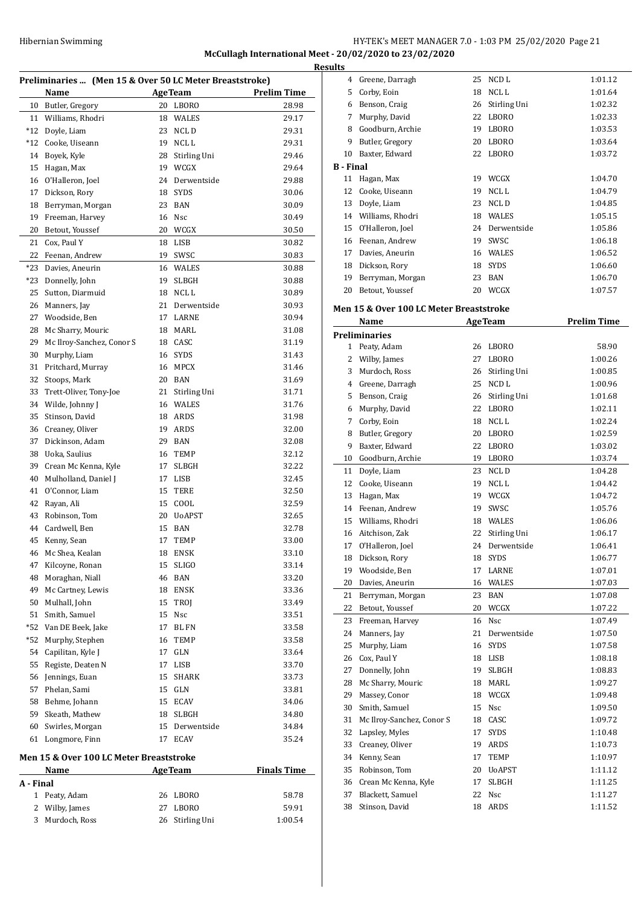# Hibernian Swimming **HY-TEK's MEET MANAGER 7.0 - 1:03 PM 25/02/2020** Page 21 **McCullagh International Meet - 20/02/2020 to 23/02/2020 Results**

| Preliminaries  (Men 15 & Over 50 LC Meter Breaststroke) |                                                                                                |    |                |                    |  |  |
|---------------------------------------------------------|------------------------------------------------------------------------------------------------|----|----------------|--------------------|--|--|
|                                                         | Name                                                                                           |    | <b>AgeTeam</b> | <b>Prelim Time</b> |  |  |
| 10                                                      | Butler, Gregory                                                                                | 20 | LBORO          | 28.98              |  |  |
| 11                                                      | Williams, Rhodri                                                                               | 18 | WALES          | 29.17              |  |  |
| $*12$                                                   | Doyle, Liam                                                                                    | 23 | NCL D          | 29.31              |  |  |
| $*12$                                                   | Cooke, Uiseann                                                                                 | 19 | NCL L          | 29.31              |  |  |
| 14                                                      | Boyek, Kyle                                                                                    | 28 | Stirling Uni   | 29.46              |  |  |
| 15                                                      | Hagan, Max                                                                                     | 19 | WCGX           | 29.64              |  |  |
| 16                                                      | O'Halleron, Joel                                                                               | 24 | Derwentside    | 29.88              |  |  |
| 17                                                      | Dickson, Rory                                                                                  | 18 | SYDS           | 30.06              |  |  |
| 18                                                      | Berryman, Morgan                                                                               | 23 | BAN            | 30.09              |  |  |
| 19                                                      | Freeman, Harvey                                                                                | 16 | Nsc            | 30.49              |  |  |
| 20                                                      | Betout, Youssef                                                                                | 20 | WCGX           | 30.50              |  |  |
| 21                                                      | Cox, Paul Y                                                                                    | 18 | LISB           | 30.82              |  |  |
| 22                                                      | Feenan, Andrew                                                                                 | 19 | SWSC           | 30.83              |  |  |
| $*23$                                                   | Davies, Aneurin                                                                                | 16 | WALES          | 30.88              |  |  |
| *23                                                     | Donnelly, John                                                                                 | 19 | <b>SLBGH</b>   | 30.88              |  |  |
| 25                                                      | Sutton, Diarmuid                                                                               | 18 | NCL L          | 30.89              |  |  |
| 26                                                      | Manners, Jay                                                                                   | 21 | Derwentside    | 30.93              |  |  |
| 27                                                      | Woodside, Ben                                                                                  | 17 | LARNE          | 30.94              |  |  |
| 28                                                      | Mc Sharry, Mouric                                                                              | 18 | MARL           | 31.08              |  |  |
| 29                                                      | Mc Ilroy-Sanchez, Conor S                                                                      |    | 18 CASC        | 31.19              |  |  |
| 30                                                      | Murphy, Liam                                                                                   | 16 | <b>SYDS</b>    | 31.43              |  |  |
| 31                                                      | Pritchard, Murray                                                                              | 16 | <b>MPCX</b>    | 31.46              |  |  |
| 32                                                      | Stoops, Mark                                                                                   |    | 20 BAN         | 31.69              |  |  |
| 33                                                      | Trett-Oliver, Tony-Joe                                                                         | 21 | Stirling Uni   | 31.71              |  |  |
| 34                                                      | Wilde, Johnny J                                                                                |    | 16 WALES       | 31.76              |  |  |
| 35                                                      | Stinson, David                                                                                 |    | 18 ARDS        | 31.98              |  |  |
| 36                                                      | Creaney, Oliver                                                                                | 19 | ARDS           | 32.00              |  |  |
| 37                                                      | Dickinson, Adam                                                                                | 29 | <b>BAN</b>     | 32.08              |  |  |
| 38                                                      | Uoka, Saulius                                                                                  | 16 | TEMP           | 32.12              |  |  |
| 39                                                      | Crean Mc Kenna, Kyle                                                                           | 17 | <b>SLBGH</b>   | 32.22              |  |  |
| 40                                                      | Mulholland, Daniel J                                                                           | 17 | LISB           | 32.45              |  |  |
| 41                                                      | O'Connor, Liam                                                                                 | 15 | <b>TERE</b>    | 32.50              |  |  |
| 42                                                      | Rayan, Ali                                                                                     | 15 | COOL           | 32.59              |  |  |
| 43                                                      | Robinson, Tom                                                                                  | 20 | <b>UoAPST</b>  | 32.65              |  |  |
| 44                                                      | Cardwell, Ben                                                                                  | 15 | BAN            | 32.78              |  |  |
| 45                                                      | Kenny, Sean                                                                                    | 17 | <b>TEMP</b>    | 33.00              |  |  |
|                                                         | 46 Mc Shea, Kealan                                                                             |    | 18 ENSK        | 33.10              |  |  |
| 47                                                      | Kilcoyne, Ronan                                                                                | 15 | <b>SLIGO</b>   | 33.14              |  |  |
| 48                                                      | Moraghan, Niall                                                                                | 46 | <b>BAN</b>     | 33.20              |  |  |
| 49                                                      | Mc Cartney, Lewis                                                                              | 18 | ENSK           | 33.36              |  |  |
| 50                                                      | Mulhall, John                                                                                  | 15 | TROJ           | 33.49              |  |  |
| 51                                                      | Smith, Samuel                                                                                  | 15 | Nsc            | 33.51              |  |  |
| *52                                                     | Van DE Beek, Jake                                                                              | 17 | BL FN          | 33.58              |  |  |
| *52                                                     | Murphy, Stephen                                                                                | 16 | TEMP           | 33.58              |  |  |
| 54                                                      | Capilitan, Kyle J                                                                              | 17 | GLN            | 33.64              |  |  |
| 55                                                      | Registe, Deaten N                                                                              | 17 | LISB           | 33.70              |  |  |
| 56                                                      | Jennings, Euan                                                                                 | 15 | SHARK          | 33.73              |  |  |
| 57                                                      | Phelan, Sami                                                                                   | 15 | GLN            | 33.81              |  |  |
| 58                                                      | Behme, Johann                                                                                  | 15 | ECAV           | 34.06              |  |  |
| 59                                                      | Skeath, Mathew                                                                                 | 18 | SLBGH          | 34.80              |  |  |
| 60                                                      | Swirles, Morgan                                                                                | 15 | Derwentside    | 34.84              |  |  |
| 61                                                      | Longmore, Finn                                                                                 | 17 | ECAV           | 35.24              |  |  |
|                                                         | Men 15 & Over 100 LC Meter Breaststroke<br><b>AgeTeam</b><br><b>Finals Time</b><br><u>Name</u> |    |                |                    |  |  |

| машс            | лес геаш        | гшаю пше |
|-----------------|-----------------|----------|
| A - Final       |                 |          |
| 1 Peaty, Adam   | 26 LBORO        | 58.78    |
| 2 Wilby, James  | LBORO<br>27     | 59.91    |
| 3 Murdoch, Ross | 26 Stirling Uni | 1:00.54  |
|                 |                 |          |

| 4                | Greene, Darragh  | 25 | NCD L        | 1:01.12 |
|------------------|------------------|----|--------------|---------|
| 5                | Corby, Eoin      | 18 | NCL L        | 1:01.64 |
| 6                | Benson, Craig    | 26 | Stirling Uni | 1:02.32 |
| 7                | Murphy, David    | 22 | LBORO        | 1:02.33 |
| 8                | Goodburn, Archie | 19 | LBORO        | 1:03.53 |
| 9                | Butler, Gregory  | 20 | LBORO        | 1:03.64 |
| 10               | Baxter, Edward   | 22 | LBORO        | 1:03.72 |
| <b>B</b> - Final |                  |    |              |         |
| 11               | Hagan, Max       | 19 | WCGX         | 1:04.70 |
| 12               | Cooke, Uiseann   | 19 | NCL L        | 1:04.79 |
| 13               | Doyle, Liam      | 23 | NCL D        | 1:04.85 |
| 14               | Williams, Rhodri | 18 | <b>WALES</b> | 1:05.15 |
| 15               | O'Halleron, Joel | 24 | Derwentside  | 1:05.86 |
| 16               | Feenan, Andrew   | 19 | SWSC         | 1:06.18 |
| 17               | Davies, Aneurin  | 16 | <b>WALES</b> | 1:06.52 |
| 18               | Dickson, Rory    | 18 | <b>SYDS</b>  | 1:06.60 |
| 19               | Berryman, Morgan | 23 | BAN          | 1:06.70 |
| 20               | Betout, Youssef  | 20 | WCGX         | 1:07.57 |

#### **Men 15 & Over 100 LC Meter Breaststroke**

|    | Name                      | <b>AgeTeam</b> |                  | <b>Prelim Time</b> |
|----|---------------------------|----------------|------------------|--------------------|
|    | <b>Preliminaries</b>      |                |                  |                    |
| 1  | Peaty, Adam               | 26             | LBORO            | 58.90              |
| 2  | Wilby, James              | 27             | LBORO            | 1:00.26            |
| 3  | Murdoch, Ross             | 26             | Stirling Uni     | 1:00.85            |
|    | 4 Greene, Darragh         | 25             | NCD L            | 1:00.96            |
|    | 5 Benson, Craig           | 26             | Stirling Uni     | 1:01.68            |
| 6  | Murphy, David             | 22             | LBORO            | 1:02.11            |
| 7  | Corby, Eoin               | 18             | NCL <sub>L</sub> | 1:02.24            |
| 8  | Butler, Gregory           | 20             | LBORO            | 1:02.59            |
| 9  | Baxter, Edward            | 22             | LBORO            | 1:03.02            |
| 10 | Goodburn, Archie          | 19             | LBORO            | 1:03.74            |
| 11 | Doyle, Liam               | 23             | NCL D            | 1:04.28            |
| 12 | Cooke, Uiseann            | 19             | NCL L            | 1:04.42            |
| 13 | Hagan, Max                | 19             | WCGX             | 1:04.72            |
|    | 14 Feenan, Andrew         | 19             | SWSC             | 1:05.76            |
| 15 | Williams, Rhodri          | 18             | WALES            | 1:06.06            |
|    | 16 Aitchison, Zak         | 22             | Stirling Uni     | 1:06.17            |
| 17 | O'Halleron, Joel          | 24             | Derwentside      | 1:06.41            |
| 18 | Dickson, Rory             | 18             | <b>SYDS</b>      | 1:06.77            |
| 19 | Woodside, Ben             | 17             | LARNE            | 1:07.01            |
| 20 | Davies, Aneurin           | 16             | <b>WALES</b>     | 1:07.03            |
| 21 | Berryman, Morgan          | 23             | <b>BAN</b>       | 1:07.08            |
| 22 | Betout, Youssef           | 20             | WCGX             | 1:07.22            |
| 23 | Freeman, Harvey           | 16             | <b>Nsc</b>       | 1:07.49            |
| 24 | Manners, Jay              | 21             | Derwentside      | 1:07.50            |
| 25 | Murphy, Liam              | 16             | <b>SYDS</b>      | 1:07.58            |
| 26 | Cox, Paul Y               | 18             | <b>LISB</b>      | 1:08.18            |
| 27 | Donnelly, John            | 19             | <b>SLBGH</b>     | 1:08.83            |
| 28 | Mc Sharry, Mouric         | 18             | MARL             | 1:09.27            |
| 29 | Massey, Conor             | 18             | WCGX             | 1:09.48            |
| 30 | Smith, Samuel             | 15             | Nsc              | 1:09.50            |
| 31 | Mc Ilroy-Sanchez, Conor S | 18             | CASC             | 1:09.72            |
| 32 | Lapsley, Myles            | 17             | <b>SYDS</b>      | 1:10.48            |
| 33 | Creaney, Oliver           | 19             | <b>ARDS</b>      | 1:10.73            |
| 34 | Kenny, Sean               | 17             | <b>TEMP</b>      | 1:10.97            |
| 35 | Robinson, Tom             | 20             | <b>UoAPST</b>    | 1:11.12            |
| 36 | Crean Mc Kenna, Kyle      | 17             | <b>SLBGH</b>     | 1:11.25            |
| 37 | Blackett, Samuel          | 22             | <b>Nsc</b>       | 1:11.27            |
| 38 | Stinson, David            | 18             | ARDS             | 1:11.52            |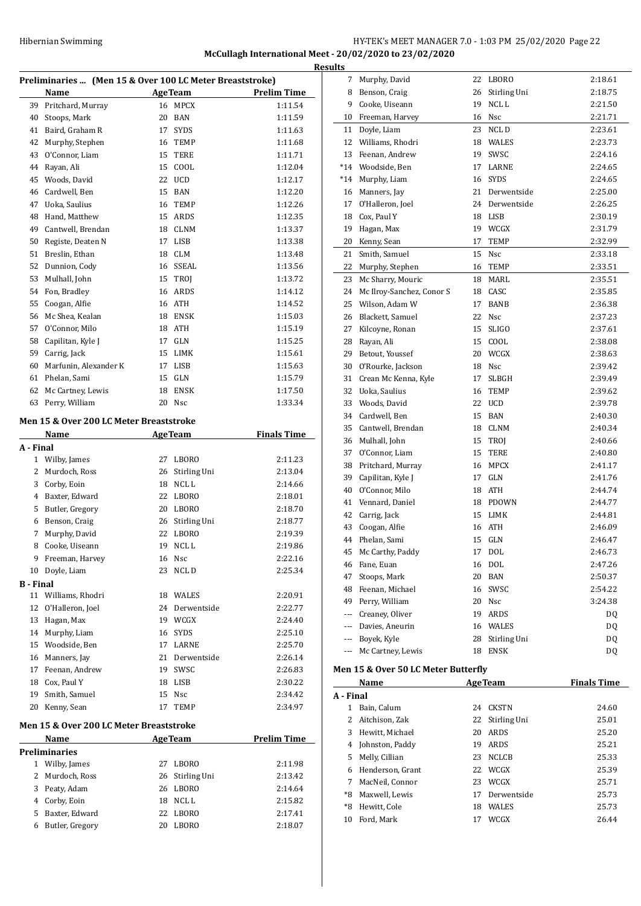#### Hibernian Swimming **HY-TEK's MEET MANAGER 7.0 - 1:03 PM 25/02/2020** Page 22 **McCullagh International Meet - 20/02/2020 to 23/02/2020 Results**

|    | Preliminaries  (Men 15 & Over 100 LC Meter Breaststroke) |    |                |                    |  |  |
|----|----------------------------------------------------------|----|----------------|--------------------|--|--|
|    | Name                                                     |    | <b>AgeTeam</b> | <b>Prelim Time</b> |  |  |
| 39 | Pritchard, Murray                                        | 16 | <b>MPCX</b>    | 1:11.54            |  |  |
| 40 | Stoops, Mark                                             | 20 | <b>BAN</b>     | 1:11.59            |  |  |
| 41 | Baird, Graham R                                          | 17 | <b>SYDS</b>    | 1:11.63            |  |  |
| 42 | Murphy, Stephen                                          | 16 | TEMP           | 1:11.68            |  |  |
| 43 | O'Connor, Liam                                           | 15 | TERE           | 1:11.71            |  |  |
| 44 | Rayan, Ali                                               | 15 | COOL           | 1:12.04            |  |  |
| 45 | Woods, David                                             | 22 | <b>UCD</b>     | 1:12.17            |  |  |
| 46 | Cardwell, Ben                                            | 15 | <b>BAN</b>     | 1:12.20            |  |  |
| 47 | Uoka, Saulius                                            | 16 | <b>TEMP</b>    | 1:12.26            |  |  |
| 48 | Hand, Matthew                                            | 15 | ARDS           | 1:12.35            |  |  |
| 49 | Cantwell, Brendan                                        | 18 | <b>CLNM</b>    | 1:13.37            |  |  |
| 50 | Registe, Deaten N                                        | 17 | <b>LISB</b>    | 1:13.38            |  |  |
| 51 | Breslin, Ethan                                           | 18 | <b>CLM</b>     | 1:13.48            |  |  |
| 52 | Dunnion, Cody                                            | 16 | <b>SSEAL</b>   | 1:13.56            |  |  |
| 53 | Mulhall, John                                            | 15 | TROI           | 1:13.72            |  |  |
| 54 | Fon, Bradley                                             | 16 | <b>ARDS</b>    | 1:14.12            |  |  |
| 55 | Coogan, Alfie                                            | 16 | <b>ATH</b>     | 1:14.52            |  |  |
| 56 | Mc Shea, Kealan                                          | 18 | <b>ENSK</b>    | 1:15.03            |  |  |
| 57 | O'Connor, Milo                                           | 18 | <b>ATH</b>     | 1:15.19            |  |  |
| 58 | Capilitan, Kyle J                                        | 17 | <b>GLN</b>     | 1:15.25            |  |  |
| 59 | Carrig, Jack                                             | 15 | <b>LIMK</b>    | 1:15.61            |  |  |
| 60 | Marfunin, Alexander K                                    | 17 | LISB           | 1:15.63            |  |  |
| 61 | Phelan, Sami                                             | 15 | <b>GLN</b>     | 1:15.79            |  |  |
| 62 | Mc Cartney, Lewis                                        | 18 | <b>ENSK</b>    | 1:17.50            |  |  |
| 63 | Perry, William                                           | 20 | <b>Nsc</b>     | 1:33.34            |  |  |

#### **Men 15 & Over 200 LC Meter Breaststroke**

|                  | Name             |    | <b>AgeTeam</b> | <b>Finals Time</b> |
|------------------|------------------|----|----------------|--------------------|
| A - Final        |                  |    |                |                    |
| 1                | Wilby, James     | 27 | <b>LBORO</b>   | 2:11.23            |
| 2                | Murdoch, Ross    | 26 | Stirling Uni   | 2:13.04            |
| 3                | Corby, Eoin      | 18 | NCL L          | 2:14.66            |
| 4                | Baxter, Edward   | 22 | LBORO          | 2:18.01            |
| 5                | Butler, Gregory  | 20 | <b>LBORO</b>   | 2:18.70            |
| 6                | Benson, Craig    | 26 | Stirling Uni   | 2:18.77            |
| 7                | Murphy, David    | 22 | LBORO          | 2:19.39            |
| 8                | Cooke, Uiseann   | 19 | NCL L          | 2:19.86            |
| 9                | Freeman, Harvey  | 16 | <b>Nsc</b>     | 2:22.16            |
| 10               | Doyle, Liam      | 23 | NCL D          | 2:25.34            |
| <b>B</b> - Final |                  |    |                |                    |
| 11               | Williams, Rhodri | 18 | <b>WALES</b>   | 2:20.91            |
| 12               | O'Halleron, Joel | 24 | Derwentside    | 2:22.77            |
| 13               | Hagan, Max       | 19 | WCGX           | 2:24.40            |
| 14               | Murphy, Liam     | 16 | <b>SYDS</b>    | 2:25.10            |
| 15               | Woodside, Ben    | 17 | LARNE          | 2:25.70            |
| 16               | Manners, Jay     | 21 | Derwentside    | 2:26.14            |
| 17               | Feenan, Andrew   | 19 | <b>SWSC</b>    | 2:26.83            |
| 18               | Cox, Paul Y      | 18 | <b>LISB</b>    | 2:30.22            |
| 19               | Smith, Samuel    | 15 | <b>Nsc</b>     | 2:34.42            |
| 20               | Kenny, Sean      | 17 | <b>TEMP</b>    | 2:34.97            |

# **Men 15 & Over 200 LC Meter Breaststroke**

|    | Name            |    | <b>AgeTeam</b>  | <b>Prelim Time</b> |  |  |  |
|----|-----------------|----|-----------------|--------------------|--|--|--|
|    | Preliminaries   |    |                 |                    |  |  |  |
|    | Wilby, James    | 27 | LBORO           | 2:11.98            |  |  |  |
|    | 2 Murdoch, Ross |    | 26 Stirling Uni | 2:13.42            |  |  |  |
| 3  | Peaty, Adam     | 26 | LBORO           | 2:14.64            |  |  |  |
| 4  | Corby, Eoin     | 18 | NCL L           | 2:15.82            |  |  |  |
| 5. | Baxter, Edward  | 22 | LBORO           | 2:17.41            |  |  |  |
| 6  | Butler, Gregory | 20 | LBORO           | 2:18.07            |  |  |  |
|    |                 |    |                 |                    |  |  |  |

| uits     |                                     |    |              |         |
|----------|-------------------------------------|----|--------------|---------|
| 7        | Murphy, David                       | 22 | LBORO        | 2:18.61 |
| 8        | Benson, Craig                       | 26 | Stirling Uni | 2:18.75 |
| 9        | Cooke, Uiseann                      | 19 | NCL L        | 2:21.50 |
| 10       | Freeman, Harvey                     | 16 | Nsc          | 2:21.71 |
| 11       | Doyle, Liam                         | 23 | NCL D        | 2:23.61 |
| 12       | Williams, Rhodri                    | 18 | WALES        | 2:23.73 |
| 13       | Feenan, Andrew                      | 19 | SWSC         | 2:24.16 |
| $*14$    | Woodside, Ben                       | 17 | LARNE        | 2:24.65 |
| $*14$    | Murphy, Liam                        | 16 | <b>SYDS</b>  | 2:24.65 |
| 16       | Manners, Jay                        | 21 | Derwentside  | 2:25.00 |
| 17       | O'Halleron, Joel                    | 24 | Derwentside  | 2:26.25 |
|          | 18 Cox, Paul Y                      |    | 18 LISB      | 2:30.19 |
| 19       | Hagan, Max                          |    | 19 WCGX      | 2:31.79 |
| 20       | Kenny, Sean                         | 17 | TEMP         | 2:32.99 |
| 21       | Smith, Samuel                       | 15 | Nsc          | 2:33.18 |
| 22       | Murphy, Stephen                     | 16 | <b>TEMP</b>  | 2:33.51 |
| 23       | Mc Sharry, Mouric                   | 18 | MARL         | 2:35.51 |
| 24       | Mc Ilroy-Sanchez, Conor S           |    | 18 CASC      | 2:35.85 |
| 25       | Wilson, Adam W                      | 17 | BANB         | 2:36.38 |
| 26       | Blackett, Samuel                    | 22 | Nsc          | 2:37.23 |
| 27       | Kilcoyne, Ronan                     | 15 | <b>SLIGO</b> | 2:37.61 |
| 28       | Rayan, Ali                          | 15 | COOL         | 2:38.08 |
| 29       | Betout, Youssef                     | 20 | WCGX         | 2:38.63 |
| 30       | O'Rourke, Jackson                   | 18 | Nsc          | 2:39.42 |
| 31       | Crean Mc Kenna, Kyle                | 17 | <b>SLBGH</b> | 2:39.49 |
| 32       | Uoka, Saulius                       | 16 | TEMP         | 2:39.62 |
| 33       | Woods, David                        | 22 | <b>UCD</b>   | 2:39.78 |
| 34       | Cardwell, Ben                       | 15 | <b>BAN</b>   | 2:40.30 |
| 35       | Cantwell, Brendan                   |    | 18 CLNM      | 2:40.34 |
| 36       | Mulhall, John                       | 15 | TROJ         | 2:40.66 |
| 37       | O'Connor, Liam                      | 15 | TERE         | 2:40.80 |
| 38       | Pritchard, Murray                   | 16 | <b>MPCX</b>  | 2:41.17 |
| 39       | Capilitan, Kyle J                   | 17 | GLN          | 2:41.76 |
| 40       | O'Connor, Milo                      | 18 | ATH          | 2:44.74 |
| 41       | Vennard, Daniel                     |    | 18 PDOWN     | 2:44.77 |
| 42       | Carrig, Jack                        | 15 | LIMK         | 2:44.81 |
| 43       | Coogan, Alfie                       | 16 | <b>ATH</b>   | 2:46.09 |
| 44       | Phelan, Sami                        | 15 | GLN          | 2:46.47 |
| 45       | Mc Carthy, Paddy                    | 17 | <b>DOL</b>   | 2:46.73 |
|          | 46 Fane, Euan                       | 16 | <b>DOL</b>   | 2:47.26 |
| 47       | Stoops, Mark                        | 20 | <b>BAN</b>   | 2:50.37 |
|          | 48 Feenan, Michael                  | 16 | SWSC         | 2:54.22 |
|          | 49 Perry, William                   |    | 20 Nsc       | 3:24.38 |
|          | --- Creaney, Oliver                 | 19 | ARDS         | DQ      |
|          | --- Davies, Aneurin                 | 16 | WALES        | DQ      |
|          | --- Boyek, Kyle                     | 28 | Stirling Uni | DQ      |
| $\cdots$ | Mc Cartney, Lewis                   | 18 | <b>ENSK</b>  | DQ      |
|          | Men 15 & Over 50 LC Meter Butterfly |    |              |         |
|          |                                     |    |              |         |

|           | Name             |    | <b>AgeTeam</b> | <b>Finals Time</b> |
|-----------|------------------|----|----------------|--------------------|
| A - Final |                  |    |                |                    |
|           | Bain, Calum      | 24 | <b>CKSTN</b>   | 24.60              |
| 2         | Aitchison, Zak   | 22 | Stirling Uni   | 25.01              |
| 3         | Hewitt. Michael  | 20 | <b>ARDS</b>    | 25.20              |
| 4         | Johnston, Paddy  | 19 | <b>ARDS</b>    | 25.21              |
| 5.        | Melly, Cillian   | 23 | <b>NCLCB</b>   | 25.33              |
| 6         | Henderson, Grant | 22 | <b>WCGX</b>    | 25.39              |
|           | MacNeil. Connor  | 23 | <b>WCGX</b>    | 25.71              |
| *8        | Maxwell, Lewis   | 17 | Derwentside    | 25.73              |
| $*8$      | Hewitt, Cole     | 18 | <b>WALES</b>   | 25.73              |
| 10        | Ford. Mark       | 17 | WCGX           | 26.44              |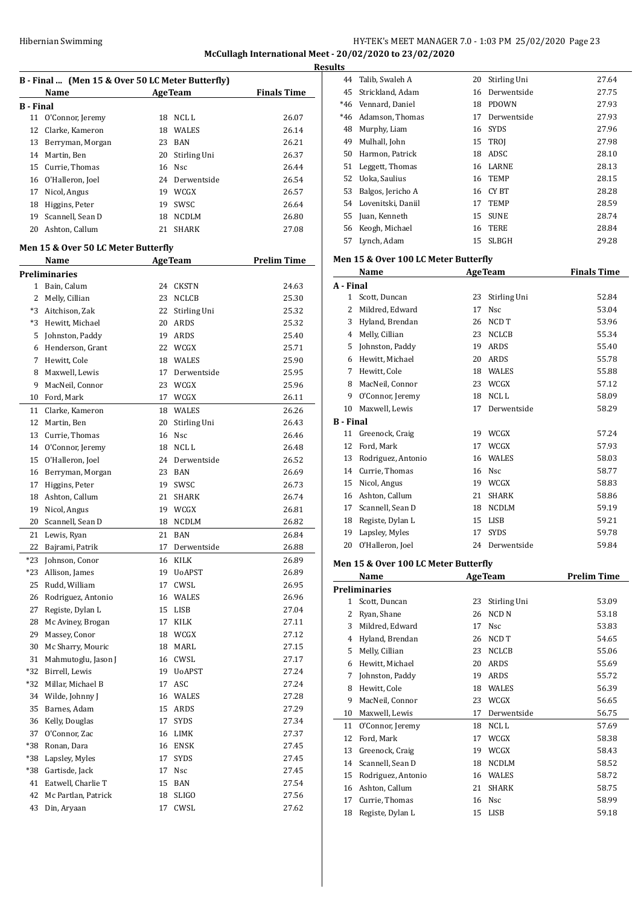#### Hibernian Swimming **HY-TEK's MEET MANAGER 7.0 - 1:03 PM 25/02/2020** Page 23 **McCullagh International Meet - 20/02/2020 to 23/02/2020 Results**

| B - Final  (Men 15 & Over 50 LC Meter Butterfly) |                                     |          |                              |                    |  |
|--------------------------------------------------|-------------------------------------|----------|------------------------------|--------------------|--|
|                                                  | Name                                | AgeTeam  |                              | <b>Finals Time</b> |  |
| <b>B</b> - Final                                 |                                     |          |                              |                    |  |
| 11                                               | O'Connor, Jeremy                    | 18       | NCL L                        | 26.07              |  |
| 12                                               | Clarke, Kameron                     |          | 18 WALES                     | 26.14              |  |
| 13                                               | Berryman, Morgan                    | 23       | BAN                          | 26.21              |  |
| 14                                               | Martin, Ben                         | 20       | Stirling Uni                 | 26.37              |  |
| 15                                               | Currie, Thomas                      |          | 16 Nsc                       | 26.44              |  |
| 16                                               | O'Halleron, Joel                    |          | 24 Derwentside               | 26.54              |  |
| 17                                               | Nicol, Angus                        |          | 19 WCGX                      | 26.57              |  |
| 18                                               | Higgins, Peter                      |          | 19 SWSC                      | 26.64              |  |
| 19                                               | Scannell, Sean D                    |          | 18 NCDLM                     | 26.80              |  |
| 20                                               | Ashton, Callum                      | 21       | <b>SHARK</b>                 | 27.08              |  |
|                                                  | Men 15 & Over 50 LC Meter Butterfly |          |                              |                    |  |
| <b>AgeTeam</b><br><b>Prelim Time</b><br>Name     |                                     |          |                              |                    |  |
|                                                  | Preliminaries                       |          |                              |                    |  |
|                                                  | 1 Bain. Calum                       | 24       | CKSTN                        | 24.63              |  |
| 2                                                | Melly, Cillian                      |          | 23 NCLCB                     | 25.30              |  |
| *3                                               | Aitchison, Zak                      | 22       | Stirling Uni                 | 25.32              |  |
| *3                                               | Hewitt, Michael                     | 20       | ARDS                         | 25.32              |  |
| 5                                                | Johnston, Paddy                     | 19       | ARDS                         | 25.40              |  |
| 6                                                | Henderson, Grant                    | 22       | WCGX                         | 25.71              |  |
| 7                                                | Hewitt, Cole                        |          | 18 WALES                     | 25.90              |  |
| 8                                                | Maxwell, Lewis                      | 17       | Derwentside                  | 25.95              |  |
| 9                                                | MacNeil, Connor                     |          | 23 WCGX                      | 25.96              |  |
| 10                                               | Ford, Mark                          | 17       | WCGX                         | 26.11              |  |
| 11                                               | Clarke, Kameron                     |          | 18 WALES                     | 26.26              |  |
| 12                                               | Martin, Ben                         | 20       | Stirling Uni                 | 26.43              |  |
| 13                                               | Currie, Thomas                      |          | 16 Nsc                       | 26.46              |  |
| 14                                               | O'Connor, Jeremy                    |          | 18 NCLL                      | 26.48              |  |
| 15                                               | O'Halleron, Joel                    |          | 24 Derwentside               | 26.52              |  |
| 16                                               | Berryman, Morgan                    | 23       | BAN                          | 26.69              |  |
| 17                                               |                                     | 19       | SWSC                         | 26.73              |  |
|                                                  | Higgins, Peter                      |          |                              |                    |  |
| 18                                               | Ashton, Callum                      | 21<br>19 | SHARK                        | 26.74              |  |
| 19                                               | Nicol, Angus                        |          | WCGX                         | 26.81              |  |
| 20                                               | Scannell, Sean D                    | 18       | <b>NCDLM</b>                 | 26.82              |  |
| 21                                               | Lewis, Ryan                         | 21       | <b>BAN</b>                   | 26.84              |  |
| 22                                               | Bajrami, Patrik                     | 17       | Derwentside                  | 26.88              |  |
| *23                                              | Johnson, Conor                      | 16       | KILK                         | 26.89              |  |
| *23                                              | Allison, James                      | 19       | UoAPST                       | 26.89              |  |
| 25                                               | Rudd, William                       | 17       | CWSL                         | 26.95              |  |
| 26                                               | Rodriguez, Antonio                  | 16       | WALES                        | 26.96              |  |
| 27                                               | Registe, Dylan L                    | 15       | LISB                         | 27.04              |  |
| 28                                               | Mc Aviney, Brogan                   | 17       | KILK                         | 27.11              |  |
| 29                                               | Massey, Conor                       | 18       | <b>WCGX</b>                  | 27.12              |  |
| 30                                               | Mc Sharry, Mouric                   | 18       | $\ensuremath{\mathsf{MARL}}$ | 27.15              |  |
| 31                                               | Mahmutoglu, Jason J                 | 16       | CWSL                         | 27.17              |  |
| *32                                              | Birrell, Lewis                      | 19       | <b>UoAPST</b>                | 27.24              |  |
| *32                                              | Millar, Michael B                   | 17       | ASC                          | 27.24              |  |
| 34                                               | Wilde, Johnny J                     | 16       | WALES                        | 27.28              |  |
| 35                                               | Barnes, Adam                        | 15       | ARDS                         | 27.29              |  |
| 36                                               | Kelly, Douglas                      | 17       | SYDS                         | 27.34              |  |
| 37                                               | O'Connor, Zac                       | 16       | LIMK                         | 27.37              |  |
| *38                                              | Ronan, Dara                         | 16       | ENSK                         | 27.45              |  |
| *38                                              | Lapsley, Myles                      | 17       | SYDS                         | 27.45              |  |
| *38                                              | Gartisde, Jack                      | 17       | Nsc                          | 27.45              |  |
| 41                                               | Eatwell, Charlie T                  | 15       | BAN                          | 27.54              |  |
| 42                                               | Mc Partlan, Patrick                 | 18       | SLIGO                        | 27.56              |  |
| 43                                               | Din, Aryaan                         | 17       | CWSL                         | 27.62              |  |

| ıэ    |                    |    |              |       |
|-------|--------------------|----|--------------|-------|
| 44    | Talib, Swaleh A    | 20 | Stirling Uni | 27.64 |
| 45    | Strickland, Adam   | 16 | Derwentside  | 27.75 |
| $*46$ | Vennard, Daniel    | 18 | <b>PDOWN</b> | 27.93 |
| $*46$ | Adamson, Thomas    | 17 | Derwentside  | 27.93 |
| 48    | Murphy, Liam       |    | 16 SYDS      | 27.96 |
| 49    | Mulhall, John      |    | 15 TROI      | 27.98 |
| 50    | Harmon, Patrick    | 18 | ADSC         | 28.10 |
| 51    | Leggett, Thomas    | 16 | LARNE        | 28.13 |
| 52    | Uoka, Saulius      | 16 | <b>TEMP</b>  | 28.15 |
| 53    | Balgos, Jericho A  | 16 | CY BT        | 28.28 |
| 54    | Lovenitski, Daniil | 17 | <b>TEMP</b>  | 28.59 |
| 55    | Juan, Kenneth      | 15 | <b>SUNE</b>  | 28.74 |
| 56    | Keogh, Michael     | 16 | TERE         | 28.84 |
| 57    | Lynch, Adam        | 15 | SLBGH        | 29.28 |
|       |                    |    |              |       |

#### **Men 15 & Over 100 LC Meter Butterfly**

|                  | Name                                 |    | <b>AgeTeam</b>        | <b>Finals Time</b> |
|------------------|--------------------------------------|----|-----------------------|--------------------|
| A - Final        |                                      |    |                       |                    |
| $\mathbf{1}$     | Scott, Duncan                        | 23 | Stirling Uni          | 52.84              |
| 2                | Mildred, Edward                      | 17 | <b>Nsc</b>            | 53.04              |
|                  | 3 Hyland, Brendan                    | 26 | NCD T                 | 53.96              |
|                  | 4 Melly, Cillian                     |    | 23 NCLCB              | 55.34              |
|                  | 5 Johnston, Paddy                    |    | 19 ARDS               | 55.40              |
|                  | 6 Hewitt, Michael                    |    | 20 ARDS               | 55.78              |
|                  | 7 Hewitt, Cole                       |    | 18 WALES              | 55.88              |
|                  | 8 MacNeil, Connor                    |    | 23 WCGX               | 57.12              |
| 9                | O'Connor, Jeremy                     | 18 | NCL <sub>L</sub>      | 58.09              |
| 10               | Maxwell, Lewis                       | 17 | Derwentside           | 58.29              |
| <b>B</b> - Final |                                      |    |                       |                    |
| 11               | Greenock, Craig                      |    | 19 WCGX               | 57.24              |
| 12               | Ford, Mark                           |    | 17 WCGX               | 57.93              |
| 13               | Rodriguez, Antonio                   |    | 16 WALES              | 58.03              |
|                  | 14 Currie, Thomas                    |    | 16 Nsc                | 58.77              |
|                  | 15 Nicol, Angus                      |    | 19 WCGX               | 58.83              |
|                  | 16 Ashton, Callum                    | 21 | <b>SHARK</b>          | 58.86              |
|                  | 17 Scannell, Sean D                  |    | 18 NCDLM              | 59.19              |
|                  | 18 Registe, Dylan L                  |    | 15 LISB               | 59.21              |
| 19               | Lapsley, Myles                       | 17 | <b>SYDS</b>           | 59.78              |
| 20               | O'Halleron, Joel                     |    | 24 Derwentside        | 59.84              |
|                  | Men 15 & Over 100 LC Meter Butterfly |    |                       |                    |
|                  | Name                                 |    | <b>AgeTeam</b>        | <b>Prelim Time</b> |
|                  | <b>Preliminaries</b>                 |    |                       |                    |
|                  | 1 Scott, Duncan                      | 23 | Stirling Uni          | 53.09              |
|                  | 2 Ryan, Shane                        | 26 | NCD <sub>N</sub>      | 53.18              |
|                  | 3 Mildred, Edward                    | 17 | <b>N<sub>SC</sub></b> | 53.83              |
|                  | 4 Hyland, Brendan                    | 26 | NCD T                 | 54.65              |
|                  | 5 Melly, Cillian                     |    | 23 NCLCB              | 55.06              |
|                  | 6 Hewitt, Michael                    |    | 20 ARDS               | 55.69              |
| 7                | Johnston, Paddy                      | 19 | <b>ARDS</b>           | 55.72              |
| 8                | Hewitt, Cole                         |    | 18 WALES              | 56.39              |
| 9                | MacNeil, Connor                      | 23 | WCGX                  | 56.65              |
|                  | 10 Maxwell, Lewis                    | 17 | Derwentside           | 56.75              |
| 11               | O'Connor, Jeremy                     | 18 | NCL L                 | 57.69              |
| 12               | Ford, Mark                           | 17 | WCGX                  | 58.38              |
| 13               | Greenock, Craig                      | 19 | WCGX                  | 58.43              |
|                  | 14 Scannell, Sean D                  | 18 | <b>NCDLM</b>          | 58.52              |
|                  | 15 Rodriguez, Antonio                |    | 16 WALES              | 58.72              |
|                  |                                      |    |                       |                    |
|                  | 16 Ashton, Callum                    | 21 | <b>SHARK</b>          | 58.75              |
| 17               | Currie, Thomas                       | 16 | Nsc                   | 58.99              |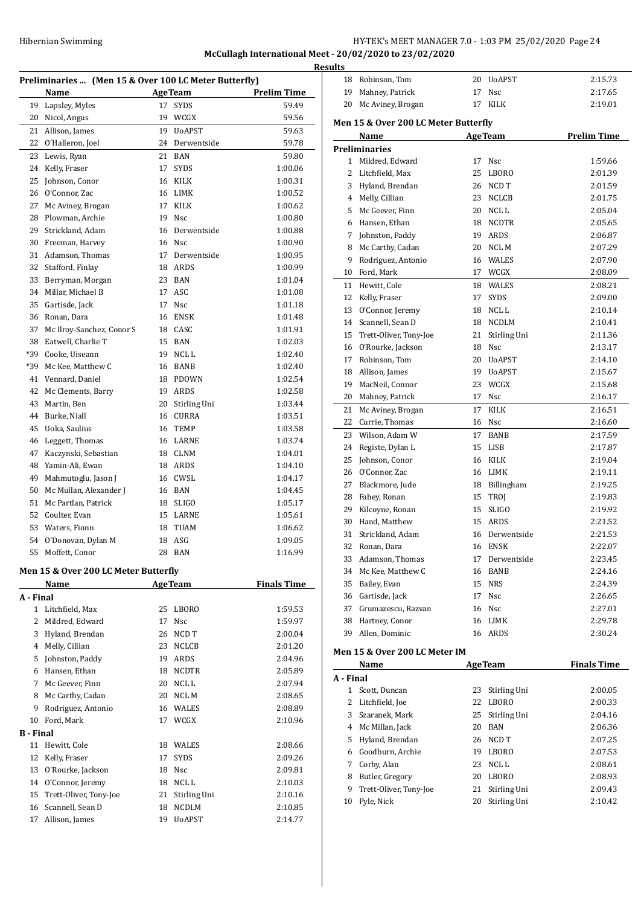# Hibernian Swimming **HY-TEK's MEET MANAGER 7.0 - 1:03 PM 25/02/2020** Page 24 **McCullagh International Meet - 20/02/2020 to 23/02/2020**

**Resul** 

| Preliminaries  (Men 15 & Over 100 LC Meter Butterfly) |                                      |    |                |                    |  |
|-------------------------------------------------------|--------------------------------------|----|----------------|--------------------|--|
|                                                       | Name                                 |    | <b>AgeTeam</b> | <b>Prelim Time</b> |  |
| 19                                                    | Lapsley, Myles                       | 17 | <b>SYDS</b>    | 59.49              |  |
| 20                                                    | Nicol, Angus                         | 19 | WCGX           | 59.56              |  |
| 21                                                    | Allison, James                       | 19 | <b>U</b> oAPST | 59.63              |  |
| 22                                                    | O'Halleron, Joel                     |    | 24 Derwentside | 59.78              |  |
| 23                                                    | Lewis, Ryan                          | 21 | <b>BAN</b>     | 59.80              |  |
| 24                                                    | Kelly, Fraser                        | 17 | <b>SYDS</b>    | 1:00.06            |  |
| 25                                                    | Johnson, Conor                       | 16 | KILK           | 1:00.31            |  |
| 26                                                    | O'Connor, Zac                        | 16 | LIMK           | 1:00.52            |  |
| 27                                                    | Mc Aviney, Brogan                    | 17 | KILK           | 1:00.62            |  |
| 28                                                    | Plowman, Archie                      | 19 | <b>Nsc</b>     | 1:00.80            |  |
| 29                                                    | Strickland, Adam                     | 16 | Derwentside    | 1:00.88            |  |
| 30                                                    | Freeman, Harvey                      | 16 | Nsc            | 1:00.90            |  |
| 31                                                    | Adamson, Thomas                      | 17 | Derwentside    | 1:00.95            |  |
| 32                                                    | Stafford, Finlay                     | 18 | ARDS           | 1:00.99            |  |
| 33                                                    | Berryman, Morgan                     | 23 | BAN            | 1:01.04            |  |
| 34                                                    | Millar, Michael B                    | 17 | ASC            | 1:01.08            |  |
| 35                                                    | Gartisde, Jack                       | 17 | <b>Nsc</b>     | 1:01.18            |  |
| 36                                                    | Ronan, Dara                          | 16 | <b>ENSK</b>    | 1:01.48            |  |
| 37                                                    | Mc Ilroy-Sanchez, Conor S            | 18 | CASC           | 1:01.91            |  |
| 38                                                    | Eatwell, Charlie T                   | 15 | <b>BAN</b>     | 1:02.03            |  |
| *39                                                   | Cooke, Uiseann                       | 19 | NCL L          | 1:02.40            |  |
| *39                                                   | Mc Kee, Matthew C                    | 16 | BANB           | 1:02.40            |  |
| 41                                                    | Vennard, Daniel                      | 18 | <b>PDOWN</b>   | 1:02.54            |  |
| 42                                                    | Mc Clements, Barry                   | 19 | ARDS           | 1:02.58            |  |
| 43                                                    |                                      | 20 |                |                    |  |
|                                                       | Martin, Ben                          |    | Stirling Uni   | 1:03.44            |  |
| 44                                                    | Burke, Niall                         | 16 | CURRA          | 1:03.51            |  |
| 45                                                    | Uoka, Saulius                        | 16 | TEMP           | 1:03.58            |  |
| 46                                                    | Leggett, Thomas                      |    | 16 LARNE       | 1:03.74            |  |
| 47                                                    | Kaczynski, Sebastian                 | 18 | CLNM           | 1:04.01            |  |
| 48                                                    | Yamin-Ali, Ewan                      | 18 | ARDS           | 1:04.10            |  |
| 49                                                    | Mahmutoglu, Jason J                  | 16 | CWSL           | 1:04.17            |  |
| 50                                                    | Mc Mullan, Alexander J               | 16 | BAN            | 1:04.45            |  |
| 51                                                    | Mc Partlan, Patrick                  | 18 | <b>SLIGO</b>   | 1:05.17            |  |
| 52                                                    | Coulter, Evan                        | 15 | LARNE          | 1:05.61            |  |
| 53                                                    | Waters, Fionn                        | 18 | <b>TUAM</b>    | 1:06.62            |  |
| 54                                                    | O'Donovan, Dylan M                   | 18 | ASG            | 1:09.05            |  |
|                                                       | 55 Moffett, Conor                    |    | 28 BAN         | 1:16.99            |  |
|                                                       | Men 15 & Over 200 LC Meter Butterfly |    |                |                    |  |
|                                                       | Name                                 |    | <b>AgeTeam</b> | <b>Finals Time</b> |  |
| A - Final                                             |                                      |    |                |                    |  |
| $\mathbf{1}$                                          | Litchfield, Max                      | 25 | <b>LBORO</b>   | 1:59.53            |  |
| 2                                                     | Mildred, Edward                      | 17 | Nsc            | 1:59.97            |  |
| 3                                                     | Hyland, Brendan                      | 26 | NCD T          | 2:00.04            |  |
| 4                                                     | Melly, Cillian                       | 23 | NCLCB          | 2:01.20            |  |
| 5                                                     | Johnston, Paddy                      | 19 | ARDS           | 2:04.96            |  |
| 6                                                     | Hansen, Ethan                        | 18 | <b>NCDTR</b>   | 2:05.89            |  |
| 7                                                     | Mc Geever, Finn                      | 20 | NCL L          | 2:07.94            |  |
| 8                                                     | Mc Carthy, Cadan                     | 20 | NCL M          | 2:08.65            |  |
| 9                                                     | Rodriguez, Antonio                   | 16 | WALES          | 2:08.89            |  |
| 10                                                    | Ford, Mark                           | 17 | WCGX           | 2:10.96            |  |
| B - Final                                             |                                      |    |                |                    |  |
| 11                                                    | Hewitt, Cole                         | 18 | WALES          | 2:08.66            |  |
| 12                                                    | Kelly, Fraser                        | 17 | SYDS           | 2:09.26            |  |
| 13                                                    | O'Rourke, Jackson                    | 18 | Nsc            | 2:09.81            |  |
| 14                                                    | O'Connor, Jeremy                     |    | 18 NCL L       | 2:10.03            |  |
| 15                                                    | Trett-Oliver, Tony-Joe               | 21 | Stirling Uni   | 2:10.16            |  |
| 16                                                    | Scannell, Sean D                     | 18 | <b>NCDLM</b>   | 2:10.85            |  |
| 17                                                    | Allison, James                       | 19 | <b>UoAPST</b>  | 2:14.77            |  |

| ults                                         |                               |    |                |                    |  |  |  |
|----------------------------------------------|-------------------------------|----|----------------|--------------------|--|--|--|
|                                              | 18 Robinson, Tom              |    | 20 UoAPST      | 2:15.73            |  |  |  |
| 19                                           | Mahney, Patrick               | 17 | <b>Nsc</b>     | 2:17.65            |  |  |  |
| 20                                           | Mc Aviney, Brogan             | 17 | KILK           | 2:19.01            |  |  |  |
| Men 15 & Over 200 LC Meter Butterfly         |                               |    |                |                    |  |  |  |
| <b>AgeTeam</b><br><b>Prelim Time</b><br>Name |                               |    |                |                    |  |  |  |
| <b>Preliminaries</b>                         |                               |    |                |                    |  |  |  |
|                                              | 1 Mildred, Edward             | 17 | <b>Nsc</b>     | 1:59.66            |  |  |  |
| $\overline{2}$                               | Litchfield, Max               | 25 | <b>LBORO</b>   | 2:01.39            |  |  |  |
| 3                                            | Hyland, Brendan               | 26 | NCD T          | 2:01.59            |  |  |  |
|                                              | 4 Melly, Cillian              | 23 | <b>NCLCB</b>   | 2:01.75            |  |  |  |
| 5.                                           | Mc Geever, Finn               |    | 20 NCLL        | 2:05.04            |  |  |  |
|                                              | 6 Hansen, Ethan               |    | 18 NCDTR       | 2:05.65            |  |  |  |
| 7                                            | Johnston, Paddy               |    | 19 ARDS        | 2:06.87            |  |  |  |
| 8                                            | Mc Carthy, Cadan              |    | 20 NCLM        | 2:07.29            |  |  |  |
| 9                                            | Rodriguez, Antonio            |    | 16 WALES       | 2:07.90            |  |  |  |
| 10                                           | Ford, Mark                    |    | 17 WCGX        | 2:08.09            |  |  |  |
|                                              | 11 Hewitt, Cole               |    | 18 WALES       | 2:08.21            |  |  |  |
| 12                                           | Kelly, Fraser                 | 17 | <b>SYDS</b>    | 2:09.00            |  |  |  |
| 13                                           | O'Connor, Jeremy              | 18 | NCL L          | 2:10.14            |  |  |  |
|                                              | 14 Scannell, Sean D           |    | 18 NCDLM       | 2:10.41            |  |  |  |
|                                              | 15 Trett-Oliver, Tony-Joe     | 21 | Stirling Uni   | 2:11.36            |  |  |  |
|                                              | 16 O'Rourke, Jackson          | 18 | <b>Nsc</b>     | 2:13.17            |  |  |  |
|                                              | 17 Robinson, Tom              | 20 | <b>UoAPST</b>  | 2:14.10            |  |  |  |
|                                              | 18 Allison, James             |    | 19 UoAPST      | 2:15.67            |  |  |  |
| 19                                           | MacNeil, Connor               |    | 23 WCGX        | 2:15.68            |  |  |  |
| 20                                           | Mahney, Patrick               | 17 | Nsc            | 2:16.17            |  |  |  |
| 21                                           | Mc Aviney, Brogan             | 17 | KILK           | 2:16.51            |  |  |  |
| 22                                           | Currie, Thomas                | 16 | Nsc            | 2:16.60            |  |  |  |
| 23                                           | Wilson, Adam W                |    | 17 BANB        | 2:17.59            |  |  |  |
| 24                                           | Registe, Dylan L              | 15 | LISB           | 2:17.87            |  |  |  |
| 25                                           | Johnson, Conor                |    | 16 KILK        | 2:19.04            |  |  |  |
|                                              | 26 O'Connor, Zac              |    | 16 LIMK        | 2:19.11            |  |  |  |
| 27                                           | Blackmore, Jude               |    | 18 Billingham  | 2:19.25            |  |  |  |
| 28                                           | Fahey, Ronan                  | 15 | TROJ           | 2:19.83            |  |  |  |
| 29                                           | Kilcoyne, Ronan               | 15 | <b>SLIGO</b>   | 2:19.92            |  |  |  |
| 30                                           | Hand, Matthew                 | 15 | ARDS           | 2:21.52            |  |  |  |
| 31                                           | Strickland, Adam              |    | 16 Derwentside | 2:21.53            |  |  |  |
| 32                                           | Ronan, Dara                   | 16 | ENSK           | 2:22.07            |  |  |  |
| 33                                           | Adamson, Thomas               | 17 | Derwentside    | 2:23.45            |  |  |  |
|                                              | 34 Mc Kee, Matthew C          |    | 16 BANB        | 2:24.16            |  |  |  |
|                                              | 35 Bailey, Evan               |    | 15 NRS         | 2:24.39            |  |  |  |
|                                              | 36 Gartisde, Jack             |    | 17 Nsc         | 2:26.65            |  |  |  |
|                                              | 37 Grumazescu, Razvan         |    | 16 Nsc         | 2:27.01            |  |  |  |
| 38                                           | Hartney, Conor                |    | 16 LIMK        | 2:29.78            |  |  |  |
| 39                                           | Allen, Dominic                |    | 16 ARDS        | 2:30.24            |  |  |  |
|                                              | Men 15 & Over 200 LC Meter IM |    |                |                    |  |  |  |
|                                              | Name                          |    | <b>AgeTeam</b> | <b>Finals Time</b> |  |  |  |
| A - Final                                    |                               |    |                |                    |  |  |  |
| 1                                            | Scott, Duncan                 | 23 | Stirling Uni   | 2:00.05            |  |  |  |
| $\mathbf{2}^{\prime}$                        | Litchfield, Joe               | 22 | <b>LBORO</b>   | 2:00.33            |  |  |  |
| 3                                            | Szaranek, Mark                | 25 | Stirling Uni   | 2:04.16            |  |  |  |
|                                              | 4 Mc Millan, Jack             | 20 | <b>BAN</b>     | 2:06.36            |  |  |  |
|                                              | 5 Hyland, Brendan             |    | 26 NCD T       | 2:07.25            |  |  |  |
|                                              | 6 Goodburn, Archie            |    | 19 LBORO       | 2:07.53            |  |  |  |
| 7                                            | Corby, Alan                   | 23 | NCL L          | 2:08.61            |  |  |  |
| 8                                            | Butler, Gregory               | 20 | LBORO          | 2:08.93            |  |  |  |
| 9                                            | Trett-Oliver, Tony-Joe        | 21 | Stirling Uni   | 2:09.43            |  |  |  |
|                                              |                               |    |                |                    |  |  |  |

Pyle, Nick 20 Stirling Uni 2:10.42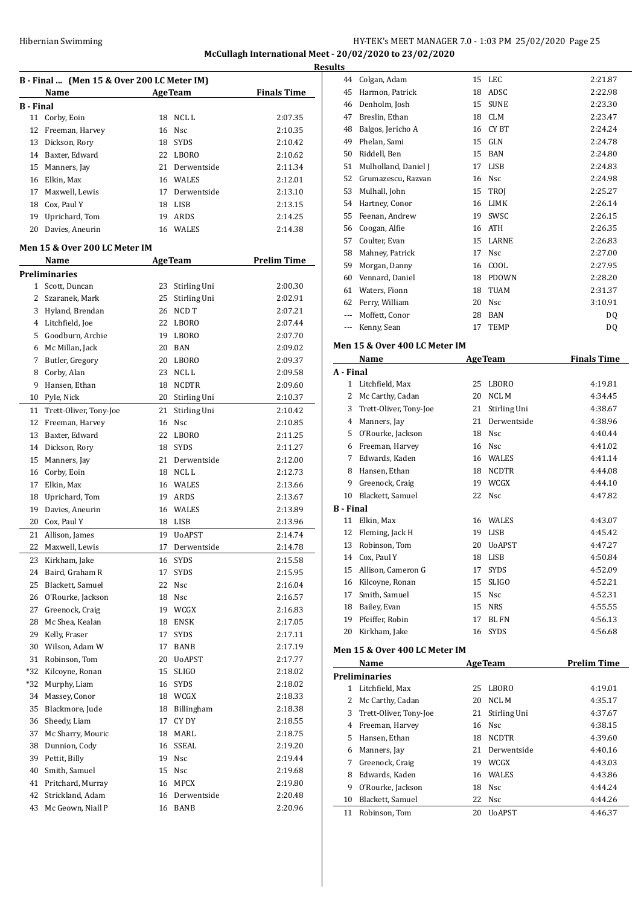# Hibernian Swimming HY-TEK's MEET MANAGER 7.0 - 1:03 PM 25/02/2020 Page 25 **McCullagh International Meet - 20/02/2020 to 23/02/2020**

**Results**

**B - Final ... (Men 15 & Over 200 LC Meter IM) Name Age Team Finals Time B - Final** 11 Corby, Eoin 18 NCL L 2:07.35 Freeman, Harvey 16 Nsc 2:10.35 Dickson, Rory 18 SYDS 2:10.42 Baxter, Edward 22 LBORO 2:10.62 Manners, Jay 21 Derwentside 2:11.34 Elkin, Max 16 WALES 2:12.01 Maxwell, Lewis 17 Derwentside 2:13.10 Cox, Paul Y 18 LISB 2:13.15 Uprichard, Tom 19 ARDS 2:14.25 Davies, Aneurin 16 WALES 2:14.38 **Men 15 & Over 200 LC Meter IM Name Age Team Prelim Time Preliminaries** Scott, Duncan 23 Stirling Uni 2:00.30 Szaranek, Mark 25 Stirling Uni 2:02.91 Hyland, Brendan 26 NCD T 2:07.21 Litchfield, Joe 22 LBORO 2:07.44 Goodburn, Archie 19 LBORO 2:07.70 Mc Millan, Jack 20 BAN 2:09.02 Butler, Gregory 20 LBORO 2:09.37 8 Corby, Alan 23 NCL L 2:09.58 Hansen, Ethan 18 NCDTR 2:09.60 Pyle, Nick 20 Stirling Uni 2:10.37 Trett-Oliver, Tony-Joe 21 Stirling Uni 2:10.42 12 Freeman, Harvey 16 Nsc 2:10.85 Baxter, Edward 22 LBORO 2:11.25 Dickson, Rory 18 SYDS 2:11.27 Manners, Jay 21 Derwentside 2:12.00 16 Corby, Eoin 18 NCL L 2:12.73 Elkin, Max 16 WALES 2:13.66 Uprichard, Tom 19 ARDS 2:13.67 Davies, Aneurin 16 WALES 2:13.89 Cox, Paul Y 18 LISB 2:13.96 Allison, James 19 UoAPST 2:14.74 Maxwell, Lewis 17 Derwentside 2:14.78 Kirkham, Jake 16 SYDS 2:15.58 Baird, Graham R 17 SYDS 2:15.95 Blackett, Samuel 22 Nsc 2:16.04 O'Rourke, Jackson 18 Nsc 2:16.57 27 Greenock, Craig 19 WCGX 2:16.83 Mc Shea, Kealan 18 ENSK 2:17.05 Kelly, Fraser 17 SYDS 2:17.11 Wilson, Adam W 17 BANB 2:17.19 Robinson, Tom 20 UoAPST 2:17.77 \*32 Kilcoyne, Ronan 15 SLIGO 2:18.02 \*32 Murphy, Liam 16 SYDS 2:18.02 Massey, Conor 18 WCGX 2:18.33 Blackmore, Jude 18 Billingham 2:18.38 Sheedy, Liam 17 CY DY 2:18.55 37 Mc Sharry, Mouric 18 MARL 2:18.75 Dunnion, Cody 16 SSEAL 2:19.20 Pettit, Billy 19 Nsc 2:19.44 Smith, Samuel 15 Nsc 2:19.68 Pritchard, Murray 16 MPCX 2:19.80 Strickland, Adam 16 Derwentside 2:20.48 43 Mc Geown, Niall P 16 BANB 2:20.96

|           | 44    | Colgan, Adam                  | 15 | LEC            | 2:21.87            |
|-----------|-------|-------------------------------|----|----------------|--------------------|
|           | 45    | Harmon, Patrick               | 18 | ADSC           | 2:22.98            |
|           | 46    | Denholm, Josh                 | 15 | <b>SUNE</b>    | 2:23.30            |
|           | 47    | Breslin, Ethan                | 18 | <b>CLM</b>     | 2:23.47            |
|           | 48    | Balgos, Jericho A             | 16 | CY BT          | 2:24.24            |
|           | 49    | Phelan, Sami                  | 15 | GLN            | 2:24.78            |
|           | 50    | Riddell, Ben                  | 15 | BAN            | 2:24.80            |
|           | 51    | Mulholland, Daniel J          |    | 17 LISB        | 2:24.83            |
|           | 52    | Grumazescu, Razvan            |    | 16 Nsc         | 2:24.98            |
|           | 53    | Mulhall, John                 | 15 | TROJ           | 2:25.27            |
|           | 54    | Hartney, Conor                | 16 | LIMK           | 2:26.14            |
|           | 55    | Feenan, Andrew                | 19 | SWSC           | 2:26.15            |
|           | 56    | Coogan, Alfie                 | 16 | ATH            | 2:26.35            |
|           | 57    | Coulter, Evan                 | 15 | LARNE          | 2:26.83            |
|           | 58    | Mahney, Patrick               | 17 | <b>Nsc</b>     | 2:27.00            |
|           | 59    | Morgan, Danny                 | 16 | COOL           | 2:27.95            |
|           | 60    | Vennard, Daniel               | 18 | PDOWN          | 2:28.20            |
|           | 61    | Waters, Fionn                 | 18 | <b>TUAM</b>    | 2:31.37            |
|           | 62    | Perry, William                | 20 | Nsc            | 3:10.91            |
|           | $---$ | Moffett, Conor                |    | 28 BAN         | DQ                 |
|           | ---   | Kenny, Sean                   | 17 | <b>TEMP</b>    | DQ                 |
|           |       | Men 15 & Over 400 LC Meter IM |    |                |                    |
|           |       | Name                          |    | <b>AgeTeam</b> | <b>Finals Time</b> |
|           |       |                               |    |                |                    |
| A - Final |       |                               |    |                |                    |
|           |       | 1 Litchfield, Max             | 25 | <b>LBORO</b>   | 4:19.81            |
|           | 2     | Mc Carthy, Cadan              | 20 | NCL M          | 4:34.45            |
|           | 3     | Trett-Oliver, Tony-Joe        | 21 | Stirling Uni   | 4:38.67            |
|           | 4     | Manners, Jay                  | 21 | Derwentside    | 4:38.96            |
|           | 5     | O'Rourke, Jackson             | 18 | Nsc            | 4:40.44            |
|           | 6     | Freeman, Harvey               |    | 16 Nsc         | 4:41.02            |
|           | 7     | Edwards, Kaden                |    | 16 WALES       | 4:41.14            |
|           | 8     | Hansen, Ethan                 |    | 18 NCDTR       | 4:44.08            |
|           | 9     | Greenock, Craig               |    | 19 WCGX        | 4:44.10            |
|           | 10    | Blackett, Samuel              | 22 | Nsc            | 4:47.82            |
| B - Final |       |                               |    |                |                    |
|           | 11    | Elkin, Max                    |    | 16 WALES       | 4:43.07            |
|           | 12    | Fleming, Jack H               |    | 19 LISB        | 4:45.42            |
|           | 13    | Robinson, Tom                 | 20 | UoAPST         | 4:47.27            |
|           |       | 14 Cox, Paul Y                |    | 18 LISB        | 4:50.84            |
|           | 15    | Allison, Cameron G            | 17 | SYDS           | 4:52.09            |
|           | 16    | Kilcoyne, Ronan               | 15 | SLIGO          | 4:52.21            |
|           | 17    | Smith, Samuel                 | 15 | Nsc            | 4:52.31            |
|           | 18    | Bailey, Evan                  | 15 | <b>NRS</b>     | 4:55.55            |
|           | 19    | Pfeiffer, Robin               | 17 | BL FN          | 4:56.13            |
|           | 20    | Kirkham, Jake                 | 16 | SYDS           | 4:56.68            |

#### **Men 15 & Over 400 LC Meter IM**

|    | Name                   |    | <b>AgeTeam</b> | <b>Prelim Time</b> |  |  |  |
|----|------------------------|----|----------------|--------------------|--|--|--|
|    | Preliminaries          |    |                |                    |  |  |  |
| 1  | Litchfield, Max        | 25 | LBORO          | 4:19.01            |  |  |  |
| 2  | Mc Carthy, Cadan       | 20 | NCL M          | 4:35.17            |  |  |  |
| 3  | Trett-Oliver, Tony-Joe | 21 | Stirling Uni   | 4:37.67            |  |  |  |
| 4  | Freeman, Harvey        |    | 16 Nsc         | 4:38.15            |  |  |  |
| 5  | Hansen, Ethan          | 18 | <b>NCDTR</b>   | 4:39.60            |  |  |  |
| 6  | Manners, Jay           | 21 | Derwentside    | 4:40.16            |  |  |  |
| 7  | Greenock, Craig        | 19 | <b>WCGX</b>    | 4:43.03            |  |  |  |
| 8  | Edwards, Kaden         |    | 16 WALES       | 4:43.86            |  |  |  |
| 9  | O'Rourke, Jackson      |    | 18 Nsc         | 4:44.24            |  |  |  |
| 10 | Blackett, Samuel       |    | 22 Nsc         | 4:44.26            |  |  |  |
| 11 | Robinson, Tom          | 20 | <b>UoAPST</b>  | 4:46.37            |  |  |  |
|    |                        |    |                |                    |  |  |  |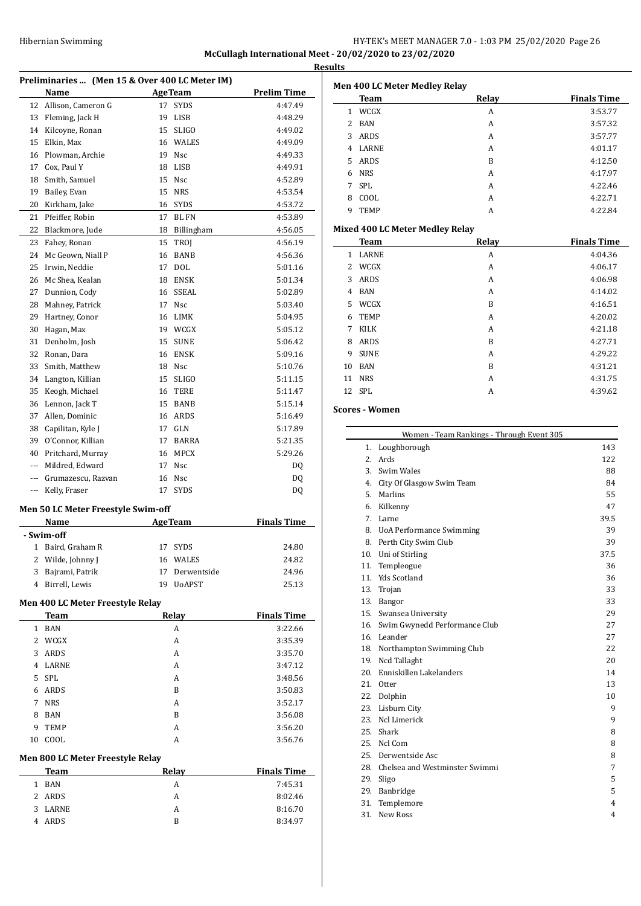# HY-TEK's MEET MANAGER 7.0 - 1:03 PM 25/02/2020 Page 26 **McCullagh International Meet - 20/02/2020 to 23/02/2020 Results**

| Preliminaries  (Men 15 & Over 400 LC Meter IM) |                                    |    |                   |                    |
|------------------------------------------------|------------------------------------|----|-------------------|--------------------|
|                                                | Name                               |    | <b>AgeTeam</b>    | <b>Prelim Time</b> |
| 12                                             | Allison, Cameron G                 | 17 | <b>SYDS</b>       | 4:47.49            |
| 13                                             | Fleming, Jack H                    | 19 | LISB              | 4:48.29            |
| 14                                             | Kilcoyne, Ronan                    | 15 | <b>SLIGO</b>      | 4:49.02            |
| 15                                             | Elkin, Max                         |    | 16 WALES          | 4:49.09            |
| 16                                             | Plowman, Archie                    | 19 | Nsc               | 4:49.33            |
| 17                                             | Cox, Paul Y                        | 18 | LISB              | 4:49.91            |
| 18                                             | Smith, Samuel                      | 15 | <b>Nsc</b>        | 4:52.89            |
| 19                                             | Bailey, Evan                       | 15 | <b>NRS</b>        | 4:53.54            |
| 20                                             | Kirkham, Jake                      |    | 16 SYDS           | 4:53.72            |
| 21                                             | Pfeiffer, Robin                    | 17 | <b>BL FN</b>      | 4:53.89            |
| 22                                             | Blackmore, Jude                    | 18 | <b>Billingham</b> | 4:56.05            |
| 23                                             | Fahey, Ronan                       | 15 | TROJ              | 4:56.19            |
| 24                                             | Mc Geown, Niall P                  | 16 | BANB              | 4:56.36            |
| 25                                             | Irwin, Neddie                      | 17 | <b>DOL</b>        | 5:01.16            |
| 26                                             | Mc Shea, Kealan                    | 18 | <b>ENSK</b>       | 5:01.34            |
| 27                                             | Dunnion, Cody                      | 16 | SSEAL             | 5:02.89            |
| 28                                             | Mahney, Patrick                    | 17 | Nsc               | 5:03.40            |
| 29                                             | Hartney, Conor                     |    | 16 LIMK           | 5:04.95            |
| 30                                             | Hagan, Max                         |    | 19 WCGX           | 5:05.12            |
| 31                                             | Denholm, Josh                      | 15 | SUNE              | 5:06.42            |
| 32                                             | Ronan, Dara                        |    | 16 ENSK           | 5:09.16            |
| 33                                             | Smith, Matthew                     |    | 18 Nsc            | 5:10.76            |
| 34                                             | Langton, Killian                   | 15 | <b>SLIGO</b>      | 5:11.15            |
| 35                                             | Keogh, Michael                     | 16 | TERE              | 5:11.47            |
| 36                                             | Lennon, Jack T                     | 15 | <b>BANB</b>       | 5:15.14            |
| 37                                             | Allen, Dominic                     | 16 | ARDS              | 5:16.49            |
| 38                                             | Capilitan, Kyle J                  | 17 | GLN               | 5:17.89            |
| 39                                             | O'Connor, Killian                  | 17 | <b>BARRA</b>      | 5:21.35            |
| 40                                             | Pritchard, Murray                  | 16 | <b>MPCX</b>       | 5:29.26            |
| $---$                                          | Mildred, Edward                    | 17 | <b>Nsc</b>        | DQ                 |
| ---                                            | Grumazescu, Razvan                 | 16 | Nsc               | DQ                 |
| ---                                            | Kelly, Fraser                      | 17 | <b>SYDS</b>       | DQ                 |
|                                                |                                    |    |                   |                    |
|                                                | Men 50 LC Meter Freestyle Swim-off |    |                   |                    |
|                                                | Name                               |    | <b>AgeTeam</b>    | <b>Finals Time</b> |
|                                                | - Swim-off                         |    |                   |                    |
| 1                                              | Baird, Graham R                    | 17 | SYDS              | 24.80              |
| 2                                              | Wilde, Johnny J                    | 16 | WALES             | 24.82              |
| 3                                              | Bajrami, Patrik                    | 17 | Derwentside       | 24.96              |
| 4                                              | Birrell, Lewis                     | 19 | <b>UoAPST</b>     | 25.13              |
|                                                | Men 400 LC Meter Freestyle Relay   |    |                   |                    |
|                                                | <b>Team</b>                        |    | Relay             | <b>Finals Time</b> |
| 1                                              | <b>BAN</b>                         |    | А                 | 3:22.66            |
| 2                                              | WCGX                               |    | А                 | 3:35.39            |
| 3                                              | <b>ARDS</b>                        |    | A                 | 3:35.70            |
| 4                                              | LARNE                              |    | A                 | 3:47.12            |
| 5                                              | <b>SPL</b>                         |    | A                 | 3:48.56            |
| 6                                              | ARDS                               |    | B                 | 3:50.83            |
| 7                                              | <b>NRS</b>                         |    | А                 | 3:52.17            |
| 8                                              | <b>BAN</b>                         |    | B                 | 3:56.08            |
| 9                                              | TEMP                               |    | А                 | 3:56.20            |
| 10                                             | COOL                               |    | А                 | 3:56.76            |
|                                                |                                    |    |                   |                    |
|                                                | Men 800 LC Meter Freestyle Relay   |    |                   |                    |
|                                                | <u>Team</u>                        |    | <u>Relay</u>      | <b>Finals Time</b> |
| 1                                              | <b>BAN</b>                         |    | А                 | 7:45.31            |
| 2                                              | ARDS                               |    | А                 | 8:02.46            |
| 3                                              | LARNE                              |    | А                 | 8:16.70            |
| 4                                              | ARDS                               |    | B                 | 8:34.97            |

|                | <b>Men 400 LC Meter Medley Relay</b>   |                                           |                    |
|----------------|----------------------------------------|-------------------------------------------|--------------------|
|                | <b>Team</b>                            | Relay                                     | <b>Finals Time</b> |
| $\mathbf{1}$   | WCGX                                   | A                                         | 3:53.77            |
| $\overline{2}$ | <b>BAN</b>                             | A                                         | 3:57.32            |
| 3              | <b>ARDS</b>                            | A                                         | 3:57.77            |
| 4              | <b>LARNE</b>                           | A                                         | 4:01.17            |
| 5              | <b>ARDS</b>                            | B                                         | 4:12.50            |
| 6              | <b>NRS</b>                             | A                                         | 4:17.97            |
| 7              | <b>SPL</b>                             | A                                         | 4:22.46            |
| 8              | COOL                                   | A                                         | 4:22.71            |
| 9              | <b>TEMP</b>                            | A                                         | 4:22.84            |
|                | <b>Mixed 400 LC Meter Medley Relay</b> |                                           |                    |
|                | <b>Team</b>                            | Relay                                     | <b>Finals Time</b> |
| $\mathbf{1}$   | <b>LARNE</b>                           | A                                         | 4:04.36            |
| $\overline{2}$ | WCGX                                   | A                                         | 4:06.17            |
| 3              | <b>ARDS</b>                            | A                                         | 4:06.98            |
| $\overline{4}$ | <b>BAN</b>                             | A                                         | 4:14.02            |
| 5              | WCGX                                   | B                                         | 4:16.51            |
| 6              | <b>TEMP</b>                            | A                                         | 4:20.02            |
| 7              | <b>KILK</b>                            | A                                         | 4:21.18            |
| 8              | <b>ARDS</b>                            | B                                         | 4:27.71            |
| 9              | <b>SUNE</b>                            | A                                         | 4:29.22            |
| 10             | <b>BAN</b>                             | B                                         | 4:31.21            |
| 11             | <b>NRS</b>                             | A                                         | 4:31.75            |
| 12             | <b>SPL</b>                             | A                                         | 4:39.62            |
|                | <b>Scores - Women</b>                  |                                           |                    |
|                |                                        | Women - Team Rankings - Through Event 305 |                    |
|                | 1. Loughborough                        |                                           | 143                |

| 1.  | Loughborough                    | 143  |
|-----|---------------------------------|------|
| 2.  | Ards                            | 122  |
| 3.  | Swim Wales                      | 88   |
| 4.  | City Of Glasgow Swim Team       | 84   |
| 5.  | Marlins                         | 55   |
| 6.  | Kilkenny                        | 47   |
| 7.  | Larne                           | 39.5 |
| 8.  | <b>UoA Performance Swimming</b> | 39   |
| 8.  | Perth City Swim Club            | 39   |
| 10. | Uni of Stirling                 | 37.5 |
| 11. | Templeogue                      | 36   |
| 11. | <b>Yds Scotland</b>             | 36   |
| 13. | Trojan                          | 33   |
| 13. | Bangor                          | 33   |
|     | 15. Swansea University          | 29   |
| 16. | Swim Gwynedd Performance Club   | 27   |
|     | 16. Leander                     | 27   |
| 18. | Northampton Swimming Club       | 22   |
| 19. | Ncd Tallaght                    | 20   |
| 20. | Enniskillen Lakelanders         | 14   |
| 21. | <b>Otter</b>                    | 13   |
| 22. | Dolphin                         | 10   |
| 23. | Lisburn City                    | 9    |
| 23. | Ncl Limerick                    | 9    |
| 25. | Shark                           | 8    |
|     | 25. Ncl Com                     | 8    |
| 25. | Derwentside Asc                 | 8    |
| 28. | Chelsea and Westminster Swimmi  | 7    |
| 29. | Sligo                           | 5    |
| 29. | Banbridge                       | 5    |
| 31. | Templemore                      | 4    |
| 31. | <b>New Ross</b>                 | 4    |